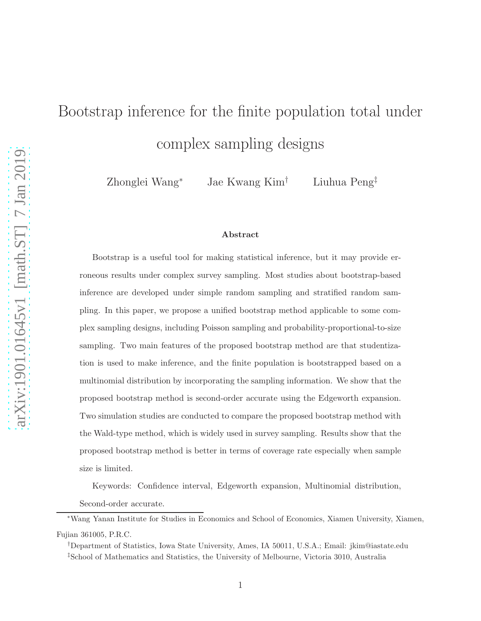# Bootstrap inference for the finite population total under complex sampling designs

Zhonglei Wang<sup>∗</sup> Jae Kwang Kim† Liuhua Peng‡

#### Abstract

Bootstrap is a useful tool for making statistical inference, but it may provide erroneous results under complex survey sampling. Most studies about bootstrap-based inference are developed under simple random sampling and stratified random sampling. In this paper, we propose a unified bootstrap method applicable to some complex sampling designs, including Poisson sampling and probability-proportional-to-size sampling. Two main features of the proposed bootstrap method are that studentization is used to make inference, and the finite population is bootstrapped based on a multinomial distribution by incorporating the sampling information. We show that the proposed bootstrap method is second-order accurate using the Edgeworth expansion. Two simulation studies are conducted to compare the proposed bootstrap method with the Wald-type method, which is widely used in survey sampling. Results show that the proposed bootstrap method is better in terms of coverage rate especially when sample size is limited.

Keywords: Confidence interval, Edgeworth expansion, Multinomial distribution,

Second-order accurate.

<sup>∗</sup>Wang Yanan Institute for Studies in Economics and School of Economics, Xiamen University, Xiamen, Fujian 361005, P.R.C.

<sup>†</sup>Department of Statistics, Iowa State University, Ames, IA 50011, U.S.A.; Email: jkim@iastate.edu ‡School of Mathematics and Statistics, the University of Melbourne, Victoria 3010, Australia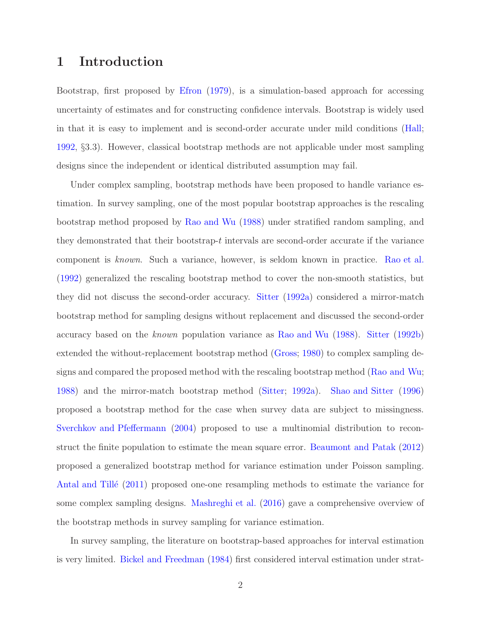## 1 Introduction

Bootstrap, first proposed by [Efron](#page-81-0) [\(1979\)](#page-81-0), is a simulation-based approach for accessing uncertainty of estimates and for constructing confidence intervals. Bootstrap is widely used in that it is easy to implement and is second-order accurate under mild conditions [\(Hall;](#page-82-0) [1992,](#page-82-0) §3.3). However, classical bootstrap methods are not applicable under most sampling designs since the independent or identical distributed assumption may fail.

Under complex sampling, bootstrap methods have been proposed to handle variance estimation. In survey sampling, one of the most popular bootstrap approaches is the rescaling bootstrap method proposed by [Rao and Wu](#page-82-1) [\(1988\)](#page-82-1) under stratified random sampling, and they demonstrated that their bootstrap- $t$  intervals are second-order accurate if the variance component is *known*. Such a variance, however, is seldom known in practice. [Rao et al.](#page-82-2) [\(1992\)](#page-82-2) generalized the rescaling bootstrap method to cover the non-smooth statistics, but they did not discuss the second-order accuracy. [Sitter](#page-83-0) [\(1992a\)](#page-83-0) considered a mirror-match bootstrap method for sampling designs without replacement and discussed the second-order accuracy based on the *known* population variance as [Rao and Wu](#page-82-1) [\(1988](#page-82-1)). [Sitter](#page-83-1) [\(1992b\)](#page-83-1) extended the without-replacement bootstrap method [\(Gross](#page-82-3); [1980](#page-82-3)) to complex sampling designs and compared the proposed method with the rescaling bootstrap method [\(Rao and Wu;](#page-82-1) [1988\)](#page-82-1) and the mirror-match bootstrap method [\(Sitter](#page-83-0); [1992a](#page-83-0)). [Shao and Sitter](#page-83-2) [\(1996\)](#page-83-2) proposed a bootstrap method for the case when survey data are subject to missingness. [Sverchkov and Pfeffermann](#page-83-3) [\(2004\)](#page-83-3) proposed to use a multinomial distribution to reconstruct the finite population to estimate the mean square error. [Beaumont and Patak](#page-81-1) [\(2012\)](#page-81-1) proposed a generalized bootstrap method for variance estimation under Poisson sampling. Antal and Tillé [\(2011](#page-81-2)) proposed one-one resampling methods to estimate the variance for some complex sampling designs. [Mashreghi et al.](#page-82-4) [\(2016\)](#page-82-4) gave a comprehensive overview of the bootstrap methods in survey sampling for variance estimation.

In survey sampling, the literature on bootstrap-based approaches for interval estimation is very limited. [Bickel and Freedman](#page-81-3) [\(1984\)](#page-81-3) first considered interval estimation under strat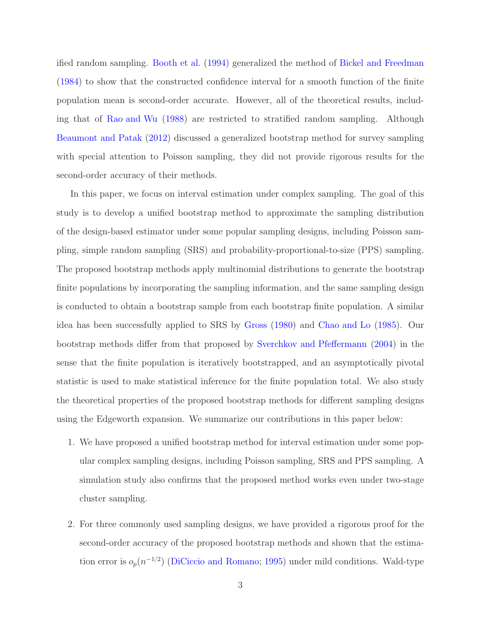ified random sampling. [Booth et al.](#page-81-4) [\(1994\)](#page-81-4) generalized the method of [Bickel and Freedman](#page-81-3) [\(1984\)](#page-81-3) to show that the constructed confidence interval for a smooth function of the finite population mean is second-order accurate. However, all of the theoretical results, including that of [Rao and Wu](#page-82-1) [\(1988](#page-82-1)) are restricted to stratified random sampling. Although [Beaumont and Patak](#page-81-1) [\(2012](#page-81-1)) discussed a generalized bootstrap method for survey sampling with special attention to Poisson sampling, they did not provide rigorous results for the second-order accuracy of their methods.

In this paper, we focus on interval estimation under complex sampling. The goal of this study is to develop a unified bootstrap method to approximate the sampling distribution of the design-based estimator under some popular sampling designs, including Poisson sampling, simple random sampling (SRS) and probability-proportional-to-size (PPS) sampling. The proposed bootstrap methods apply multinomial distributions to generate the bootstrap finite populations by incorporating the sampling information, and the same sampling design is conducted to obtain a bootstrap sample from each bootstrap finite population. A similar idea has been successfully applied to SRS by [Gross](#page-82-3) [\(1980\)](#page-82-3) and [Chao and Lo](#page-81-5) [\(1985\)](#page-81-5). Our bootstrap methods differ from that proposed by [Sverchkov and Pfeffermann](#page-83-3) [\(2004](#page-83-3)) in the sense that the finite population is iteratively bootstrapped, and an asymptotically pivotal statistic is used to make statistical inference for the finite population total. We also study the theoretical properties of the proposed bootstrap methods for different sampling designs using the Edgeworth expansion. We summarize our contributions in this paper below:

- 1. We have proposed a unified bootstrap method for interval estimation under some popular complex sampling designs, including Poisson sampling, SRS and PPS sampling. A simulation study also confirms that the proposed method works even under two-stage cluster sampling.
- 2. For three commonly used sampling designs, we have provided a rigorous proof for the second-order accuracy of the proposed bootstrap methods and shown that the estimation error is  $o_p(n^{-1/2})$  [\(DiCiccio and Romano](#page-81-6); [1995](#page-81-6)) under mild conditions. Wald-type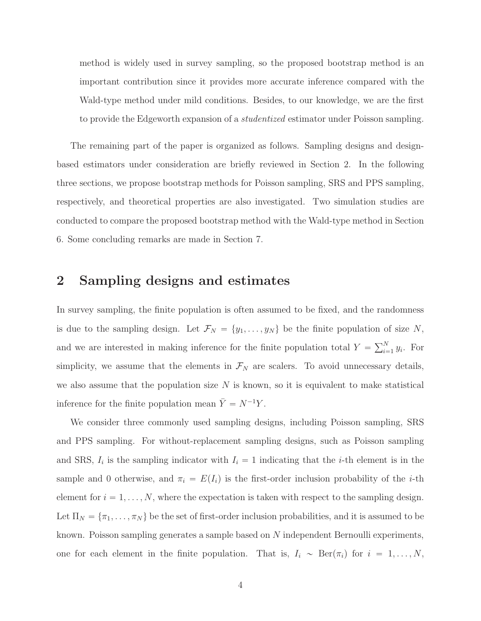method is widely used in survey sampling, so the proposed bootstrap method is an important contribution since it provides more accurate inference compared with the Wald-type method under mild conditions. Besides, to our knowledge, we are the first to provide the Edgeworth expansion of a *studentized* estimator under Poisson sampling.

The remaining part of the paper is organized as follows. Sampling designs and designbased estimators under consideration are briefly reviewed in Section 2. In the following three sections, we propose bootstrap methods for Poisson sampling, SRS and PPS sampling, respectively, and theoretical properties are also investigated. Two simulation studies are conducted to compare the proposed bootstrap method with the Wald-type method in Section 6. Some concluding remarks are made in Section 7.

#### 2 Sampling designs and estimates

In survey sampling, the finite population is often assumed to be fixed, and the randomness is due to the sampling design. Let  $\mathcal{F}_N = \{y_1, \ldots, y_N\}$  be the finite population of size N, and we are interested in making inference for the finite population total  $Y = \sum_{i=1}^{N} y_i$ . For simplicity, we assume that the elements in  $\mathcal{F}_N$  are scalers. To avoid unnecessary details, we also assume that the population size  $N$  is known, so it is equivalent to make statistical inference for the finite population mean  $\bar{Y} = N^{-1}Y$ .

We consider three commonly used sampling designs, including Poisson sampling, SRS and PPS sampling. For without-replacement sampling designs, such as Poisson sampling and SRS,  $I_i$  is the sampling indicator with  $I_i = 1$  indicating that the *i*-th element is in the sample and 0 otherwise, and  $\pi_i = E(I_i)$  is the first-order inclusion probability of the *i*-th element for  $i = 1, ..., N$ , where the expectation is taken with respect to the sampling design. Let  $\Pi_N = {\pi_1, \ldots, \pi_N}$  be the set of first-order inclusion probabilities, and it is assumed to be known. Poisson sampling generates a sample based on N independent Bernoulli experiments, one for each element in the finite population. That is,  $I_i \sim \text{Ber}(\pi_i)$  for  $i = 1, ..., N$ ,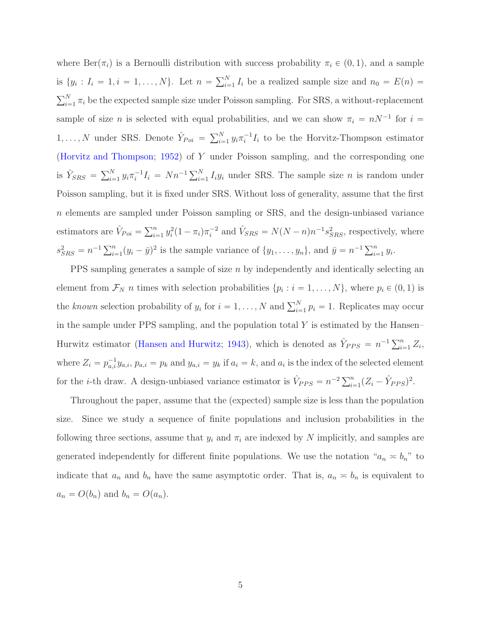where  $\text{Ber}(\pi_i)$  is a Bernoulli distribution with success probability  $\pi_i \in (0, 1)$ , and a sample is  $\{y_i: I_i = 1, i = 1, \ldots, N\}$ . Let  $n = \sum_{i=1}^N I_i$  be a realized sample size and  $n_0 = E(n)$  $\sum_{i=1}^{N} \pi_i$  be the expected sample size under Poisson sampling. For SRS, a without-replacement sample of size *n* is selected with equal probabilities, and we can show  $\pi_i = nN^{-1}$  for  $i =$  $1, \ldots, N$  under SRS. Denote  $\hat{Y}_{Poi} = \sum_{i=1}^{N} y_i \pi_i^{-1} I_i$  to be the Horvitz-Thompson estimator [\(Horvitz and Thompson](#page-82-5); [1952\)](#page-82-5) of Y under Poisson sampling, and the corresponding one is  $\hat{Y}_{SRS} = \sum_{i=1}^{N} y_i \pi_i^{-1} I_i = Nn^{-1} \sum_{i=1}^{N} I_i y_i$  under SRS. The sample size *n* is random under Poisson sampling, but it is fixed under SRS. Without loss of generality, assume that the first n elements are sampled under Poisson sampling or SRS, and the design-unbiased variance estimators are  $\hat{V}_{Poi} = \sum_{i=1}^{n} y_i^2 (1 - \pi_i) \pi_i^{-2}$  and  $\hat{V}_{SRS} = N(N - n) n^{-1} s_{SRS}^2$ , respectively, where  $s_{SRS}^2 = n^{-1} \sum_{i=1}^n (y_i - \bar{y})^2$  is the sample variance of  $\{y_1, \ldots, y_n\}$ , and  $\bar{y} = n^{-1} \sum_{i=1}^n y_i$ .

PPS sampling generates a sample of size  $n$  by independently and identically selecting an element from  $\mathcal{F}_N$  *n* times with selection probabilities  $\{p_i : i = 1, \ldots, N\}$ , where  $p_i \in (0, 1)$  is the *known* selection probability of  $y_i$  for  $i = 1, ..., N$  and  $\sum_{i=1}^{N} p_i = 1$ . Replicates may occur in the sample under PPS sampling, and the population total  $Y$  is estimated by the Hansen– Hurwitz estimator [\(Hansen and Hurwitz](#page-82-6); [1943\)](#page-82-6), which is denoted as  $\hat{Y}_{PPS} = n^{-1} \sum_{i=1}^{n} Z_i$ , where  $Z_i = p_{a,i}^{-1} y_{a,i}, p_{a,i} = p_k$  and  $y_{a,i} = y_k$  if  $a_i = k$ , and  $a_i$  is the index of the selected element for the *i*-th draw. A design-unbiased variance estimator is  $\hat{V}_{PPS} = n^{-2} \sum_{i=1}^{n} (Z_i - \hat{Y}_{PPS})^2$ .

Throughout the paper, assume that the (expected) sample size is less than the population size. Since we study a sequence of finite populations and inclusion probabilities in the following three sections, assume that  $y_i$  and  $\pi_i$  are indexed by N implicitly, and samples are generated independently for different finite populations. We use the notation " $a_n \approx b_n$ " to indicate that  $a_n$  and  $b_n$  have the same asymptotic order. That is,  $a_n \approx b_n$  is equivalent to  $a_n = O(b_n)$  and  $b_n = O(a_n)$ .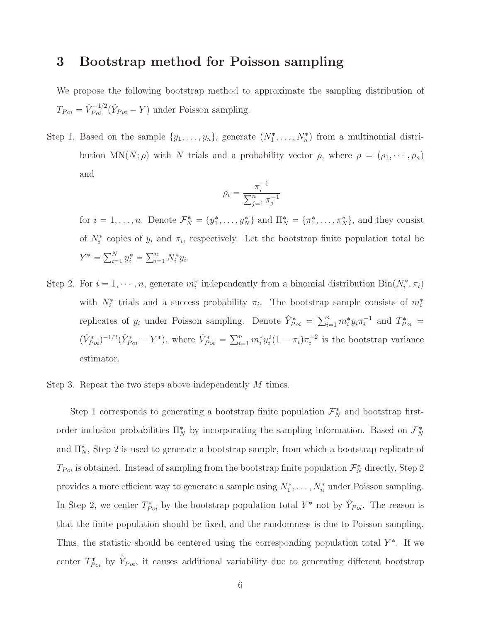## <span id="page-5-0"></span>3 Bootstrap method for Poisson sampling

We propose the following bootstrap method to approximate the sampling distribution of  $T_{Poi} = \hat{V}_{Poi}^{-1/2} (\hat{Y}_{Poi} - Y)$  under Poisson sampling.

Step 1. Based on the sample  $\{y_1, \ldots, y_n\}$ , generate  $(N_1^*, \ldots, N_n^*)$  from a multinomial distribution MN(N;  $\rho$ ) with N trials and a probability vector  $\rho$ , where  $\rho = (\rho_1, \dots, \rho_n)$ and

$$
\rho_i = \frac{\pi_i^{-1}}{\sum_{j=1}^n \pi_j^{-1}}
$$

for  $i = 1, ..., n$ . Denote  $\mathcal{F}_N^* = \{y_1^*, ..., y_N^*\}$  and  $\Pi_N^* = \{\pi_1^*, ..., \pi_N^*\}$ , and they consist of  $N_i^*$  copies of  $y_i$  and  $\pi_i$ , respectively. Let the bootstrap finite population total be  $Y^* = \sum_{i=1}^N y_i^* = \sum_{i=1}^n N_i^* y_i.$ 

Step 2. For  $i = 1, \dots, n$ , generate  $m_i^*$  independently from a binomial distribution  $Bin(N_i^*, \pi_i)$ with  $N_i^*$  trials and a success probability  $\pi_i$ . The bootstrap sample consists of  $m_i^*$ replicates of  $y_i$  under Poisson sampling. Denote  $\hat{Y}_{Poi}^* = \sum_{i=1}^n m_i^* y_i \pi_i^{-1}$  and  $T_{Poi}^* =$  $(\hat{V}_{Poi}^*)^{-1/2}(\hat{Y}_{Poi}^* - Y^*)$ , where  $\hat{V}_{Poi}^* = \sum_{i=1}^n m_i^* y_i^2 (1 - \pi_i) \pi_i^{-2}$  is the bootstrap variance estimator.

#### Step 3. Repeat the two steps above independently M times.

Step 1 corresponds to generating a bootstrap finite population  $\mathcal{F}_N^*$  and bootstrap firstorder inclusion probabilities  $\Pi_N^*$  by incorporating the sampling information. Based on  $\mathcal{F}_N^*$ and  $\Pi^*_{N}$ , Step 2 is used to generate a bootstrap sample, from which a bootstrap replicate of  $T_{Poi}$  is obtained. Instead of sampling from the bootstrap finite population  $\mathcal{F}_N^*$  directly, Step 2 provides a more efficient way to generate a sample using  $N_1^*, \ldots, N_n^*$  under Poisson sampling. In Step 2, we center  $T^*_{Poi}$  by the bootstrap population total  $Y^*$  not by  $\hat{Y}_{Poi}$ . The reason is that the finite population should be fixed, and the randomness is due to Poisson sampling. Thus, the statistic should be centered using the corresponding population total  $Y^*$ . If we center  $T^*_{Poi}$  by  $\hat{Y}_{Poi}$ , it causes additional variability due to generating different bootstrap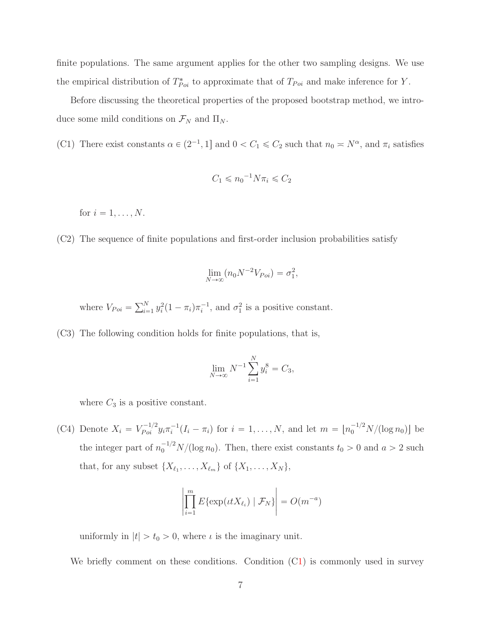finite populations. The same argument applies for the other two sampling designs. We use the empirical distribution of  $T_{Poi}^*$  to approximate that of  $T_{Poi}$  and make inference for Y.

Before discussing the theoretical properties of the proposed bootstrap method, we introduce some mild conditions on  $\mathcal{F}_N$  and  $\Pi_N$ .

(C1) There exist constants  $\alpha \in (2^{-1}, 1]$  and  $0 < C_1 \le C_2$  such that  $n_0 \approx N^{\alpha}$ , and  $\pi_i$  satisfies

$$
C_1 \leqslant n_0^{-1} N \pi_i \leqslant C_2
$$

<span id="page-6-0"></span>for  $i = 1, \ldots, N$ .

(C2) The sequence of finite populations and first-order inclusion probabilities satisfy

$$
\lim_{N \to \infty} (n_0 N^{-2} V_{Poi}) = \sigma_1^2,
$$

<span id="page-6-1"></span>where  $V_{Poi} = \sum_{i=1}^{N} y_i^2 (1 - \pi_i) \pi_i^{-1}$ , and  $\sigma_1^2$  is a positive constant.

(C3) The following condition holds for finite populations, that is,

$$
\lim_{N \to \infty} N^{-1} \sum_{i=1}^{N} y_i^8 = C_3,
$$

<span id="page-6-2"></span>where  $C_3$  is a positive constant.

(C4) Denote  $X_i = V_{Poi}^{-1/2} y_i \pi_i^{-1} (I_i - \pi_i)$  for  $i = 1, ..., N$ , and let  $m = \lfloor n_0^{-1/2} N / (\log n_0) \rfloor$  be the integer part of  $n_0^{-1/2} N/(\log n_0)$ . Then, there exist constants  $t_0 > 0$  and  $a > 2$  such that, for any subset  $\{X_{\ell_1}, \ldots, X_{\ell_m}\}\$  of  $\{X_1, \ldots, X_N\},\$ 

$$
\left|\prod_{i=1}^m E\{\exp(\iota t X_{\ell_i}) \mid \mathcal{F}_N\}\right| = O(m^{-a})
$$

uniformly in  $|t| > t_0 > 0$ , where  $\iota$  is the imaginary unit.

We briefly comment on these conditions. Condition  $(C1)$  $(C1)$  is commonly used in survey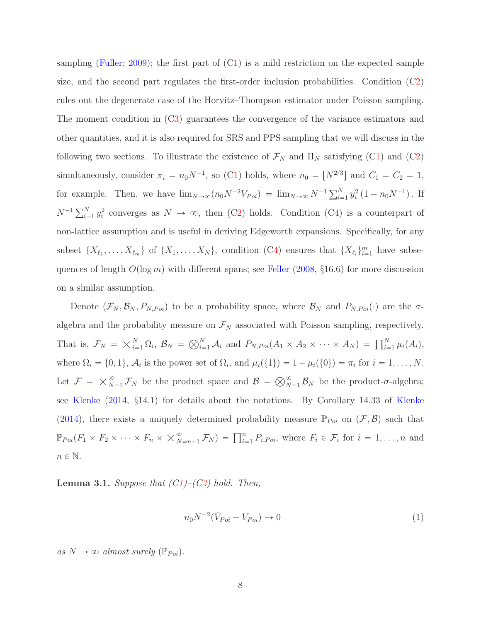sampling [\(Fuller](#page-82-7); [2009\)](#page-82-7); the first part of ([C1\)](#page-7-0) is a mild restriction on the expected sample size, and the second part regulates the first-order inclusion probabilities. Condition ([C2\)](#page-6-0) rules out the degenerate case of the Horvitz–Thompson estimator under Poisson sampling. The moment condition in ([C3\)](#page-6-1) guarantees the convergence of the variance estimators and other quantities, and it is also required for SRS and PPS sampling that we will discuss in the following two sections. To illustrate the existence of  $\mathcal{F}_N$  and  $\Pi_N$  satisfying ([C1\)](#page-7-0) and ([C2\)](#page-6-0) simultaneously, consider  $\pi_i = n_0 N^{-1}$ , so ([C1\)](#page-7-0) holds, where  $n_0 = \lfloor N^{2/3} \rfloor$  and  $C_1 = C_2 = 1$ , for example. Then, we have  $\lim_{N\to\infty}(n_0N^{-2}V_{Poi}) = \lim_{N\to\infty} N^{-1}\sum_{i=1}^N y_i^2 (1 - n_0N^{-1})$ . If  $N^{-1} \sum_{i=1}^{N} y_i^2$  converges as  $N \to \infty$ , then ([C2\)](#page-6-0) holds. Condition ([C4\)](#page-6-2) is a counterpart of non-lattice assumption and is useful in deriving Edgeworth expansions. Specifically, for any subset  $\{X_{\ell_1},\ldots,X_{\ell_m}\}\$  of  $\{X_1,\ldots,X_N\}\$ , condition ([C4\)](#page-6-2) ensures that  $\{X_{\ell_i}\}_{i=1}^m$  have subsequences of length  $O(\log m)$  with different spans; see [Feller](#page-81-7) [\(2008,](#page-81-7) §16.6) for more discussion on a similar assumption.

Denote  $(\mathcal{F}_N, \mathcal{B}_N, P_{N,Poi})$  to be a probability space, where  $\mathcal{B}_N$  and  $P_{N,Poi}(\cdot)$  are the  $\sigma$ algebra and the probability measure on  $\mathcal{F}_N$  associated with Poisson sampling, respectively. That is,  $\mathcal{F}_N = \times_{i=1}^N \Omega_i$ ,  $\mathcal{B}_N = \bigotimes_{i=1}^N \mathcal{A}_i$  and  $P_{N,Poi}(A_1 \times A_2 \times \cdots \times A_N) = \prod_{i=1}^N \mu_i(A_i)$ , where  $\Omega_i = \{0, 1\}, \mathcal{A}_i$  is the power set of  $\Omega_i$ , and  $\mu_i(\{1\}) = 1 - \mu_i(\{0\}) = \pi_i$  for  $i = 1, ..., N$ . Let  $\mathcal{F} = \times_{N=1}^{\infty} \mathcal{F}_N$  be the product space and  $\mathcal{B} = \bigotimes_{N=1}^{\infty} \mathcal{B}_N$  be the product- $\sigma$ -algebra; see [Klenke](#page-82-8) [\(2014,](#page-82-8) §14.1) for details about the notations. By Corollary 14.33 of [Klenke](#page-82-8) [\(2014\)](#page-82-8), there exists a uniquely determined probability measure  $\mathbb{P}_{Poi}$  on  $(\mathcal{F}, \mathcal{B})$  such that  $\mathbb{P}_{Poi}(F_1 \times F_2 \times \cdots \times F_n \times \times_{N=n+1}^{\infty} \mathcal{F}_N) = \prod_{i=1}^n P_{i,Poi}$ , where  $F_i \in \mathcal{F}_i$  for  $i = 1, \ldots, n$  and  $n \in \mathbb{N}$ .

<span id="page-7-1"></span>Lemma 3.1. *Suppose that ([C1\)](#page-7-0)–([C3\)](#page-6-1) hold. Then,*

<span id="page-7-0"></span>
$$
n_0 N^{-2} (\hat{V}_{Poi} - V_{Poi}) \to 0
$$
\n(1)

 $as N \rightarrow \infty$  *almost surely* ( $\mathbb{P}_{Poi}$ ).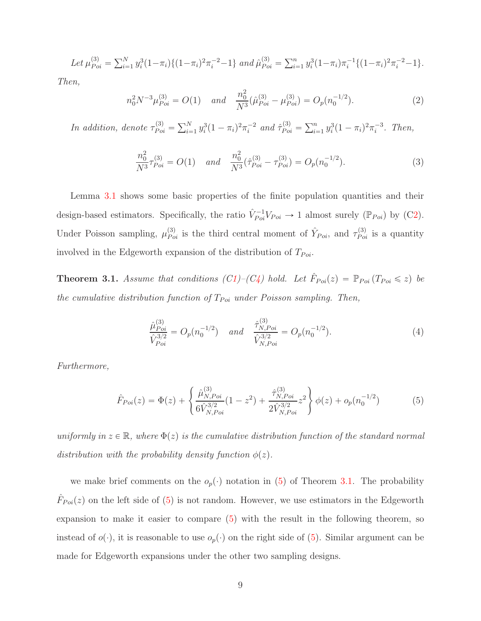Let 
$$
\mu_{Poi}^{(3)} = \sum_{i=1}^{N} y_i^3 (1 - \pi_i) \{ (1 - \pi_i)^2 \pi_i^{-2} - 1 \}
$$
 and  $\hat{\mu}_{Poi}^{(3)} = \sum_{i=1}^{n} y_i^3 (1 - \pi_i) \pi_i^{-1} \{ (1 - \pi_i)^2 \pi_i^{-2} - 1 \}.$ 

*Then,*

$$
n_0^2 N^{-3} \mu_{Poi}^{(3)} = O(1) \quad and \quad \frac{n_0^2}{N^3} (\hat{\mu}_{Poi}^{(3)} - \mu_{Poi}^{(3)}) = O_p(n_0^{-1/2}). \tag{2}
$$

*In addition, denote*  $\tau_{Poi}^{(3)} = \sum_{i=1}^{N} y_i^3 (1 - \pi_i)^2 \pi_i^{-2}$  *and*  $\hat{\tau}_{Poi}^{(3)} = \sum_{i=1}^{n} y_i^3 (1 - \pi_i)^2 \pi_i^{-3}$ *. Then,* 

$$
\frac{n_0^2}{N^3} \tau_{Poi}^{(3)} = O(1) \quad \text{and} \quad \frac{n_0^2}{N^3} (\hat{\tau}_{Poi}^{(3)} - \tau_{Poi}^{(3)}) = O_p(n_0^{-1/2}). \tag{3}
$$

Lemma [3.1](#page-7-1) shows some basic properties of the finite population quantities and their design-based estimators. Specifically, the ratio  $\hat{V}_{Poi}^{-1}V_{Poi} \to 1$  almost surely  $(\mathbb{P}_{Poi})$  by  $(C2)$  $(C2)$ . Under Poisson sampling,  $\mu_{Poi}^{(3)}$  is the third central moment of  $\hat{Y}_{Poi}$ , and  $\tau_{Poi}^{(3)}$  is a quantity involved in the Edgeworth expansion of the distribution of  $T_{Poi}$ .

<span id="page-8-1"></span>**Theorem 3.1.** *Assume that conditions ([C1\)](#page-7-0)* $-(C_4)$  *hold. Let*  $\hat{F}_{Poi}(z) = \mathbb{P}_{Poi}(T_{Poi} \leq z)$  *be the cumulative distribution function of*  $T_{Poi}$  *under Poisson sampling. Then,* 

$$
\frac{\hat{\mu}_{Poi}^{(3)}}{\hat{V}_{Poi}^{3/2}} = O_p(n_0^{-1/2}) \quad \text{and} \quad \frac{\hat{\tau}_{N,Poi}^{(3)}}{\hat{V}_{N,Poi}^{3/2}} = O_p(n_0^{-1/2}).\tag{4}
$$

*Furthermore,*

<span id="page-8-0"></span>
$$
\hat{F}_{Poi}(z) = \Phi(z) + \left\{ \frac{\hat{\mu}_{N, Poi}^{(3)}}{6\hat{V}_{N, Poi}^{3/2}} (1 - z^2) + \frac{\hat{\tau}_{N, Poi}^{(3)}}{2\hat{V}_{N, Poi}^{3/2}} z^2 \right\} \phi(z) + o_p(n_0^{-1/2}) \tag{5}
$$

*uniformly in*  $z \in \mathbb{R}$ *, where*  $\Phi(z)$  *is the cumulative distribution function of the standard normal distribution with the probability density function*  $\phi(z)$ .

we make brief comments on the  $o_p(\cdot)$  notation in [\(5\)](#page-8-0) of Theorem [3.1.](#page-8-1) The probability  $\hat{F}_{Poi}(z)$  on the left side of [\(5\)](#page-8-0) is not random. However, we use estimators in the Edgeworth expansion to make it easier to compare [\(5\)](#page-8-0) with the result in the following theorem, so instead of  $o(\cdot)$ , it is reasonable to use  $o_p(\cdot)$  on the right side of [\(5\)](#page-8-0). Similar argument can be made for Edgeworth expansions under the other two sampling designs.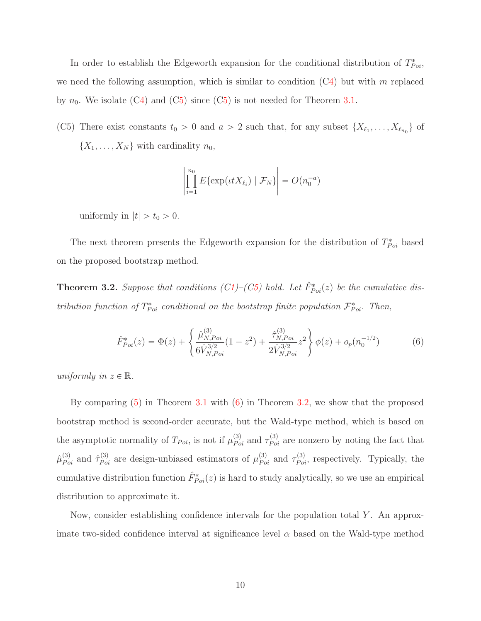In order to establish the Edgeworth expansion for the conditional distribution of  $T_{Poi}^*$ , we need the following assumption, which is similar to condition  $(C4)$  $(C4)$  but with m replaced by  $n_0$ . We isolate ([C4\)](#page-6-2) and ([C5\)](#page-9-0) since (C5) is not needed for Theorem [3.1.](#page-8-1)

<span id="page-9-0"></span>(C5) There exist constants  $t_0 > 0$  and  $a > 2$  such that, for any subset  $\{X_{\ell_1}, \ldots, X_{\ell_{n_0}}\}$  of  $\{X_1, \ldots, X_N\}$  with cardinality  $n_0$ ,

$$
\left|\prod_{i=1}^{n_0} E\{\exp(\iota t X_{\ell_i}) \mid \mathcal{F}_N\}\right| = O(n_0^{-a})
$$

uniformly in  $|t| > t_0 > 0$ .

The next theorem presents the Edgeworth expansion for the distribution of  $T_{Poi}^*$  based on the proposed bootstrap method.

<span id="page-9-2"></span>**Theorem 3.2.** Suppose that conditions  $(C1)$  $(C1)$ – $(C5)$  $(C5)$  hold. Let  $\hat{F}_{Poi}^*(z)$  be the cumulative dis*tribution function of*  $T_{Poi}^*$  *conditional on the bootstrap finite population*  $\mathcal{F}_{Poi}^*$ . Then,

<span id="page-9-1"></span>
$$
\hat{F}_{Poi}^{*}(z) = \Phi(z) + \left\{ \frac{\hat{\mu}_{N, Poi}^{(3)}}{6\hat{V}_{N, Poi}^{3/2}} (1 - z^2) + \frac{\hat{\tau}_{N, Poi}^{(3)}}{2\hat{V}_{N, Poi}^{3/2}} z^2 \right\} \phi(z) + o_p(n_0^{-1/2}) \tag{6}
$$

*uniformly in*  $z \in \mathbb{R}$ *.* 

By comparing [\(5\)](#page-8-0) in Theorem [3.1](#page-8-1) with [\(6\)](#page-9-1) in Theorem [3.2,](#page-9-2) we show that the proposed bootstrap method is second-order accurate, but the Wald-type method, which is based on the asymptotic normality of  $T_{Poi}$ , is not if  $\mu_{Poi}^{(3)}$  and  $\tau_{Poi}^{(3)}$  are nonzero by noting the fact that  $\hat{\mu}_{Poi}^{(3)}$  and  $\hat{\tau}_{Poi}^{(3)}$  are design-unbiased estimators of  $\mu_{Poi}^{(3)}$  and  $\tau_{Poi}^{(3)}$ , respectively. Typically, the cumulative distribution function  $\hat{F}_{Poi}^*(z)$  is hard to study analytically, so we use an empirical distribution to approximate it.

Now, consider establishing confidence intervals for the population total Y . An approximate two-sided confidence interval at significance level  $\alpha$  based on the Wald-type method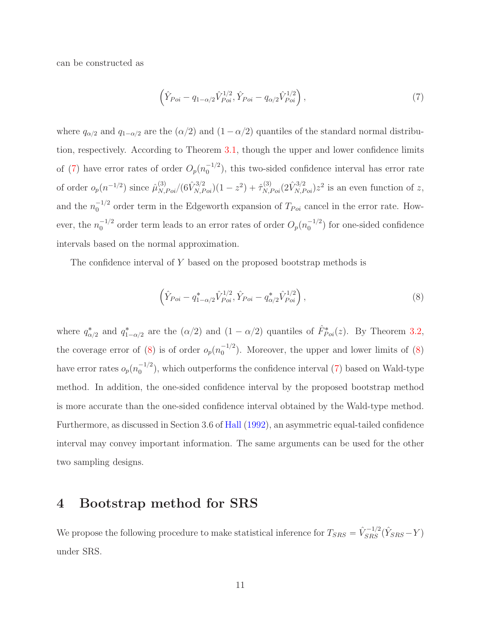can be constructed as

<span id="page-10-0"></span>
$$
\left(\hat{Y}_{Poi} - q_{1-\alpha/2}\hat{V}_{Poi}^{1/2}, \hat{Y}_{Poi} - q_{\alpha/2}\hat{V}_{Poi}^{1/2}\right),\tag{7}
$$

where  $q_{\alpha/2}$  and  $q_{1-\alpha/2}$  are the  $(\alpha/2)$  and  $(1 - \alpha/2)$  quantiles of the standard normal distribution, respectively. According to Theorem [3.1,](#page-8-1) though the upper and lower confidence limits of [\(7\)](#page-10-0) have error rates of order  $O_p(n_0^{-1/2})$  $\binom{-1}{0}$ , this two-sided confidence interval has error rate of order  $o_p(n^{-1/2})$  since  $\hat{\mu}_{N,Poi}^{(3)}/(6\hat{V}_{N,Poi}^{3/2})(1-z^2) + \hat{\tau}_{N,Poi}^{(3)}(2\hat{V}_{N,Poi}^{3/2})z^2$  is an even function of z, and the  $n_0^{-1/2}$  order term in the Edgeworth expansion of  $T_{Poi}$  cancel in the error rate. However, the  $n_0^{-1/2}$  order term leads to an error rates of order  $O_p(n_0^{-1/2})$  $\binom{-1}{0}$  for one-sided confidence intervals based on the normal approximation.

The confidence interval of Y based on the proposed bootstrap methods is

<span id="page-10-1"></span>
$$
\left(\hat{Y}_{Poi} - q_{1-\alpha/2}^* \hat{V}_{Poi}^{1/2}, \hat{Y}_{Poi} - q_{\alpha/2}^* \hat{V}_{Poi}^{1/2}\right),\tag{8}
$$

where  $q^*_{\alpha/2}$  and  $q^*_{1-\alpha/2}$  are the  $(\alpha/2)$  and  $(1-\alpha/2)$  quantiles of  $\hat{F}^*_{Poi}(z)$ . By Theorem [3.2,](#page-9-2) the coverage error of [\(8\)](#page-10-1) is of order  $o_p(n_0^{-1/2})$  $\binom{-1}{0}$ . Moreover, the upper and lower limits of [\(8\)](#page-10-1) have error rates  $o_p(n_0^{-1/2})$  $\binom{-1}{0}$ , which outperforms the confidence interval [\(7\)](#page-10-0) based on Wald-type method. In addition, the one-sided confidence interval by the proposed bootstrap method is more accurate than the one-sided confidence interval obtained by the Wald-type method. Furthermore, as discussed in Section 3.6 of [Hall](#page-82-0) [\(1992](#page-82-0)), an asymmetric equal-tailed confidence interval may convey important information. The same arguments can be used for the other two sampling designs.

#### 4 Bootstrap method for SRS

We propose the following procedure to make statistical inference for  $T_{SRS} = \hat{V}_{SRS}^{-1/2} (\hat{Y}_{SRS} - Y)$ under SRS.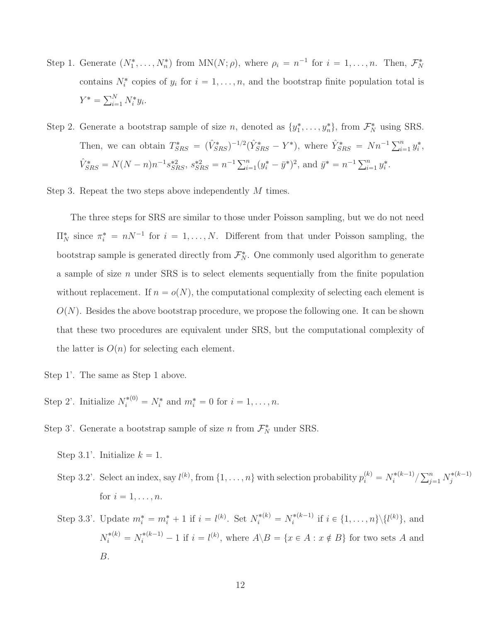- Step 1. Generate  $(N_1^*, \ldots, N_n^*)$  from  $MN(N; \rho)$ , where  $\rho_i = n^{-1}$  for  $i = 1, \ldots, n$ . Then,  $\mathcal{F}_N^*$ contains  $N_i^*$  copies of  $y_i$  for  $i = 1, \ldots, n$ , and the bootstrap finite population total is  $Y^* = \sum_{i=1}^N N_i^* y_i.$
- Step 2. Generate a bootstrap sample of size n, denoted as  $\{y_1^*, \ldots, y_n^*\}$ , from  $\mathcal{F}_N^*$  using SRS. Then, we can obtain  $T_{SRS}^* = (\hat{V}_{SRS}^*)^{-1/2} (\hat{Y}_{SRS}^* - Y^*)$ , where  $\hat{Y}_{SRS}^* = Nn^{-1} \sum_{i=1}^n y_i^*$ ,  $\hat{V}_{SRS}^* = N(N - n)n^{-1}s_{SRS}^{*2}, s_{SRS}^{*2} = n^{-1}\sum_{i=1}^n (y_i^* - \bar{y}^*)^2$ , and  $\bar{y}^* = n^{-1}\sum_{i=1}^n y_i^*$ .

Step 3. Repeat the two steps above independently M times.

The three steps for SRS are similar to those under Poisson sampling, but we do not need  $\Pi_N^*$  since  $\pi_i^* = nN^{-1}$  for  $i = 1, ..., N$ . Different from that under Poisson sampling, the bootstrap sample is generated directly from  $\mathcal{F}_N^*$ . One commonly used algorithm to generate a sample of size  $n$  under SRS is to select elements sequentially from the finite population without replacement. If  $n = o(N)$ , the computational complexity of selecting each element is  $O(N)$ . Besides the above bootstrap procedure, we propose the following one. It can be shown that these two procedures are equivalent under SRS, but the computational complexity of the latter is  $O(n)$  for selecting each element.

- Step 1'. The same as Step 1 above.
- Step 2'. Initialize  $N_i^{*(0)} = N_i^*$  and  $m_i^* = 0$  for  $i = 1, \ldots, n$ .
- Step 3'. Generate a bootstrap sample of size  $n$  from  $\mathcal{F}_N^*$  under SRS.
	- Step 3.1'. Initialize  $k = 1$ .
	- Step 3.2'. Select an index, say  $l^{(k)}$ , from  $\{1, \ldots, n\}$  with selection probability  $p_i^{(k)} = N_i^{*(k-1)}$  $\binom{*(k-1)}{i} \sum_{j=1}^n N_j^{*(k-1)}$ j for  $i = 1, \ldots, n$ .
	- Step 3.3'. Update  $m_i^* = m_i^* + 1$  if  $i = l^{(k)}$ . Set  $N_i^{*(k)} = N_i^{*(k-1)}$  $i^{*(k-1)}$  if  $i \in \{1, ..., n\} \setminus \{l^{(k)}\},$  and  $N_i^{*(k)} = N_i^{*(k-1)} - 1$  if  $i = l^{(k)}$ , where  $A \setminus B = \{x \in A : x \notin B\}$  for two sets A and B.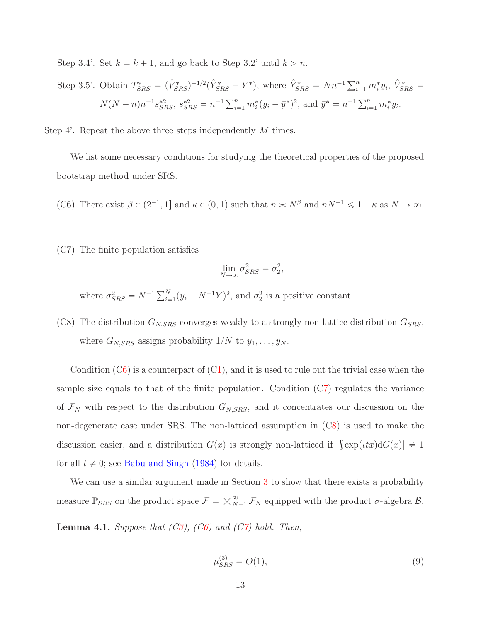Step 3.4'. Set  $k = k + 1$ , and go back to Step 3.2' until  $k > n$ .

Step 3.5'. Obtain 
$$
T_{SRS}^* = (\hat{V}_{SRS}^*)^{-1/2} (\hat{Y}_{SRS}^* - Y^*)
$$
, where  $\hat{Y}_{SRS}^* = Nn^{-1} \sum_{i=1}^n m_i^* y_i$ ,  $\hat{V}_{SRS}^* = N(N - n)n^{-1} s_{SRS}^{*2}$ ,  $s_{SRS}^{*2} = n^{-1} \sum_{i=1}^n m_i^* (y_i - \bar{y}^*)^2$ , and  $\bar{y}^* = n^{-1} \sum_{i=1}^n m_i^* y_i$ .

Step 4'. Repeat the above three steps independently M times.

<span id="page-12-0"></span>We list some necessary conditions for studying the theoretical properties of the proposed bootstrap method under SRS.

- <span id="page-12-1"></span>(C6) There exist  $\beta \in (2^{-1}, 1]$  and  $\kappa \in (0, 1)$  such that  $n \asymp N^{\beta}$  and  $nN^{-1} \leq 1 - \kappa$  as  $N \to \infty$ .
- (C7) The finite population satisfies

$$
\lim_{N \to \infty} \sigma_{SRS}^2 = \sigma_2^2,
$$

<span id="page-12-2"></span>where  $\sigma_{SRS}^2 = N^{-1} \sum_{i=1}^N (y_i - N^{-1}Y)^2$ , and  $\sigma_2^2$  is a positive constant.

(C8) The distribution  $G_{N,SRS}$  converges weakly to a strongly non-lattice distribution  $G_{SRS}$ , where  $G_{N,SRS}$  assigns probability  $1/N$  to  $y_1, \ldots, y_N$ .

Condition  $(C6)$  $(C6)$  is a counterpart of  $(C1)$  $(C1)$ , and it is used to rule out the trivial case when the sample size equals to that of the finite population. Condition ([C7\)](#page-12-1) regulates the variance of  $\mathcal{F}_N$  with respect to the distribution  $G_{N,SRS}$ , and it concentrates our discussion on the non-degenerate case under SRS. The non-latticed assumption in ([C8\)](#page-12-2) is used to make the discussion easier, and a distribution  $G(x)$  is strongly non-latticed if  $|\int \exp(\iota tx)\mathrm{d}G(x)| \neq 1$ for all  $t \neq 0$ ; see [Babu and Singh](#page-81-8) [\(1984](#page-81-8)) for details.

We can use a similar argument made in Section [3](#page-5-0) to show that there exists a probability measure  $\mathbb{P}_{SRS}$  on the product space  $\mathcal{F} = \times_{N=1}^{\infty} \mathcal{F}_N$  equipped with the product  $\sigma$ -algebra  $\mathcal{B}$ .

<span id="page-12-3"></span>Lemma 4.1. *Suppose that ([C3\)](#page-6-1), ([C6\)](#page-12-0) and ([C7\)](#page-12-1) hold. Then,*

<span id="page-12-4"></span>
$$
\mu_{SRS}^{(3)} = O(1),\tag{9}
$$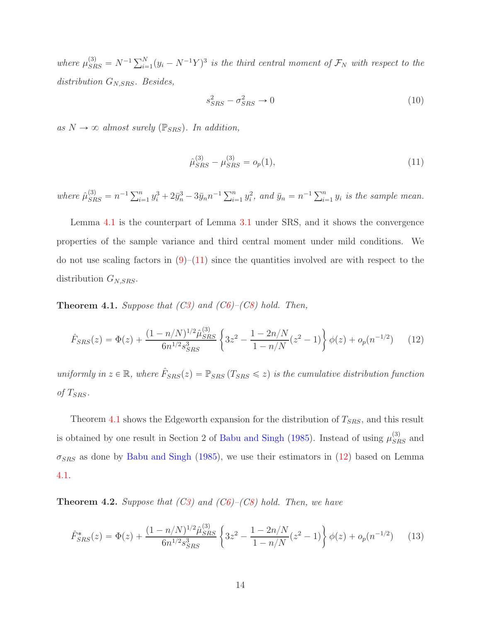where  $\mu_{SRS}^{(3)} = N^{-1} \sum_{i=1}^{N} (y_i - N^{-1}Y)^3$  is the third central moment of  $\mathcal{F}_N$  with respect to the *distribution* GN,SRS*. Besides,*

$$
s_{SRS}^2 - \sigma_{SRS}^2 \to 0 \tag{10}
$$

 $as N \rightarrow \infty$  *almost surely* ( $\mathbb{P}_{SRS}$ ). In addition,

<span id="page-13-0"></span>
$$
\hat{\mu}_{SRS}^{(3)} - \mu_{SRS}^{(3)} = o_p(1),\tag{11}
$$

where  $\hat{\mu}_{SRS}^{(3)} = n^{-1} \sum_{i=1}^n y_i^3 + 2\bar{y}_n^3 - 3\bar{y}_n n^{-1} \sum_{i=1}^n y_i^2$ , and  $\bar{y}_n = n^{-1} \sum_{i=1}^n y_i$  is the sample mean.

Lemma [4.1](#page-12-3) is the counterpart of Lemma [3.1](#page-7-1) under SRS, and it shows the convergence properties of the sample variance and third central moment under mild conditions. We do not use scaling factors in  $(9)$ – $(11)$  since the quantities involved are with respect to the distribution  $G_{N,SRS}$ .

<span id="page-13-1"></span>Theorem 4.1. *Suppose that ([C3\)](#page-6-1) and ([C6\)](#page-12-0)–([C8\)](#page-12-2) hold. Then,*

<span id="page-13-2"></span>
$$
\hat{F}_{SRS}(z) = \Phi(z) + \frac{(1 - n/N)^{1/2} \hat{\mu}_{SRS}^{(3)}}{6n^{1/2} s_{SRS}^3} \left\{ 3z^2 - \frac{1 - 2n/N}{1 - n/N} (z^2 - 1) \right\} \phi(z) + o_p(n^{-1/2}) \tag{12}
$$

*uniformly in*  $z \in \mathbb{R}$ , where  $\hat{F}_{SRS}(z) = \mathbb{P}_{SRS}(T_{SRS} \leq z)$  is the cumulative distribution function of  $T_{SRS}$ .

Theorem [4.1](#page-13-1) shows the Edgeworth expansion for the distribution of  $T_{SRS}$ , and this result is obtained by one result in Section 2 of [Babu and Singh](#page-81-9) [\(1985\)](#page-81-9). Instead of using  $\mu_{SRS}^{(3)}$  and  $\sigma_{SRS}$  as done by [Babu and Singh](#page-81-9) [\(1985](#page-81-9)), we use their estimators in [\(12\)](#page-13-2) based on Lemma [4.1.](#page-12-3)

<span id="page-13-3"></span>Theorem 4.2. *Suppose that ([C3\)](#page-6-1) and ([C6\)](#page-12-0)–([C8\)](#page-12-2) hold. Then, we have*

<span id="page-13-4"></span>
$$
\hat{F}_{SRS}^*(z) = \Phi(z) + \frac{(1 - n/N)^{1/2} \hat{\mu}_{SRS}^{(3)}}{6n^{1/2} s_{SRS}^3} \left\{ 3z^2 - \frac{1 - 2n/N}{1 - n/N} (z^2 - 1) \right\} \phi(z) + o_p(n^{-1/2}) \tag{13}
$$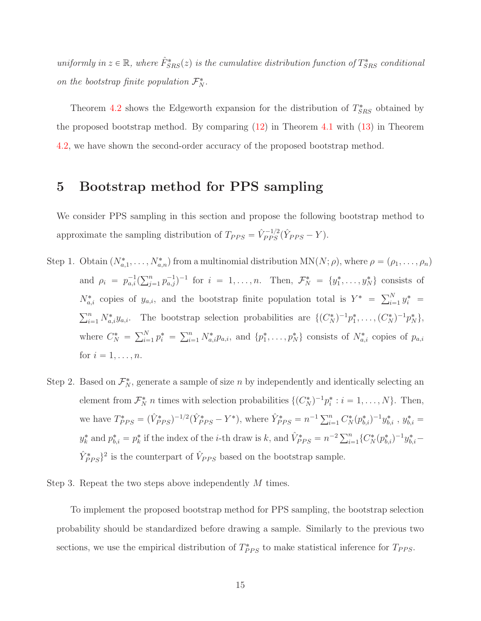$uniformly in z \in \mathbb{R}$ , where  $\hat{F}_{SRS}^*(z)$  is the cumulative distribution function of  $T_{SRS}^*$  conditional *on the bootstrap finite population*  $\mathcal{F}_N^*$ .

Theorem [4.2](#page-13-3) shows the Edgeworth expansion for the distribution of  $T_{SRS}^*$  obtained by the proposed bootstrap method. By comparing [\(12\)](#page-13-2) in Theorem [4.1](#page-13-1) with [\(13\)](#page-13-4) in Theorem [4.2,](#page-13-3) we have shown the second-order accuracy of the proposed bootstrap method.

#### 5 Bootstrap method for PPS sampling

We consider PPS sampling in this section and propose the following bootstrap method to approximate the sampling distribution of  $T_{PPS} = \hat{V}_{PPS}^{-1/2} (\hat{Y}_{PPS} - Y)$ .

- Step 1. Obtain  $(N^*_{a,1},\ldots,N^*_{a,n})$  from a multinomial distribution  $MN(N; \rho)$ , where  $\rho = (\rho_1,\ldots,\rho_n)$ and  $\rho_i = p_{a,i}^{-1} (\sum_{j=1}^n p_{a,j}^{-1})^{-1}$  for  $i = 1, ..., n$ . Then,  $\mathcal{F}_N^* = \{y_1^*, ..., y_N^*\}$  consists of  $N_{a,i}^*$  copies of  $y_{a,i}$ , and the bootstrap finite population total is  $Y^* = \sum_{i=1}^N y_i^* =$  $\sum_{i=1}^n N^*_{a,i}y_{a,i}$ . The bootstrap selection probabilities are  $\{(C_N^*)^{-1}p_1^*,\ldots,(C_N^*)^{-1}p_N^*\}$ , where  $C_N^* = \sum_{i=1}^N p_i^* = \sum_{i=1}^n N_{a,i}^* p_{a,i}$ , and  $\{p_1^*, \ldots, p_N^*\}$  consists of  $N_{a,i}^*$  copies of  $p_{a,i}$ for  $i = 1, \ldots, n$ .
- Step 2. Based on  $\mathcal{F}_{N}^{*}$ , generate a sample of size n by independently and identically selecting an element from  $\mathcal{F}_N^*$  *n* times with selection probabilities  $\{(C_N^*)^{-1}p_i^*: i = 1, \ldots, N\}$ . Then, we have  $T^*_{PPS} = (\hat{V}^*_{PPS})^{-1/2} (\hat{Y}^*_{PPS} - Y^*)$ , where  $\hat{Y}^*_{PPS} = n^{-1} \sum_{i=1}^n C^*_{N} (p^*_{b,i})^{-1} y^*_{b,i}$ ,  $y^*_{b,i} =$  $y_k^*$  and  $p_{b,i}^* = p_k^*$  if the index of the *i*-th draw is k, and  $\hat{V}_{PPS}^* = n^{-2} \sum_{i=1}^n \{C_N^*(p_{b,i}^*)^{-1} y_{b,i}^* \hat{Y}_{PPS}^*$ <sup>2</sup> is the counterpart of  $\hat{V}_{PPS}$  based on the bootstrap sample.

Step 3. Repeat the two steps above independently M times.

To implement the proposed bootstrap method for PPS sampling, the bootstrap selection probability should be standardized before drawing a sample. Similarly to the previous two sections, we use the empirical distribution of  $T^*_{PPS}$  to make statistical inference for  $T_{PPS}$ .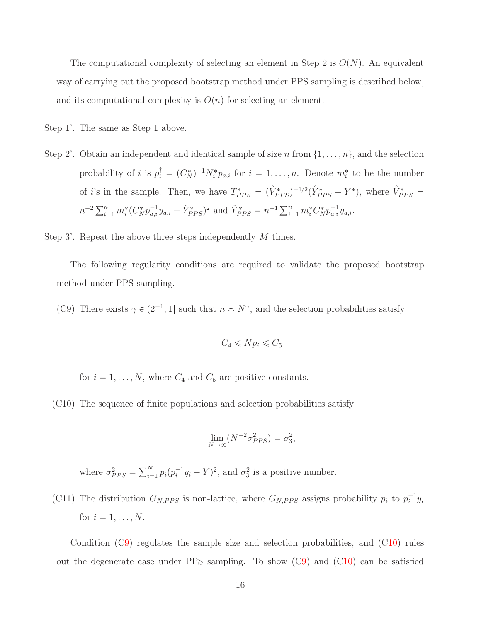The computational complexity of selecting an element in Step 2 is  $O(N)$ . An equivalent way of carrying out the proposed bootstrap method under PPS sampling is described below, and its computational complexity is  $O(n)$  for selecting an element.

Step 1'. The same as Step 1 above.

Step 2'. Obtain an independent and identical sample of size n from  $\{1, \ldots, n\}$ , and the selection probability of *i* is  $p_i^{\dagger} = (C_N^*)^{-1} N_i^* p_{a,i}$  for  $i = 1, ..., n$ . Denote  $m_i^*$  to be the number of *i*'s in the sample. Then, we have  $T^*_{PPS} = (\hat{V}^*_{PPS})^{-1/2}(\hat{Y}^*_{PPS} - Y^*)$ , where  $\hat{V}^*_{PPS} =$  $n^{-2} \sum_{i=1}^{n} m_i^* (C_N^* p_{a,i}^{-1} y_{a,i} - \hat{Y}_{PPS}^*)^2$  and  $\hat{Y}_{PPS}^* = n^{-1} \sum_{i=1}^{n} m_i^* C_N^* p_{a,i}^{-1} y_{a,i}$ .

Step 3'. Repeat the above three steps independently M times.

<span id="page-15-0"></span>The following regularity conditions are required to validate the proposed bootstrap method under PPS sampling.

(C9) There exists  $\gamma \in (2^{-1}, 1]$  such that  $n \asymp N^{\gamma}$ , and the selection probabilities satisfy

$$
C_4 \leqslant N p_i \leqslant C_5
$$

<span id="page-15-1"></span>for  $i = 1, ..., N$ , where  $C_4$  and  $C_5$  are positive constants.

(C10) The sequence of finite populations and selection probabilities satisfy

$$
\lim_{N \to \infty} (N^{-2} \sigma_{PPS}^2) = \sigma_3^2,
$$

<span id="page-15-2"></span>where  $\sigma_{PPS}^2 = \sum_{i=1}^N p_i (p_i^{-1} y_i - Y)^2$ , and  $\sigma_3^2$  is a positive number.

(C11) The distribution  $G_{N,PPS}$  is non-lattice, where  $G_{N,PPS}$  assigns probability  $p_i$  to  $p_i^{-1}y_i$ for  $i = 1, \ldots, N$ .

Condition ([C9\)](#page-15-0) regulates the sample size and selection probabilities, and ([C10\)](#page-15-1) rules out the degenerate case under PPS sampling. To show ([C9\)](#page-15-0) and ([C10\)](#page-15-1) can be satisfied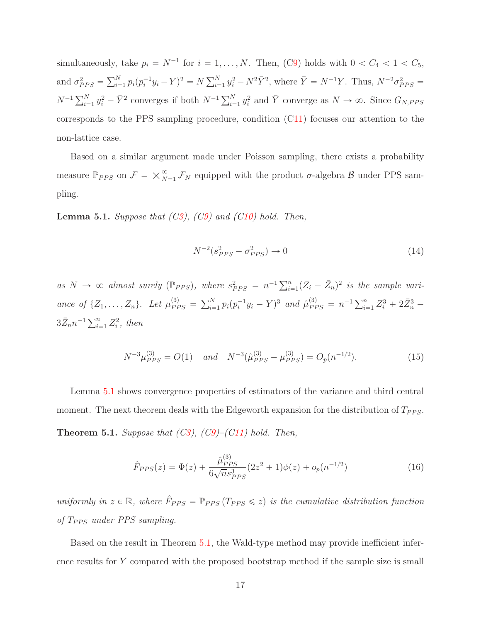simultaneously, take  $p_i = N^{-1}$  for  $i = 1, ..., N$ . Then, ([C9\)](#page-15-0) holds with  $0 < C_4 < 1 < C_5$ , and  $\sigma_{PPS}^2 = \sum_{i=1}^N p_i (p_i^{-1} y_i - Y)^2 = N \sum_{i=1}^N y_i^2 - N^2 \bar{Y}^2$ , where  $\bar{Y} = N^{-1} Y$ . Thus,  $N^{-2} \sigma_{PPS}^2 =$  $N^{-1}\sum_{i=1}^N y_i^2 - \bar{Y}^2$  converges if both  $N^{-1}\sum_{i=1}^N y_i^2$  and  $\bar{Y}$  converge as  $N \to \infty$ . Since  $G_{N,PPS}$ corresponds to the PPS sampling procedure, condition ([C11\)](#page-15-2) focuses our attention to the non-lattice case.

Based on a similar argument made under Poisson sampling, there exists a probability measure  $\mathbb{P}_{PPS}$  on  $\mathcal{F} = \times_{N=1}^{\infty} \mathcal{F}_N$  equipped with the product  $\sigma$ -algebra  $\mathcal{B}$  under PPS sampling.

<span id="page-16-0"></span>Lemma 5.1. *Suppose that ([C3\)](#page-6-1), ([C9\)](#page-15-0) and ([C10\)](#page-15-1) hold. Then,*

$$
N^{-2}(s_{PPS}^2 - \sigma_{PPS}^2) \to 0 \tag{14}
$$

as  $N \to \infty$  almost surely ( $\mathbb{P}_{PPS}$ ), where  $s_{PPS}^2 = n^{-1} \sum_{i=1}^n (Z_i - \bar{Z}_n)^2$  is the sample variance of  $\{Z_1, \ldots, Z_n\}$ . Let  $\mu_{PPS}^{(3)} = \sum_{i=1}^N p_i (p_i^{-1} y_i - Y)^3$  and  $\hat{\mu}_{PPS}^{(3)} = n^{-1} \sum_{i=1}^n Z_i^3 + 2 \bar{Z}_n^3$  $3\bar{Z}_nn^{-1}\sum_{i=1}^n Z_i^2$ , then

$$
N^{-3}\mu_{PPS}^{(3)} = O(1) \quad \text{and} \quad N^{-3}(\hat{\mu}_{PPS}^{(3)} - \mu_{PPS}^{(3)}) = O_p(n^{-1/2}). \tag{15}
$$

<span id="page-16-1"></span>Lemma [5.1](#page-16-0) shows convergence properties of estimators of the variance and third central moment. The next theorem deals with the Edgeworth expansion for the distribution of  $T_{PPS}$ . Theorem 5.1. *Suppose that ([C3\)](#page-6-1), ([C9\)](#page-15-0)–([C11\)](#page-15-2) hold. Then,*

<span id="page-16-2"></span>
$$
\hat{F}_{PPS}(z) = \Phi(z) + \frac{\hat{\mu}_{PPS}^{(3)}}{6\sqrt{n}s_{PPS}^3} (2z^2 + 1)\phi(z) + o_p(n^{-1/2})
$$
\n(16)

*uniformly in*  $z \in \mathbb{R}$ , where  $\hat{F}_{PPS} = \mathbb{P}_{PPS} (T_{PPS} \leq z)$  *is the cumulative distribution function of*  $T_{PPS}$  *under PPS sampling.* 

Based on the result in Theorem [5.1,](#page-16-1) the Wald-type method may provide inefficient inference results for Y compared with the proposed bootstrap method if the sample size is small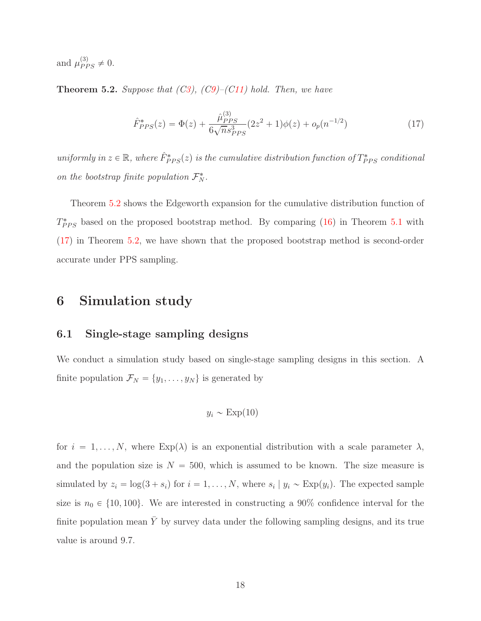and  $\mu_{PPS}^{(3)} \neq 0$ .

<span id="page-17-0"></span>Theorem 5.2. *Suppose that ([C3\)](#page-6-1), ([C9\)](#page-15-0)–([C11\)](#page-15-2) hold. Then, we have*

<span id="page-17-1"></span>
$$
\hat{F}_{PPS}^{*}(z) = \Phi(z) + \frac{\hat{\mu}_{PPS}^{(3)}}{6\sqrt{n}s_{PPS}^{3}}(2z^{2}+1)\phi(z) + o_{p}(n^{-1/2})
$$
\n(17)

 $uniformly in z \in \mathbb{R}$ , where  $\hat{F}_{PPS}^{*}(z)$  is the cumulative distribution function of  $T_{PPS}^{*}$  conditional *on the bootstrap finite population*  $\mathcal{F}_N^*$ .

Theorem [5.2](#page-17-0) shows the Edgeworth expansion for the cumulative distribution function of  $T_{PPS}^*$  based on the proposed bootstrap method. By comparing [\(16\)](#page-16-2) in Theorem [5.1](#page-16-1) with [\(17\)](#page-17-1) in Theorem [5.2,](#page-17-0) we have shown that the proposed bootstrap method is second-order accurate under PPS sampling.

## <span id="page-17-2"></span>6 Simulation study

#### 6.1 Single-stage sampling designs

We conduct a simulation study based on single-stage sampling designs in this section. A finite population  $\mathcal{F}_N = \{y_1, \ldots, y_N\}$  is generated by

$$
y_i \sim \text{Exp}(10)
$$

for  $i = 1, ..., N$ , where  $Exp(\lambda)$  is an exponential distribution with a scale parameter  $\lambda$ , and the population size is  $N = 500$ , which is assumed to be known. The size measure is simulated by  $z_i = \log(3 + s_i)$  for  $i = 1, ..., N$ , where  $s_i | y_i \sim \text{Exp}(y_i)$ . The expected sample size is  $n_0 \in \{10, 100\}$ . We are interested in constructing a 90% confidence interval for the finite population mean  $\bar{Y}$  by survey data under the following sampling designs, and its true value is around 9.7.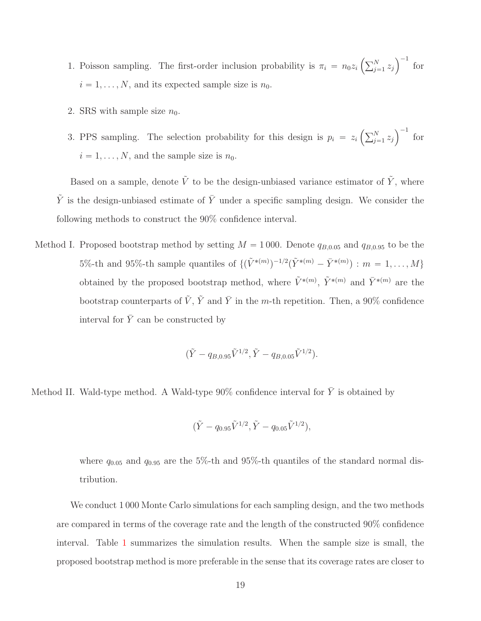- 1. Poisson sampling. The first-order inclusion probability is  $\pi_i = n_0 z_i \left( \sum_{j=1}^N z_j \right)^{-1}$  for  $i = 1, \ldots, N$ , and its expected sample size is  $n_0$ .
- 2. SRS with sample size  $n_0$ .
- 3. PPS sampling. The selection probability for this design is  $p_i = z_i \left( \sum_{j=1}^N z_j \right)^{-1}$  for  $i = 1, \ldots, N$ , and the sample size is  $n_0$ .

Based on a sample, denote  $\tilde{V}$  to be the design-unbiased variance estimator of  $\tilde{Y}$ , where  $\tilde{Y}$  is the design-unbiased estimate of  $\bar{Y}$  under a specific sampling design. We consider the following methods to construct the 90% confidence interval.

Method I. Proposed bootstrap method by setting  $M = 1000$ . Denote  $q_{B,0.05}$  and  $q_{B,0.95}$  to be the 5%-th and 95%-th sample quantiles of  $\{(\tilde{V}^{*(m)})^{-1/2}(\tilde{Y}^{*(m)} - \bar{Y}^{*(m)}) : m = 1, ..., M\}$ obtained by the proposed bootstrap method, where  $\tilde{V}^{*(m)}$ ,  $\tilde{Y}^{*(m)}$  and  $\bar{Y}^{*(m)}$  are the bootstrap counterparts of  $\tilde{V}$ ,  $\tilde{Y}$  and  $\overline{Y}$  in the m-th repetition. Then, a 90% confidence interval for  $\bar{Y}$  can be constructed by

$$
(\tilde{Y} - q_{B,0.95}\tilde{V}^{1/2}, \tilde{Y} - q_{B,0.05}\tilde{V}^{1/2}).
$$

Method II. Wald-type method. A Wald-type 90% confidence interval for  $\bar{Y}$  is obtained by

$$
(\tilde{Y} - q_{0.95}\tilde{V}^{1/2}, \tilde{Y} - q_{0.05}\tilde{V}^{1/2}),
$$

where  $q_{0.05}$  and  $q_{0.95}$  are the 5%-th and 95%-th quantiles of the standard normal distribution.

We conduct 1000 Monte Carlo simulations for each sampling design, and the two methods are compared in terms of the coverage rate and the length of the constructed 90% confidence interval. Table [1](#page-19-0) summarizes the simulation results. When the sample size is small, the proposed bootstrap method is more preferable in the sense that its coverage rates are closer to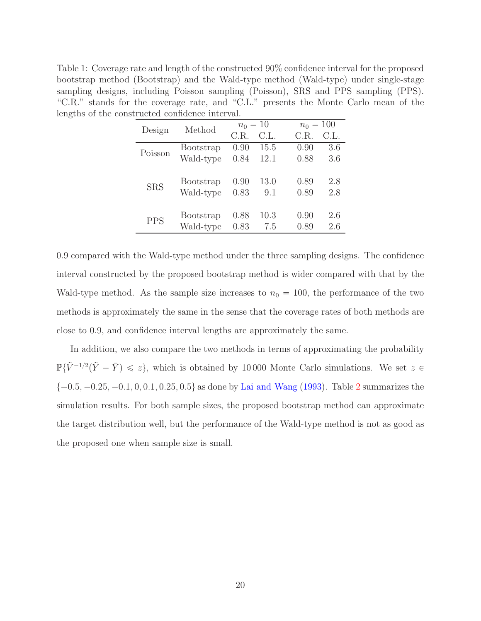<span id="page-19-0"></span>Table 1: Coverage rate and length of the constructed 90% confidence interval for the proposed bootstrap method (Bootstrap) and the Wald-type method (Wald-type) under single-stage sampling designs, including Poisson sampling (Poisson), SRS and PPS sampling (PPS). "C.R." stands for the coverage rate, and "C.L." presents the Monte Carlo mean of the lengths of the constructed confidence interval.

| Design     | Method    | $n_0 = 10$ |      |      | $n_0 = 100$ |  |
|------------|-----------|------------|------|------|-------------|--|
|            |           | C.R.       | C.L. | C.R. | C.L.        |  |
| Poisson    | Bootstrap | 0.90       | 15.5 | 0.90 | 3.6         |  |
|            | Wald-type | 0.84       | 12.1 | 0.88 | 3.6         |  |
|            |           |            |      |      |             |  |
| <b>SRS</b> | Bootstrap | 0.90       | 13.0 | 0.89 | 2.8         |  |
|            | Wald-type | 0.83       | 9.1  | 0.89 | 2.8         |  |
|            |           |            |      |      |             |  |
| <b>PPS</b> | Bootstrap | 0.88       | 10.3 | 0.90 | 2.6         |  |
|            | Wald-type | 0.83       | 7.5  | 0.89 | 2.6         |  |

0.9 compared with the Wald-type method under the three sampling designs. The confidence interval constructed by the proposed bootstrap method is wider compared with that by the Wald-type method. As the sample size increases to  $n_0 = 100$ , the performance of the two methods is approximately the same in the sense that the coverage rates of both methods are close to 0.9, and confidence interval lengths are approximately the same.

In addition, we also compare the two methods in terms of approximating the probability  $\mathbb{P}\{\tilde{V}^{-1/2}(\tilde{Y}-\bar{Y})\leq z\}$ , which is obtained by 10000 Monte Carlo simulations. We set  $z \in \mathbb{P}$  $\{-0.5, -0.25, -0.1, 0, 0.1, 0.25, 0.5\}$  $\{-0.5, -0.25, -0.1, 0, 0.1, 0.25, 0.5\}$  $\{-0.5, -0.25, -0.1, 0, 0.1, 0.25, 0.5\}$  as done by [Lai and Wang](#page-82-9) [\(1993\)](#page-82-9). Table 2 summarizes the simulation results. For both sample sizes, the proposed bootstrap method can approximate the target distribution well, but the performance of the Wald-type method is not as good as the proposed one when sample size is small.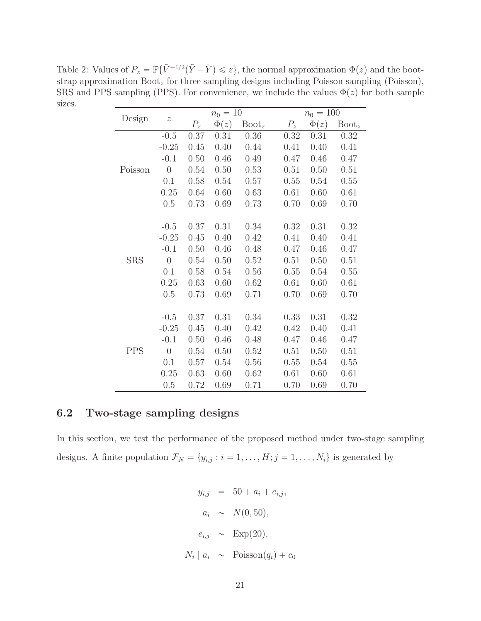<span id="page-20-0"></span>Table 2: Values of  $P_z = \mathbb{P}\{\tilde{V}^{-1/2}(\tilde{Y} - \bar{Y}) \leq z\}$ , the normal approximation  $\Phi(z)$  and the bootstrap approximation  $\text{Boot}_z$  for three sampling designs including Poisson sampling (Poisson), SRS and PPS sampling (PPS). For convenience, we include the values  $\Phi(z)$  for both sample sizes.

| Design     | $\boldsymbol{z}$ | $n_0 = 10$ |           |                 |       | $n_0 = 100$ |                 |  |
|------------|------------------|------------|-----------|-----------------|-------|-------------|-----------------|--|
|            |                  | $P_z$      | $\Phi(z)$ | $\text{Boot}_z$ | $P_z$ | $\Phi(z)$   | $\text{Boot}_z$ |  |
| Poisson    | $-0.5$           | 0.37       | 0.31      | 0.36            | 0.32  | 0.31        | 0.32            |  |
|            | $-0.25$          | 0.45       | 0.40      | 0.44            | 0.41  | 0.40        | 0.41            |  |
|            | $-0.1$           | 0.50       | 0.46      | 0.49            | 0.47  | 0.46        | 0.47            |  |
|            | $\theta$         | 0.54       | 0.50      | 0.53            | 0.51  | 0.50        | 0.51            |  |
|            | 0.1              | 0.58       | 0.54      | 0.57            | 0.55  | 0.54        | 0.55            |  |
|            | 0.25             | 0.64       | 0.60      | 0.63            | 0.61  | 0.60        | 0.61            |  |
|            | 0.5              | 0.73       | 0.69      | 0.73            | 0.70  | 0.69        | 0.70            |  |
|            |                  |            |           |                 |       |             |                 |  |
| <b>SRS</b> | $-0.5$           | 0.37       | 0.31      | 0.34            | 0.32  | 0.31        | 0.32            |  |
|            | $-0.25$          | 0.45       | 0.40      | 0.42            | 0.41  | 0.40        | 0.41            |  |
|            | $-0.1$           | 0.50       | 0.46      | 0.48            | 0.47  | 0.46        | 0.47            |  |
|            | $\theta$         | 0.54       | 0.50      | 0.52            | 0.51  | 0.50        | 0.51            |  |
|            | 0.1              | 0.58       | 0.54      | 0.56            | 0.55  | 0.54        | 0.55            |  |
|            | 0.25             | 0.63       | 0.60      | 0.62            | 0.61  | 0.60        | 0.61            |  |
|            | 0.5              | 0.73       | 0.69      | 0.71            | 0.70  | 0.69        | 0.70            |  |
|            |                  |            |           |                 |       |             |                 |  |
| <b>PPS</b> | $-0.5$           | 0.37       | 0.31      | 0.34            | 0.33  | 0.31        | 0.32            |  |
|            | $-0.25$          | 0.45       | 0.40      | 0.42            | 0.42  | 0.40        | 0.41            |  |
|            | $-0.1$           | 0.50       | 0.46      | 0.48            | 0.47  | 0.46        | 0.47            |  |
|            | $\theta$         | 0.54       | 0.50      | 0.52            | 0.51  | 0.50        | 0.51            |  |
|            | 0.1              | 0.57       | 0.54      | 0.56            | 0.55  | 0.54        | 0.55            |  |
|            | 0.25             | 0.63       | 0.60      | 0.62            | 0.61  | 0.60        | 0.61            |  |
|            | 0.5              | 0.72       | 0.69      | 0.71            | 0.70  | 0.69        | 0.70            |  |

## 6.2 Two-stage sampling designs

In this section, we test the performance of the proposed method under two-stage sampling designs. A finite population  $\mathcal{F}_N = \{y_{i,j} : i = 1, \ldots, H; j = 1, \ldots, N_i\}$  is generated by

$$
y_{i,j} = 50 + a_i + e_{i,j},
$$
  
\n
$$
a_i \sim N(0, 50),
$$
  
\n
$$
e_{i,j} \sim \text{Exp}(20),
$$
  
\n
$$
N_i | a_i \sim \text{Poisson}(q_i) + c_0
$$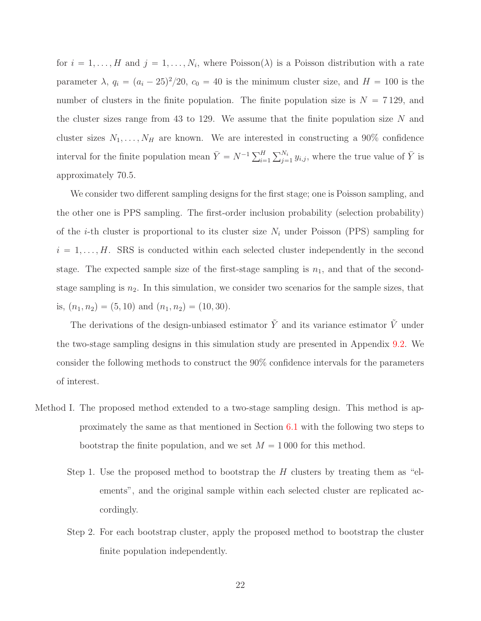for  $i = 1, ..., H$  and  $j = 1, ..., N_i$ , where Poisson( $\lambda$ ) is a Poisson distribution with a rate parameter  $\lambda$ ,  $q_i = (a_i - 25)^2/20$ ,  $c_0 = 40$  is the minimum cluster size, and  $H = 100$  is the number of clusters in the finite population. The finite population size is  $N = 7129$ , and the cluster sizes range from 43 to 129. We assume that the finite population size  $N$  and cluster sizes  $N_1, \ldots, N_H$  are known. We are interested in constructing a 90% confidence interval for the finite population mean  $\bar{Y} = N^{-1} \sum_{i=1}^{H} \sum_{j=1}^{N_i} y_{i,j}$ , where the true value of  $\bar{Y}$  is approximately 70.5.

We consider two different sampling designs for the first stage; one is Poisson sampling, and the other one is PPS sampling. The first-order inclusion probability (selection probability) of the *i*-th cluster is proportional to its cluster size  $N_i$  under Poisson (PPS) sampling for  $i = 1, \ldots, H$ . SRS is conducted within each selected cluster independently in the second stage. The expected sample size of the first-stage sampling is  $n_1$ , and that of the secondstage sampling is  $n_2$ . In this simulation, we consider two scenarios for the sample sizes, that is,  $(n_1, n_2) = (5, 10)$  and  $(n_1, n_2) = (10, 30)$ .

The derivations of the design-unbiased estimator  $\tilde{Y}$  and its variance estimator  $\tilde{V}$  under the two-stage sampling designs in this simulation study are presented in Appendix [9.2.](#page-77-0) We consider the following methods to construct the 90% confidence intervals for the parameters of interest.

- Method I. The proposed method extended to a two-stage sampling design. This method is approximately the same as that mentioned in Section [6.1](#page-17-2) with the following two steps to bootstrap the finite population, and we set  $M = 1000$  for this method.
	- Step 1. Use the proposed method to bootstrap the  $H$  clusters by treating them as "elements", and the original sample within each selected cluster are replicated accordingly.
	- Step 2. For each bootstrap cluster, apply the proposed method to bootstrap the cluster finite population independently.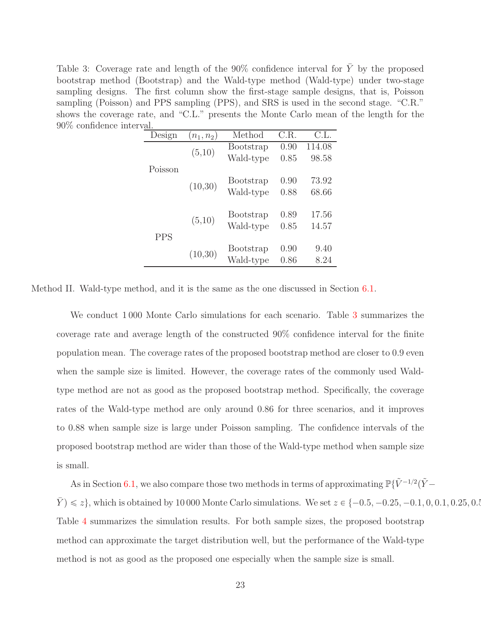<span id="page-22-0"></span>Table 3: Coverage rate and length of the 90% confidence interval for  $\overline{Y}$  by the proposed bootstrap method (Bootstrap) and the Wald-type method (Wald-type) under two-stage sampling designs. The first column show the first-stage sample designs, that is, Poisson sampling (Poisson) and PPS sampling (PPS), and SRS is used in the second stage. "C.R." shows the coverage rate, and "C.L." presents the Monte Carlo mean of the length for the 90% confidence interval.

| 1001 v 001. |            |              |                  |      |        |
|-------------|------------|--------------|------------------|------|--------|
|             | Design     | $(n_1, n_2)$ | Method           | C.R. | C.L.   |
|             |            | (5,10)       | Bootstrap        | 0.90 | 114.08 |
|             |            |              | Wald-type        | 0.85 | 98.58  |
|             | Poisson    |              |                  |      |        |
|             |            | (10,30)      | <b>Bootstrap</b> | 0.90 | 73.92  |
|             |            |              | Wald-type        | 0.88 | 68.66  |
|             |            |              |                  |      |        |
|             |            | (5,10)       | <b>Bootstrap</b> | 0.89 | 17.56  |
|             |            |              | Wald-type        | 0.85 | 14.57  |
|             | <b>PPS</b> |              |                  |      |        |
|             |            |              | <b>Bootstrap</b> | 0.90 | 9.40   |
|             |            | (10,30)      | Wald-type        | 0.86 | 8.24   |
|             |            |              |                  |      |        |

Method II. Wald-type method, and it is the same as the one discussed in Section [6.1.](#page-17-2)

We conduct 1000 Monte Carlo simulations for each scenario. Table [3](#page-22-0) summarizes the coverage rate and average length of the constructed 90% confidence interval for the finite population mean. The coverage rates of the proposed bootstrap method are closer to 0.9 even when the sample size is limited. However, the coverage rates of the commonly used Waldtype method are not as good as the proposed bootstrap method. Specifically, the coverage rates of the Wald-type method are only around 0.86 for three scenarios, and it improves to 0.88 when sample size is large under Poisson sampling. The confidence intervals of the proposed bootstrap method are wider than those of the Wald-type method when sample size is small.

As in Section [6.1,](#page-17-2) we also compare those two methods in terms of approximating  $\mathbb{P}\{\tilde{V}^{-1/2}(\tilde{Y}-\tilde{Y})\}$  $\bar{Y}$   $\leq$   $\geq$   $\geq$ }, which is obtained by 10 000 Monte Carlo simulations. We set  $z \in \{-0.5, -0.25, -0.1, 0, 0.1, 0.25, 0.5\}$ Table [4](#page-23-0) summarizes the simulation results. For both sample sizes, the proposed bootstrap method can approximate the target distribution well, but the performance of the Wald-type method is not as good as the proposed one especially when the sample size is small.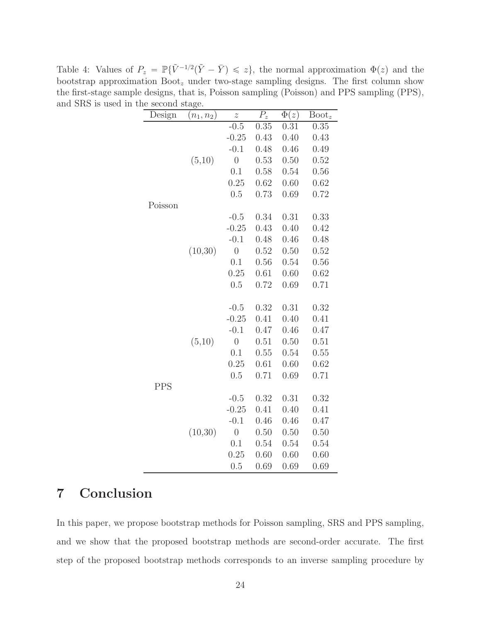<span id="page-23-0"></span>Table 4: Values of  $P_z = \mathbb{P}\{\tilde{V}^{-1/2}(\tilde{Y} - \bar{Y}) \leq z\}$ , the normal approximation  $\Phi(z)$  and the bootstrap approximation  $\text{Boot}_z$  under two-stage sampling designs. The first column show the first-stage sample designs, that is, Poisson sampling (Poisson) and PPS sampling (PPS), and SRS is used in the second stage.

| Design  | $(n_1, n_2)$ | $\tilde{z}$    | $\overline{P_z}$ | $\overline{\Phi}(z)$ | $\text{Boot}_z$ |
|---------|--------------|----------------|------------------|----------------------|-----------------|
|         |              | $-0.5$         | 0.35             | 0.31                 | 0.35            |
|         |              | $-0.25$        | 0.43             | 0.40                 | 0.43            |
|         |              | $-0.1$         | 0.48             | 0.46                 | 0.49            |
|         | (5,10)       | $\overline{0}$ | 0.53             | 0.50                 | 0.52            |
|         |              | 0.1            | 0.58             | 0.54                 | 0.56            |
|         |              | 0.25           | 0.62             | 0.60                 | 0.62            |
|         |              | 0.5            | 0.73             | 0.69                 | 0.72            |
| Poisson |              |                |                  |                      |                 |
|         |              | $-0.5$         | 0.34             | 0.31                 | 0.33            |
|         |              | $-0.25$        | 0.43             | 0.40                 | 0.42            |
|         |              | $-0.1$         | 0.48             | 0.46                 | 0.48            |
|         | (10, 30)     | $\overline{0}$ | 0.52             | 0.50                 | 0.52            |
|         |              | 0.1            | 0.56             | 0.54                 | 0.56            |
|         |              | 0.25           | 0.61             | 0.60                 | 0.62            |
|         |              | 0.5            | 0.72             | 0.69                 | 0.71            |
|         |              |                |                  |                      |                 |
|         |              | $-0.5$         | 0.32             | 0.31                 | 0.32            |
|         |              | $-0.25$        | 0.41             | 0.40                 | 0.41            |
|         |              | $-0.1$         | 0.47             | 0.46                 | 0.47            |
|         | (5,10)       | $\overline{0}$ | 0.51             | 0.50                 | 0.51            |
|         |              | 0.1            | 0.55             | 0.54                 | 0.55            |
|         |              | 0.25           | 0.61             | 0.60                 | 0.62            |
|         |              | 0.5            | 0.71             | 0.69                 | 0.71            |
| PPS     |              |                |                  |                      |                 |
|         |              | $-0.5$         | 0.32             | 0.31                 | 0.32            |
|         |              | $-0.25$        | 0.41             | 0.40                 | 0.41            |
|         |              | $-0.1$         | 0.46             | 0.46                 | 0.47            |
|         | (10, 30)     | $\overline{0}$ | 0.50             | 0.50                 | 0.50            |
|         |              | 0.1            | 0.54             | 0.54                 | 0.54            |
|         |              | 0.25           | 0.60             | 0.60                 | 0.60            |
|         |              | 0.5            | 0.69             | 0.69                 | 0.69            |

## 7 Conclusion

In this paper, we propose bootstrap methods for Poisson sampling, SRS and PPS sampling, and we show that the proposed bootstrap methods are second-order accurate. The first step of the proposed bootstrap methods corresponds to an inverse sampling procedure by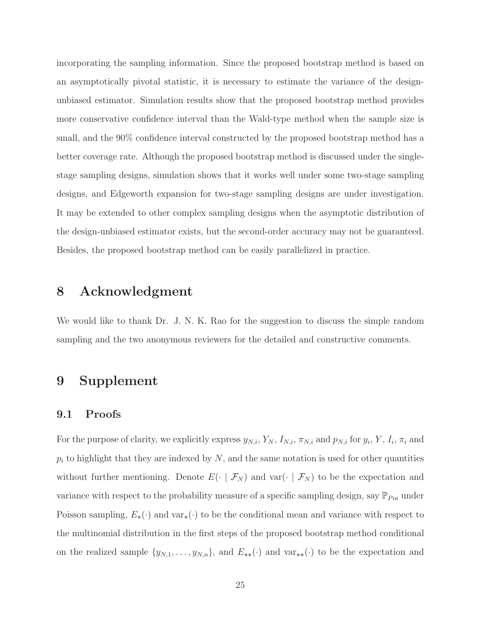incorporating the sampling information. Since the proposed bootstrap method is based on an asymptotically pivotal statistic, it is necessary to estimate the variance of the designunbiased estimator. Simulation results show that the proposed bootstrap method provides more conservative confidence interval than the Wald-type method when the sample size is small, and the 90% confidence interval constructed by the proposed bootstrap method has a better coverage rate. Although the proposed bootstrap method is discussed under the singlestage sampling designs, simulation shows that it works well under some two-stage sampling designs, and Edgeworth expansion for two-stage sampling designs are under investigation. It may be extended to other complex sampling designs when the asymptotic distribution of the design-unbiased estimator exists, but the second-order accuracy may not be guaranteed. Besides, the proposed bootstrap method can be easily parallelized in practice.

## 8 Acknowledgment

We would like to thank Dr. J. N. K. Rao for the suggestion to discuss the simple random sampling and the two anonymous reviewers for the detailed and constructive comments.

## 9 Supplement

#### 9.1 Proofs

For the purpose of clarity, we explicitly express  $y_{N,i}$ ,  $Y_N$ ,  $I_{N,i}$ ,  $\pi_{N,i}$  and  $p_{N,i}$  for  $y_i$ ,  $Y$ ,  $I_i$ ,  $\pi_i$  and  $p_i$  to highlight that they are indexed by N, and the same notation is used for other quantities without further mentioning. Denote  $E(\cdot | \mathcal{F}_N)$  and var $(\cdot | \mathcal{F}_N)$  to be the expectation and variance with respect to the probability measure of a specific sampling design, say  $\mathbb{P}_{Poi}$  under Poisson sampling,  $E_*(\cdot)$  and var<sub>\*</sub> $(\cdot)$  to be the conditional mean and variance with respect to the multinomial distribution in the first steps of the proposed bootstrap method conditional on the realized sample  $\{y_{N,1}, \ldots, y_{N,n}\}$ , and  $E_{**}(\cdot)$  and  $var_{**}(\cdot)$  to be the expectation and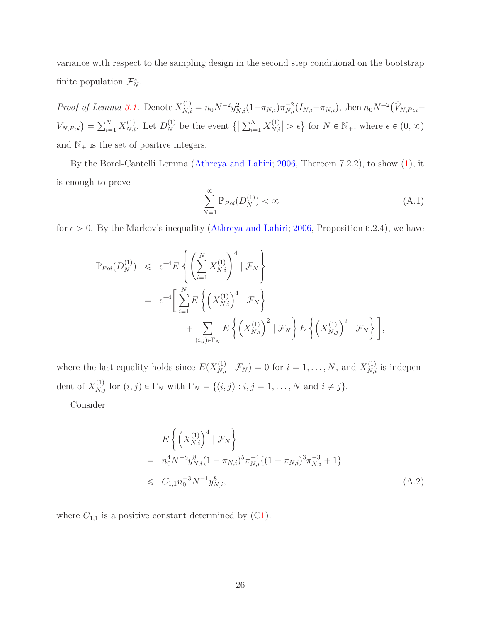variance with respect to the sampling design in the second step conditional on the bootstrap finite population  $\mathcal{F}_N^*$ .

*Proof of Lemma [3.1.](#page-7-1)* Denote  $X_{N,i}^{(1)} = n_0 N^{-2} y_{N,i}^2 (1 - \pi_{N,i}) \pi_{N,i}^{-2} (I_{N,i} - \pi_{N,i})$ , then  $n_0 N^{-2} (\hat{V}_{N,Poi} - \hat{V}_{N,i})$  $V_{N,Poi}$ ) =  $\sum_{i=1}^{N} X_{N,i}^{(1)}$ . Let  $D_N^{(1)}$  be the event  $\left\{ \left| \sum_{i=1}^{N} X_{N,i}^{(1)} \right| \right\}$  $\binom{1}{N,i} > \epsilon$  for  $N \in \mathbb{N}_+$ , where  $\epsilon \in (0, \infty)$ and  $\mathbb{N}_+$  is the set of positive integers.

By the Borel-Cantelli Lemma [\(Athreya and Lahiri](#page-81-10); [2006](#page-81-10), Thereom 7.2.2), to show [\(1\)](#page-7-0), it is enough to prove

<span id="page-25-1"></span>
$$
\sum_{N=1}^{\infty} \mathbb{P}_{Poi}(D_N^{(1)}) < \infty \tag{A.1}
$$

for  $\epsilon > 0$ . By the Markov's inequality [\(Athreya and Lahiri;](#page-81-10) [2006,](#page-81-10) Proposition 6.2.4), we have

$$
\mathbb{P}_{Poi}(D_N^{(1)}) \leq \epsilon^{-4} E \left\{ \left( \sum_{i=1}^N X_{N,i}^{(1)} \right)^4 \mid \mathcal{F}_N \right\}
$$
  
=  $\epsilon^{-4} \left[ \sum_{i=1}^N E \left\{ \left( X_{N,i}^{(1)} \right)^4 \mid \mathcal{F}_N \right\}$   
+  $\sum_{(i,j) \in \Gamma_N} E \left\{ \left( X_{N,i}^{(1)} \right)^2 \mid \mathcal{F}_N \right\} E \left\{ \left( X_{N,j}^{(1)} \right)^2 \mid \mathcal{F}_N \right\} \right],$ 

where the last equality holds since  $E(X_{N,i}^{(1)} | \mathcal{F}_N) = 0$  for  $i = 1, ..., N$ , and  $X_{N,i}^{(1)}$  is independent of  $X_{N,j}^{(1)}$  for  $(i, j) \in \Gamma_N$  with  $\Gamma_N = \{(i, j) : i, j = 1, \ldots, N \text{ and } i \neq j\}.$ 

Consider

<span id="page-25-0"></span>
$$
E\left\{ \left( X_{N,i}^{(1)} \right)^4 \mid \mathcal{F}_N \right\}
$$
  
=  $n_0^4 N^{-8} y_{N,i}^8 (1 - \pi_{N,i})^5 \pi_{N,i}^{-4} \{ (1 - \pi_{N,i})^3 \pi_{N,i}^{-3} + 1 \}$   
 $\leq C_{1,1} n_0^{-3} N^{-1} y_{N,i}^8,$  (A.2)

where  $C_{1,1}$  is a positive constant determined by ([C1\)](#page-7-0).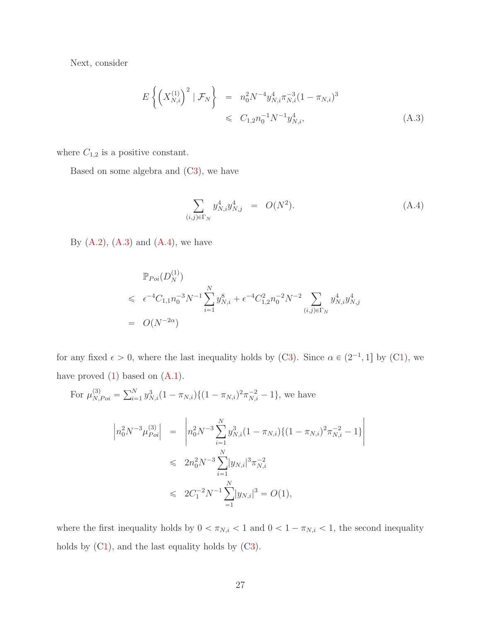Next, consider

<span id="page-26-0"></span>
$$
E\left\{ \left( X_{N,i}^{(1)} \right)^2 \mid \mathcal{F}_N \right\} = n_0^2 N^{-4} y_{N,i}^4 \pi_{N,i}^{-3} (1 - \pi_{N,i})^3
$$
  

$$
\leq C_{1,2} n_0^{-1} N^{-1} y_{N,i}^4,
$$
 (A.3)

where  $C_{1,2}$  is a positive constant.

Based on some algebra and  $(C3)$  $(C3)$ , we have

<span id="page-26-1"></span>
$$
\sum_{(i,j)\in\Gamma_N} y_{N,i}^4 y_{N,j}^4 = O(N^2). \tag{A.4}
$$

By  $(A.2)$ ,  $(A.3)$  and  $(A.4)$ , we have

$$
\mathbb{P}_{Poi}(D_N^{(1)})\n\leq \epsilon^{-4}C_{1,1}n_0^{-3}N^{-1}\sum_{i=1}^N y_{N,i}^8 + \epsilon^{-4}C_{1,2}^2n_0^{-2}N^{-2}\sum_{(i,j)\in\Gamma_N} y_{N,i}^4y_{N,j}^4
$$
\n
$$
= O(N^{-2\alpha})
$$

for any fixed  $\epsilon > 0$ , where the last inequality holds by ([C3\)](#page-6-1). Since  $\alpha \in (2^{-1}, 1]$  by ([C1\)](#page-7-0), we have proved  $(1)$  based on  $(A.1)$ .

For 
$$
\mu_{N, Poi}^{(3)} = \sum_{i=1}^{N} y_{N,i}^3 (1 - \pi_{N,i}) \{ (1 - \pi_{N,i})^2 \pi_{N,i}^{-2} - 1 \}
$$
, we have  
\n
$$
\left| n_0^2 N^{-3} \mu_{Poi}^{(3)} \right| = \left| n_0^2 N^{-3} \sum_{i=1}^{N} y_{N,i}^3 (1 - \pi_{N,i}) \{ (1 - \pi_{N,i})^2 \pi_{N,i}^{-2} - 1 \} \right|
$$
\n
$$
\leq 2n_0^2 N^{-3} \sum_{i=1}^{N} |y_{N,i}|^3 \pi_{N,i}^{-2}
$$
\n
$$
\leq 2C_1^{-2} N^{-1} \sum_{i=1}^{N} |y_{N,i}|^3 = O(1),
$$

where the first inequality holds by  $0 < \pi_{N,i} < 1$  and  $0 < 1 - \pi_{N,i} < 1$ , the second inequality holds by  $(C1)$  $(C1)$ , and the last equality holds by  $(C3)$  $(C3)$ .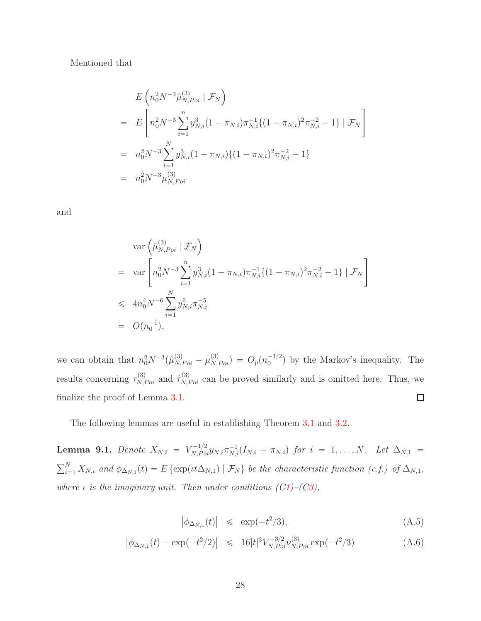#### Mentioned that

$$
E\left(n_0^2 N^{-3} \hat{\mu}_{N, Poi}^{(3)} | \mathcal{F}_N\right)
$$
  
= 
$$
E\left[n_0^2 N^{-3} \sum_{i=1}^n y_{N,i}^3 (1 - \pi_{N,i}) \pi_{N,i}^{-1} \{(1 - \pi_{N,i})^2 \pi_{N,i}^{-2} - 1\} | \mathcal{F}_N\right]
$$
  
= 
$$
n_0^2 N^{-3} \sum_{i=1}^N y_{N,i}^3 (1 - \pi_{N,i}) \{(1 - \pi_{N,i})^2 \pi_{N,i}^{-2} - 1\}
$$
  
= 
$$
n_0^2 N^{-3} \mu_{N, Poi}^{(3)}
$$

and

$$
\begin{aligned}\n&\text{var}\left(\hat{\mu}_{N, Poi}^{(3)} \mid \mathcal{F}_N\right) \\
&= \text{var}\left[n_0^2 N^{-3} \sum_{i=1}^n y_{N,i}^3 (1 - \pi_{N,i}) \pi_{N,i}^{-1} \{(1 - \pi_{N,i})^2 \pi_{N,i}^{-2} - 1\} \mid \mathcal{F}_N\right] \\
&\leqslant 4n_0^4 N^{-6} \sum_{i=1}^N y_{N,i}^6 \pi_{N,i}^{-5} \\
&= O(n_0^{-1}),\n\end{aligned}
$$

we can obtain that  $n_0^2 N^{-3} (\hat{\mu}_{N,Poi}^{(3)} - \mu_{N,Poi}^{(3)}) = O_p(n_0^{-1/2})$  $\binom{-1}{0}$  by the Markov's inequality. The results concerning  $\tau_{N,Poi}^{(3)}$  and  $\hat{\tau}_{N,Poi}^{(3)}$  can be proved similarly and is omitted here. Thus, we finalize the proof of Lemma [3.1.](#page-7-1)  $\Box$ 

The following lemmas are useful in establishing Theorem [3.1](#page-8-1) and [3.2.](#page-9-2)

**Lemma 9.1.** *Denote*  $X_{N,i} = V_{N,Poi}^{-1/2} y_{N,i} \pi_{N,i}^{-1} (I_{N,i} - \pi_{N,i})$  for  $i = 1, ..., N$ . Let  $\Delta_{N,1} =$  $\sum_{i=1}^{N} X_{N,i}$  and  $\phi_{\Delta_{N,1}}(t) = E \{ \exp(t t \Delta_{N,1}) \mid \mathcal{F}_N \}$  be the characteristic function (c.f.) of  $\Delta_{N,1}$ , *where*  $\iota$  *is the imaginary unit. Then under conditions ([C1\)](#page-7-0)–([C3\)](#page-6-1)*,

$$
\left|\phi_{\Delta_{N,1}}(t)\right| \leq \exp(-t^2/3),\tag{A.5}
$$

$$
\left| \phi_{\Delta_{N,1}}(t) - \exp(-t^2/2) \right| \leq 16|t|^3 V_{N, Poi}^{-3/2} \nu_{N, Poi}^{(3)} \exp(-t^2/3) \tag{A.6}
$$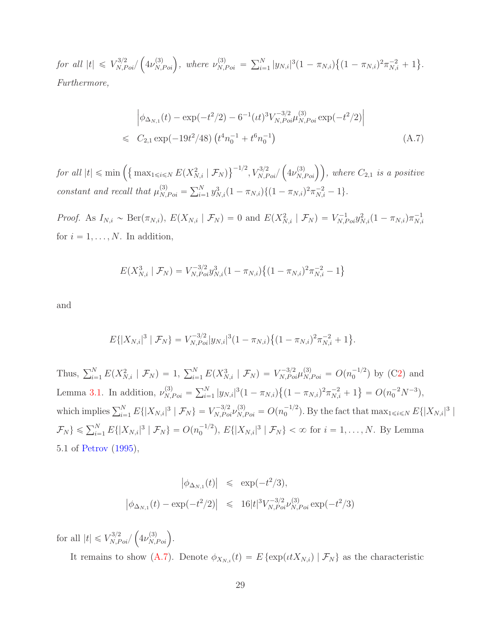*for all*  $|t| \leq V_{N,Poi}^{3/2}$  $\left(4\nu_{N,Poi}^{(3)}\right)$ , where  $\nu_{N,Poi}^{(3)} = \sum_{i=1}^{N} |y_{N,i}|^3 (1 - \pi_{N,i}) \left\{ (1 - \pi_{N,i})^2 \pi_{N,i}^{-2} + 1 \right\}.$ *Furthermore,*

<span id="page-28-0"></span>
$$
\begin{aligned}\n\left| \phi_{\Delta_{N,1}}(t) - \exp(-t^2/2) - 6^{-1} (it)^3 V_{N, Poi}^{-3/2} \mu_{N, Poi}^{(3)} \exp(-t^2/2) \right| \\
&\leq C_{2,1} \exp(-19t^2/48) \left( t^4 n_0^{-1} + t^6 n_0^{-1} \right)\n\end{aligned} \tag{A.7}
$$

*for all*  $|t| \le \min \left( \left\{ \max_{1 \le i \le N} E(X_{N,i}^2 \mid \mathcal{F}_N) \right\}^{-1/2}, V_{N,Poi}^{3/2} \right)$  $(\mu_{N, Poi}^{(3)})$ , where  $C_{2,1}$  *is a positive constant and recall that*  $\mu_{N,Poi}^{(3)} = \sum_{i=1}^{N} y_{N,i}^3 (1 - \pi_{N,i}) \{ (1 - \pi_{N,i})^2 \pi_{N,i}^{-2} - 1 \}.$ 

*Proof.* As  $I_{N,i} \sim \text{Ber}(\pi_{N,i}), E(X_{N,i} | \mathcal{F}_N) = 0$  and  $E(X_{N,i}^2 | \mathcal{F}_N) = V_{N,Poi}^{-1} y_{N,i}^2 (1 - \pi_{N,i}) \pi_{N,i}^{-1}$  $N,i$ for  $i = 1, \ldots, N$ . In addition,

$$
E(X_{N,i}^3 \mid \mathcal{F}_N) = V_{N, Poi}^{-3/2} y_{N,i}^3 (1 - \pi_{N,i}) \{ (1 - \pi_{N,i})^2 \pi_{N,i}^{-2} - 1 \}
$$

and

$$
E\{|X_{N,i}|^3 \mid \mathcal{F}_N\} = V_{N, Poi}^{-3/2} |y_{N,i}|^3 (1 - \pi_{N,i}) \{(1 - \pi_{N,i})^2 \pi_{N,i}^{-2} + 1\}.
$$

Thus,  $\sum_{i=1}^{N} E(X_{N,i}^{2} | \mathcal{F}_{N}) = 1$ ,  $\sum_{i=1}^{N} E(X_{N,i}^{3} | \mathcal{F}_{N}) = V_{N,Poi}^{-3/2} \mu_{N,Poi}^{(3)} = O(n_{0}^{-1/2})$  $_{0}^{-1/2}$ ) by ([C2\)](#page-6-0) and Lemma [3.1.](#page-7-1) In addition,  $\nu_{N,Poi}^{(3)} = \sum_{i=1}^{N} |y_{N,i}|^3 (1 - \pi_{N,i}) \left\{ (1 - \pi_{N,i})^2 \pi_{N,i}^{-2} + 1 \right\} = O(n_0^{-2} N^{-3}),$ which implies  $\sum_{i=1}^{N} E\{|X_{N,i}|^3 \mid \mathcal{F}_N\} = V_{N,Poi}^{-3/2} \nu_{N,Poi}^{(3)} = O(n_0^{-1/2})$  $\binom{-1/2}{0}$ . By the fact that  $\max_{1 \leq i \leq N} E\{|X_{N,i}|^3\}$  $\{\mathcal{F}_N\} \leqslant \sum_{i=1}^N E\{|X_{N,i}|^3 \mid \mathcal{F}_N\} = O(n_0^{-1/2})$  $\int_0^{-1/2}$ ,  $E\{|X_{N,i}|^3 \mid \mathcal{F}_N\} < \infty$  for  $i = 1, ..., N$ . By Lemma 5.1 of [Petrov](#page-82-10) [\(1995\)](#page-82-10),

$$
\begin{array}{rcl}\n|\phi_{\Delta_{N,1}}(t)| & \leqslant & \exp(-t^2/3), \\
|\phi_{\Delta_{N,1}}(t) - \exp(-t^2/2)| & \leqslant & 16|t|^3 V_{N, Poi}^{-3/2} \nu_{N, Poi}^{(3)} \exp(-t^2/3)\n\end{array}
$$

for all  $|t| \leq V_{N, Poi}^{3/2}$ /  $\left(4\nu_{N,Poi}^{(3)}\right).$ 

It remains to show [\(A.7\)](#page-28-0). Denote  $\phi_{X_{N,i}}(t) = E \{ \exp(\iota t X_{N,i}) \mid \mathcal{F}_N \}$  as the characteristic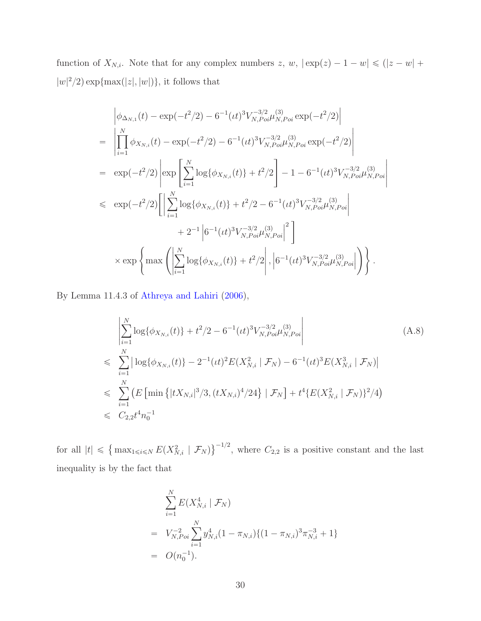function of  $X_{N,i}$ . Note that for any complex numbers  $z, w, |\exp(z) - 1 - w| \leq (|z - w| +$  $|w|^2/2$  exp $\{\max(|z|, |w|)\},\$ it follows that

$$
\begin{split}\n&\left|\phi_{\Delta_{N,1}}(t) - \exp(-t^2/2) - 6^{-1}(it)^3 V_{N, Poi}^{-3/2} \mu_{N, Poi}^{(3)} \exp(-t^2/2)\right| \\
&= \left|\prod_{i=1}^N \phi_{X_{N,i}}(t) - \exp(-t^2/2) - 6^{-1}(it)^3 V_{N, Poi}^{-3/2} \mu_{N, Poi}^{(3)} \exp(-t^2/2)\right| \\
&= \exp(-t^2/2) \left|\exp\left[\sum_{i=1}^N \log\{\phi_{X_{N,i}}(t)\} + t^2/2\right] - 1 - 6^{-1}(it)^3 V_{N, Poi}^{-3/2} \mu_{N, Poi}^{(3)}\right| \\
&\leq \exp(-t^2/2) \left[\left|\sum_{i=1}^N \log\{\phi_{X_{N,i}}(t)\} + t^2/2 - 6^{-1}(it)^3 V_{N, Poi}^{-3/2} \mu_{N, Poi}^{(3)}\right| + 2^{-1} \left|6^{-1}(it)^3 V_{N, Poi}^{-3/2} \mu_{N, Poi}^{(3)}\right|^2\right] \\
&\times \exp\left\{\max\left(\left|\sum_{i=1}^N \log\{\phi_{X_{N,i}}(t)\} + t^2/2\right|, \left|6^{-1}(it)^3 V_{N, Poi}^{-3/2} \mu_{N, Poi}^{(3)}\right|\right)\right\}.\n\end{split}
$$

By Lemma 11.4.3 of [Athreya and Lahiri](#page-81-10) [\(2006\)](#page-81-10),

<span id="page-29-0"></span>
$$
\begin{aligned}\n&\left| \sum_{i=1}^{N} \log \{ \phi_{X_{N,i}}(t) \} + t^2/2 - 6^{-1} (\iota t)^3 V_{N, Poi}^{-3/2} \mu_{N, Poi}^{(3)} \right| \\
&\leqslant \sum_{i=1}^{N} \left| \log \{ \phi_{X_{N,i}}(t) \} - 2^{-1} (\iota t)^2 E(X_{N,i}^2 \mid \mathcal{F}_N) - 6^{-1} (\iota t)^3 E(X_{N,i}^3 \mid \mathcal{F}_N) \right| \\
&\leqslant \sum_{i=1}^{N} \left( E \left[ \min \{ |tX_{N,i}|^3/3, (tX_{N,i})^4/24 \} \mid \mathcal{F}_N \right] + t^4 \{ E(X_{N,i}^2 \mid \mathcal{F}_N) \}^2/4 \right) \\
&\leqslant C_{2,2} t^4 n_0^{-1}\n\end{aligned} \tag{A.8}
$$

for all  $|t| \leq \{ \max_{1 \leq i \leq N} E(X_{N,i}^2 | \mathcal{F}_N) \}^{-1/2}$ , where  $C_{2,2}$  is a positive constant and the last inequality is by the fact that

$$
\sum_{i=1}^{N} E(X_{N,i}^4 | \mathcal{F}_N)
$$
\n
$$
= V_{N, Poi}^{-2} \sum_{i=1}^{N} y_{N,i}^4 (1 - \pi_{N,i}) \{ (1 - \pi_{N,i})^3 \pi_{N,i}^{-3} + 1 \}
$$
\n
$$
= O(n_0^{-1}).
$$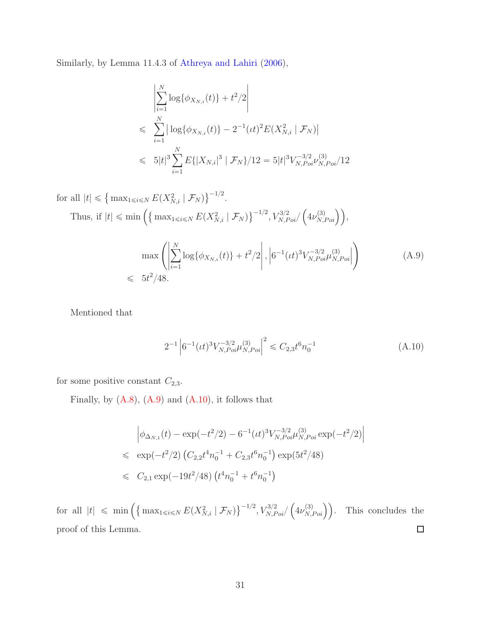Similarly, by Lemma 11.4.3 of [Athreya and Lahiri](#page-81-10) [\(2006\)](#page-81-10),

$$
\left| \sum_{i=1}^{N} \log \{ \phi_{X_{N,i}}(t) \} + t^2/2 \right|
$$
  
\n
$$
\leqslant \sum_{i=1}^{N} \left| \log \{ \phi_{X_{N,i}}(t) \} - 2^{-1} (it)^2 E(X_{N,i}^2 \mid \mathcal{F}_N) \right|
$$
  
\n
$$
\leqslant 5|t|^3 \sum_{i=1}^{N} E\{ |X_{N,i}|^3 \mid \mathcal{F}_N \} / 12 = 5|t|^3 V_{N, Poi}^{-3/2} V_{N, Poi}^{(3)}/12
$$

<span id="page-30-0"></span>for all  $|t| \leq \{ \max_{1 \leq i \leq N} E(X_{N,i}^2 | \mathcal{F}_N) \}^{-1/2}.$ Thus, if  $|t| \le \min \left( \left\{ \max_{1 \le i \le N} E(X_{N,i}^2 \mid \mathcal{F}_N) \right\}^{-1/2}, V_{N, Poi}^{3/2} \right)$  $\left(4\nu_{N,Poi}^{(3)}\right)\right),$  $\max$   $\left( \left\| \begin{array}{c} \frac{1}{2} \\ \frac{1}{2} \end{array} \right\|$ ÿ N  $i=1$  $\log{\{\phi_{X_{N,i}}(t)\}} + t^2/2$ ˇ ˇ ˇ ˇ ˇ  $, |$  $6^{-1} (tt)^3 V_{N, Poi}^{-3/2} \mu_{N, N}^{(3)}$  $(X, P_{oi}$ ¸ (A.9)  $\leqslant 5t^2/48.$ 

Mentioned that

<span id="page-30-1"></span>
$$
2^{-1} \left| 6^{-1} (\iota t)^3 V_{N, Poi}^{-3/2} \mu_{N, Poi}^{(3)} \right|^2 \leq C_{2,3} t^6 n_0^{-1}
$$
 (A.10)

for some positive constant  $C_{2,3}$ .

Finally, by  $(A.8)$ ,  $(A.9)$  and  $(A.10)$ , it follows that

$$
\begin{aligned}\n&\left|\phi_{\Delta_{N,1}}(t) - \exp(-t^2/2) - 6^{-1}(tt)^3 V_{N, Poi}^{-3/2} \mu_{N, Poi}^{(3)} \exp(-t^2/2)\right| \\
&\leq \exp(-t^2/2) \left( C_{2,2} t^4 n_0^{-1} + C_{2,3} t^6 n_0^{-1} \right) \exp(5t^2/48) \\
&\leq C_{2,1} \exp(-19t^2/48) \left( t^4 n_0^{-1} + t^6 n_0^{-1} \right)\n\end{aligned}
$$

for all  $|t| \leq \min \left( \left\{ \max_{1 \leq i \leq N} E(X_{N,i}^2 \mid \mathcal{F}_N) \right\}^{-1/2}, V_{N, Poi}^{3/2} \right)$  $\left(4\nu_{N}^{(3)}\right)$ This concludes the  $\,$  $\Box$ proof of this Lemma.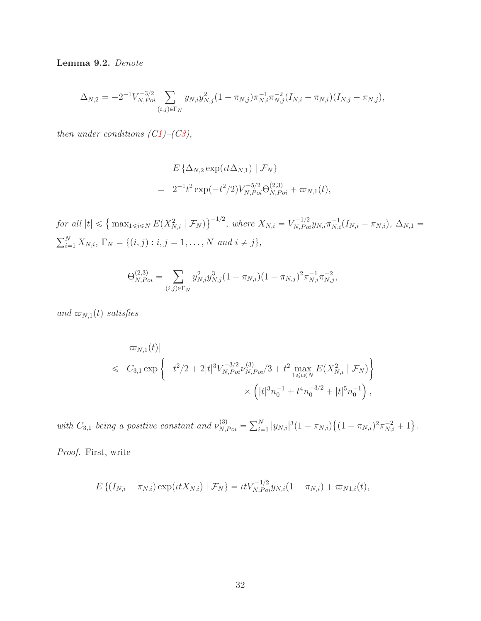Lemma 9.2. *Denote*

$$
\Delta_{N,2} = -2^{-1} V_{N, Poi}^{-3/2} \sum_{(i,j) \in \Gamma_N} y_{N,i} y_{N,j}^2 (1 - \pi_{N,j}) \pi_{N,i}^{-1} \pi_{N,j}^{-2} (I_{N,i} - \pi_{N,i}) (I_{N,j} - \pi_{N,j}),
$$

*then under conditions*  $(C1)$  $(C1)$ *<sup>* $-$ *</sup>* $(C3)$  $(C3)$ *<sup><i>,*</sup></sup>

$$
E\left\{\Delta_{N,2} \exp(t t \Delta_{N,1}) \mid \mathcal{F}_N\right\}
$$
  
=  $2^{-1} t^2 \exp(-t^2/2) V_{N,Poi}^{-5/2} \Theta_{N,Poi}^{(2,3)} + \varpi_{N,1}(t),$ 

*for all*  $|t| \leq \left\{ \max_{1 \leq i \leq N} E(X_{N,i}^2 | \mathcal{F}_N) \right\}^{-1/2}$ , where  $X_{N,i} = V_{N,Poi}^{-1/2} y_{N,i} \pi_{N,i}^{-1} (I_{N,i} - \pi_{N,i}), \Delta_{N,1} =$  $\sum_{i=1}^{N} X_{N,i}, \Gamma_N = \{(i,j) : i, j = 1, ..., N \text{ and } i \neq j\},\$ 

$$
\Theta_{N,Poi}^{(2,3)} = \sum_{(i,j)\in\Gamma_N} y_{N,i}^2 y_{N,j}^3 (1 - \pi_{N,i})(1 - \pi_{N,j})^2 \pi_{N,i}^{-1} \pi_{N,j}^{-2},
$$

*and*  $\varpi_{N,1}(t)$  *satisfies* 

$$
\begin{split} |\varpi_{N,1}(t)| \\ &\leq C_{3,1} \exp \left\{ -t^2/2 + 2|t|^3 V_{N, Poi}^{-3/2} \nu_{N, Poi}^{(3)} / 3 + t^2 \max_{1 \leq i \leq N} E(X_{N,i}^2 \mid \mathcal{F}_N) \right\} \\ &\qquad \qquad \times \left( |t|^3 n_0^{-1} + t^4 n_0^{-3/2} + |t|^5 n_0^{-1} \right), \end{split}
$$

with  $C_{3,1}$  being a positive constant and  $\nu_{N,Poi}^{(3)} = \sum_{i=1}^{N} |y_{N,i}|^3 (1 - \pi_{N,i}) \{(1 - \pi_{N,i})^2 \pi_{N,i}^{-2} + 1\}.$ 

*Proof.* First, write

$$
E\left\{ (I_{N,i} - \pi_{N,i}) \exp(\iota t X_{N,i}) \mid \mathcal{F}_N \right\} = \iota t V_{N, Poi}^{-1/2} y_{N,i} (1 - \pi_{N,i}) + \varpi_{N1,i}(t),
$$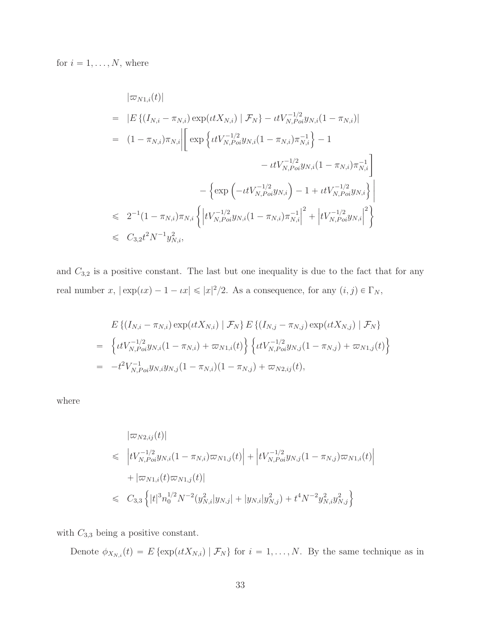for  $i = 1, \ldots, N$ , where

$$
|\varpi_{N1,i}(t)|
$$
\n
$$
= |E\left\{ (I_{N,i} - \pi_{N,i}) \exp(\iota t X_{N,i}) | \mathcal{F}_N \right\} - \iota t V_{N,Poi}^{-1/2} y_{N,i} (1 - \pi_{N,i})|
$$
\n
$$
= (1 - \pi_{N,i}) \pi_{N,i} \left| \left[ \exp \left\{ \iota t V_{N,Poi}^{-1/2} y_{N,i} (1 - \pi_{N,i}) \pi_{N,i}^{-1} \right\} - 1 - \iota t V_{N,Poi}^{-1/2} y_{N,i} (1 - \pi_{N,i}) \pi_{N,i}^{-1} \right] \right|
$$
\n
$$
\leq 2^{-1} (1 - \pi_{N,i}) \pi_{N,i} \left\{ \left| t V_{N,Poi}^{-1/2} y_{N,i} (1 - \pi_{N,i}) \pi_{N,i}^{-1} \right|^2 + \left| t V_{N,Poi}^{-1/2} y_{N,i} \right|^2 \right\}
$$
\n
$$
\leq C_{3,2} t^2 N^{-1} y_{N,i}^2,
$$

and  $C_{3,2}$  is a positive constant. The last but one inequality is due to the fact that for any real number x,  $|\exp(\iota x) - 1 - \iota x| \leqslant |x|^2/2$ . As a consequence, for any  $(i, j) \in \Gamma_N$ ,

$$
E\left\{(I_{N,i} - \pi_{N,i}) \exp(\iota t X_{N,i}) \mid \mathcal{F}_N\right\} E\left\{(I_{N,j} - \pi_{N,j}) \exp(\iota t X_{N,j}) \mid \mathcal{F}_N\right\}
$$
  
= 
$$
\left\{\iota t V_{N, Poi}^{-1/2} y_{N,i} (1 - \pi_{N,i}) + \varpi_{N1,i}(t) \right\} \left\{\iota t V_{N, Poi}^{-1/2} y_{N,j} (1 - \pi_{N,j}) + \varpi_{N1,j}(t) \right\}
$$
  
= 
$$
-t^2 V_{N, Poi}^{-1} y_{N,i} y_{N,j} (1 - \pi_{N,i}) (1 - \pi_{N,j}) + \varpi_{N2,ij}(t),
$$

where

$$
\begin{aligned}\n|\varpi_{N2,ij}(t)| \\
&\leq \left| t V_{N, Poi}^{-1/2} y_{N,i} (1 - \pi_{N,i}) \varpi_{N1,j}(t) \right| + \left| t V_{N, Poi}^{-1/2} y_{N,j} (1 - \pi_{N,j}) \varpi_{N1,i}(t) \right| \\
&\quad + |\varpi_{N1,i}(t) \varpi_{N1,j}(t)| \\
&\leq C_{3,3} \left\{ |t|^3 n_0^{1/2} N^{-2} (y_{N,i}^2 |y_{N,j}| + |y_{N,i} | y_{N,j}^2) + t^4 N^{-2} y_{N,i}^2 y_{N,j}^2 \right\}\n\end{aligned}
$$

with  $C_{3,3}$  being a positive constant.

Denote  $\phi_{X_{N,i}}(t) = E \{ \exp(\iota t X_{N,i}) \mid \mathcal{F}_N \}$  for  $i = 1, ..., N$ . By the same technique as in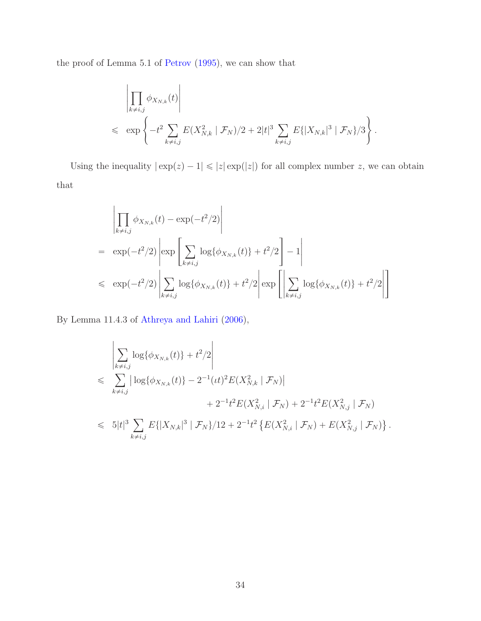the proof of Lemma 5.1 of [Petrov](#page-82-10) [\(1995\)](#page-82-10), we can show that

$$
\left| \prod_{k \neq i,j} \phi_{X_{N,k}}(t) \right| \le \exp \left\{ -t^2 \sum_{k \neq i,j} E(X_{N,k}^2 \mid \mathcal{F}_N)/2 + 2|t|^3 \sum_{k \neq i,j} E\{|X_{N,k}|^3 \mid \mathcal{F}_N\}/3 \right\}.
$$

Using the inequality  $|\exp(z) - 1| \leq |z| \exp(|z|)$  for all complex number z, we can obtain that

$$
\left| \prod_{k \neq i,j} \phi_{X_{N,k}}(t) - \exp(-t^2/2) \right|
$$
\n
$$
= \exp(-t^2/2) \left| \exp \left[ \sum_{k \neq i,j} \log{\{\phi_{X_{N,k}}(t)\}} + t^2/2 \right] - 1 \right|
$$
\n
$$
\leq \exp(-t^2/2) \left| \sum_{k \neq i,j} \log{\{\phi_{X_{N,k}}(t)\}} + t^2/2 \right| \exp \left[ \left| \sum_{k \neq i,j} \log{\{\phi_{X_{N,k}}(t)\}} + t^2/2 \right| \right]
$$

By Lemma 11.4.3 of [Athreya and Lahiri](#page-81-10) [\(2006\)](#page-81-10),

$$
\left| \sum_{k \neq i,j} \log \{ \phi_{X_{N,k}}(t) \} + t^2/2 \right|
$$
\n
$$
\leqslant \sum_{k \neq i,j} \left| \log \{ \phi_{X_{N,k}}(t) \} - 2^{-1} (it)^2 E(X_{N,k}^2 \mid \mathcal{F}_N) \right|
$$
\n
$$
+ 2^{-1} t^2 E(X_{N,i}^2 \mid \mathcal{F}_N) + 2^{-1} t^2 E(X_{N,j}^2 \mid \mathcal{F}_N)
$$
\n
$$
\leqslant 5|t|^3 \sum_{k \neq i,j} E\{ |X_{N,k}|^3 \mid \mathcal{F}_N \} / 12 + 2^{-1} t^2 \{ E(X_{N,i}^2 \mid \mathcal{F}_N) + E(X_{N,j}^2 \mid \mathcal{F}_N) \}.
$$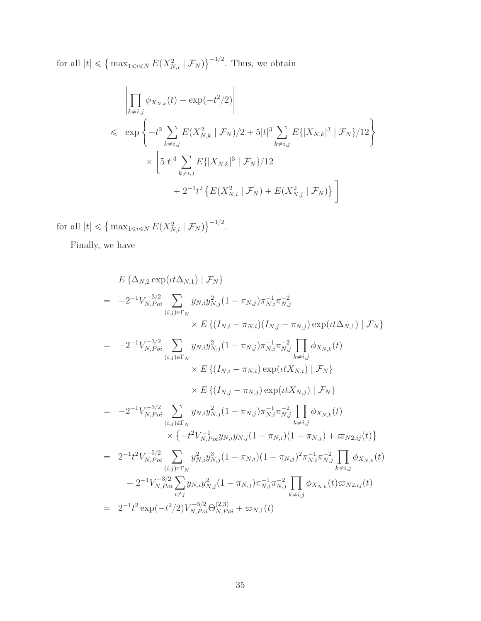for all  $|t| \leq \left\{ \max_{1 \leq i \leq N} E(X_{N,i}^2 \mid \mathcal{F}_N) \right\}^{-1/2}$ . Thus, we obtain

$$
\left| \prod_{k \neq i,j} \phi_{X_{N,k}}(t) - \exp(-t^2/2) \right|
$$
\n
$$
\leq \exp \left\{ -t^2 \sum_{k \neq i,j} E(X_{N,k}^2 \mid \mathcal{F}_N)/2 + 5|t|^3 \sum_{k \neq i,j} E\{|X_{N,k}|^3 \mid \mathcal{F}_N\}/12 \right\}
$$
\n
$$
\times \left[ 5|t|^3 \sum_{k \neq i,j} E\{|X_{N,k}|^3 \mid \mathcal{F}_N\}/12 + 2^{-1}t^2 \left\{ E(X_{N,i}^2 \mid \mathcal{F}_N) + E(X_{N,j}^2 \mid \mathcal{F}_N) \right\} \right]
$$

for all  $|t| \leq \{ \max_{1 \leq i \leq N} E(X_{N,i}^2 | \mathcal{F}_N) \}^{-1/2}.$ 

Finally, we have

$$
E\left\{\Delta_{N,2} \exp(t\Delta_{N,1}) \mid \mathcal{F}_{N}\right\}
$$
\n
$$
= -2^{-1}V_{N,Poi}^{-3/2} \sum_{(i,j)\in\Gamma_{N}} y_{N,i}y_{N,j}^{2}(1-\pi_{N,j})\pi_{N,i}^{-1}\pi_{N,j}^{-2}
$$
\n
$$
\times E\left\{\left(I_{N,i} - \pi_{N,i}\right)\left(I_{N,j} - \pi_{N,j}\right) \exp(tt\Delta_{N,1}) \mid \mathcal{F}_{N}\right\}
$$
\n
$$
= -2^{-1}V_{N,Poi}^{-3/2} \sum_{(i,j)\in\Gamma_{N}} y_{N,i}y_{N,j}^{2}(1-\pi_{N,j})\pi_{N,i}^{-1}\pi_{N,j}^{-2} \prod_{k\neq i,j} \phi_{X_{N,k}}(t)
$$
\n
$$
\times E\left\{\left(I_{N,i} - \pi_{N,i}\right) \exp(ttX_{N,i}) \mid \mathcal{F}_{N}\right\}
$$
\n
$$
\times E\left\{\left(I_{N,j} - \pi_{N,j}\right) \exp(ttX_{N,j}) \mid \mathcal{F}_{N}\right\}
$$
\n
$$
= -2^{-1}V_{N,Poi}^{-3/2} \sum_{(i,j)\in\Gamma_{N}} y_{N,i}y_{N,j}^{2}(1-\pi_{N,j})\pi_{N,i}^{-1}\pi_{N,j}^{-2} \prod_{k\neq i,j} \phi_{X_{N,k}}(t)
$$
\n
$$
\times \left\{-t^{2}V_{N,Poi}^{-1}y_{N,i}y_{N,j}(1-\pi_{N,i})(1-\pi_{N,j}) + \omega_{N2,ij}(t)\right\}
$$
\n
$$
= 2^{-1}t^{2}V_{N,Poi}^{-5/2} \sum_{(i,j)\in\Gamma_{N}} y_{N,i}^{2}y_{N,j}^{3}(1-\pi_{N,i})(1-\pi_{N,j})^{2}\pi_{N,i}^{-1}\pi_{N,j}^{-2} \prod_{k\neq i,j} \phi_{X_{N,k}}(t)
$$
\n
$$
-2^{-1}V_{N,Poi}^{-3/2} \sum_{i\neq j} y_{N,i}y_{N,j}^{2}(1-\pi_{N,j})\pi_{N,i}^{-1}\pi_{N,j}^{-2} \prod_{k\neq i,j} \phi_{X_{N,k}}(t)\omega_{N2,ij}(t)
$$
\n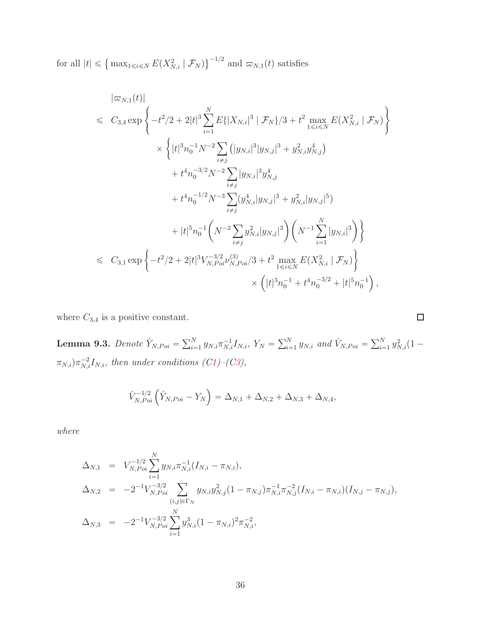for all  $|t| \leq \{ \max_{1 \leq i \leq N} E(X_{N,i}^2 | \mathcal{F}_N) \}^{-1/2}$  and  $\varpi_{N,1}(t)$  satisfies

$$
\begin{split}\n|\varpi_{N,1}(t)| &\leq C_{3,4} \exp\left\{-t^2/2 + 2|t|^3 \sum_{i=1}^N E\{|X_{N,i}|^3 \mid \mathcal{F}_N\}/3 + t^2 \max_{1 \leq i \leq N} E(X_{N,i}^2 \mid \mathcal{F}_N)\right\} \\
&\times \left\{|t|^3 n_0^{-1} N^{-2} \sum_{i \neq j} (|y_{N,i}|^3 |y_{N,j}|^3 + y_{N,i}^2 y_{N,j}^4)\right. \\
&\quad \left. + t^4 n_0^{-3/2} N^{-2} \sum_{i \neq j} |y_{N,i}|^3 y_{N,j}^4 + t^4 n_0^{-1/2} N^{-3} \sum_{i \neq j} (y_{N,i}^4 |y_{N,j}|^3 + y_{N,i}^2 |y_{N,j}|^5)\right. \\
&\quad \left. + |t|^5 n_0^{-1} \left(N^{-2} \sum_{i \neq j} y_{N,i}^2 |y_{N,j}|^3\right) \left(N^{-1} \sum_{i=1}^N |y_{N,i}|^3\right)\right\} \\
&\leq C_{3,1} \exp\left\{-t^2/2 + 2|t|^3 V_{N, Poi}^{-3/2} V_{N, Poi}^{3/3} / 3 + t^2 \max_{1 \leq i \leq N} E(X_{N,i}^2 \mid \mathcal{F}_N)\right\} \\
&\times \left(|t|^3 n_0^{-1} + t^4 n_0^{-3/2} + |t|^5 n_0^{-1}\right),\n\end{split}
$$

where  $C_{3,4}$  is a positive constant.

**Lemma 9.3.** *Denote*  $\hat{Y}_{N, Poi} = \sum_{i=1}^{N} y_{N,i} \pi_{N,i}^{-1} I_{N,i}$ ,  $Y_N = \sum_{i=1}^{N} y_{N,i}$  and  $\hat{V}_{N, Poi} = \sum_{i=1}^{N} y_{N,i}^2 (1 (\pi_{N,i})\pi_{N,i}^{-2}I_{N,i}$ , then under conditions (*C1*)–(*C3*),

$$
\hat{V}_{N,Poi}^{-1/2} \left( \hat{Y}_{N,Poi} - Y_N \right) = \Delta_{N,1} + \Delta_{N,2} + \Delta_{N,3} + \Delta_{N,4},
$$

*where*

$$
\Delta_{N,1} = V_{N, Poi}^{-1/2} \sum_{i=1}^{N} y_{N,i} \pi_{N,i}^{-1} (I_{N,i} - \pi_{N,i}),
$$
\n
$$
\Delta_{N,2} = -2^{-1} V_{N, Poi}^{-3/2} \sum_{(i,j) \in \Gamma_N} y_{N,i} y_{N,j}^2 (1 - \pi_{N,j}) \pi_{N,i}^{-1} \pi_{N,j}^{-2} (I_{N,i} - \pi_{N,i}) (I_{N,j} - \pi_{N,j}),
$$
\n
$$
\Delta_{N,3} = -2^{-1} V_{N, Poi}^{-3/2} \sum_{i=1}^{N} y_{N,i}^3 (1 - \pi_{N,i})^2 \pi_{N,i}^{-2},
$$

$$
\Box
$$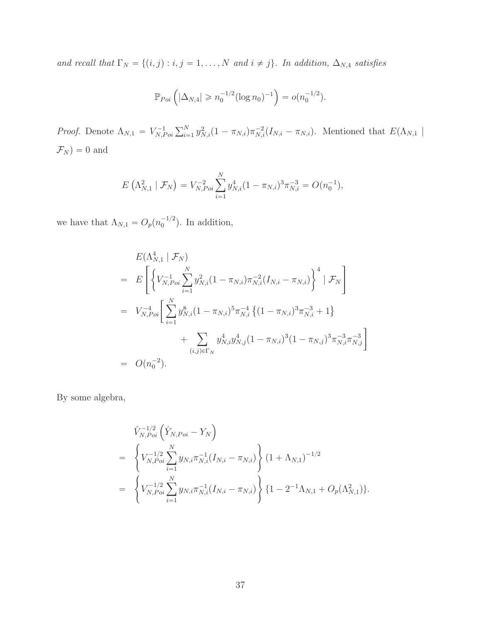*and recall that*  $\Gamma_N = \{(i, j) : i, j = 1, ..., N \text{ and } i \neq j\}$ . In addition,  $\Delta_{N,4}$  satisfies

$$
\mathbb{P}_{Poi}\left(|\Delta_{N,4}| \geq n_0^{-1/2} (\log n_0)^{-1}\right) = o(n_0^{-1/2}).
$$

*Proof.* Denote  $\Lambda_{N,1} = V_{N,I}^{-1}$  $\sum_{N, Poi}^{r-1} \sum_{i=1}^{N} y_{N,i}^2 (1 - \pi_{N,i}) \pi_{N,i}^{-2} (I_{N,i} - \pi_{N,i}).$  Mentioned that  $E(\Lambda_{N,1})$  $\mathcal{F}_N) = 0$  and

$$
E\left(\Lambda_{N,1}^2 \mid \mathcal{F}_N\right) = V_{N, Poi}^{-2} \sum_{i=1}^N y_{N,i}^4 (1 - \pi_{N,i})^3 \pi_{N,i}^{-3} = O(n_0^{-1}),
$$

we have that  $\Lambda_{N,1} = O_p(n_0^{-1/2})$  $\binom{-1}{0}$ . In addition,

$$
E(\Lambda_{N,1}^4 \mid \mathcal{F}_N)
$$
  
=  $E\left[\left\{V_{N, Poi}^{-1}\sum_{i=1}^N y_{N,i}^2 (1 - \pi_{N,i}) \pi_{N,i}^{-2} (I_{N,i} - \pi_{N,i})\right\}^4 \mid \mathcal{F}_N\right]$   
=  $V_{N, Poi}^{-4}\left[\sum_{i=1}^N y_{N,i}^8 (1 - \pi_{N,i})^5 \pi_{N,i}^{-4} \{(1 - \pi_{N,i})^3 \pi_{N,i}^{-3} + 1\} + \sum_{(i,j) \in \Gamma_N} y_{N,i}^4 y_{N,j}^4 (1 - \pi_{N,i})^3 (1 - \pi_{N,j})^3 \pi_{N,i}^{-3} \pi_{N,j}^{-3}\right]$   
=  $O(n_0^{-2}).$ 

By some algebra,

$$
\hat{V}_{N,Poi}^{-1/2} \left( \hat{Y}_{N,Poi} - Y_N \right)
$$
\n
$$
= \left\{ V_{N,Poi}^{-1/2} \sum_{i=1}^{N} y_{N,i} \pi_{N,i}^{-1} (I_{N,i} - \pi_{N,i}) \right\} (1 + \Lambda_{N,1})^{-1/2}
$$
\n
$$
= \left\{ V_{N,Poi}^{-1/2} \sum_{i=1}^{N} y_{N,i} \pi_{N,i}^{-1} (I_{N,i} - \pi_{N,i}) \right\} \{1 - 2^{-1} \Lambda_{N,1} + O_p(\Lambda_{N,1}^2) \}.
$$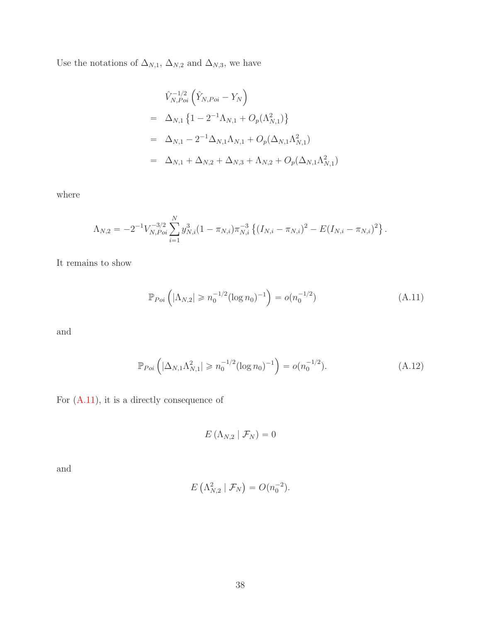Use the notations of  $\Delta_{N,1},$   $\Delta_{N,2}$  and  $\Delta_{N,3},$  we have

$$
\hat{V}_{N, Poi}^{-1/2} \left( \hat{Y}_{N, Poi} - Y_N \right)
$$
\n
$$
= \Delta_{N,1} \left\{ 1 - 2^{-1} \Lambda_{N,1} + O_p(\Lambda_{N,1}^2) \right\}
$$
\n
$$
= \Delta_{N,1} - 2^{-1} \Delta_{N,1} \Lambda_{N,1} + O_p(\Delta_{N,1} \Lambda_{N,1}^2)
$$
\n
$$
= \Delta_{N,1} + \Delta_{N,2} + \Delta_{N,3} + \Lambda_{N,2} + O_p(\Delta_{N,1} \Lambda_{N,1}^2)
$$

where

$$
\Lambda_{N,2} = -2^{-1} V_{N,Poi}^{-3/2} \sum_{i=1}^{N} y_{N,i}^3 (1 - \pi_{N,i}) \pi_{N,i}^{-3} \left\{ (I_{N,i} - \pi_{N,i})^2 - E (I_{N,i} - \pi_{N,i})^2 \right\}.
$$

It remains to show

<span id="page-37-0"></span>
$$
\mathbb{P}_{Poi}\left(|\Lambda_{N,2}| \geqslant n_0^{-1/2} (\log n_0)^{-1}\right) = o(n_0^{-1/2})\tag{A.11}
$$

and

<span id="page-37-1"></span>
$$
\mathbb{P}_{Poi}\left(|\Delta_{N,1}\Lambda_{N,1}^2| \ge n_0^{-1/2}(\log n_0)^{-1}\right) = o(n_0^{-1/2}).\tag{A.12}
$$

For  $(A.11)$ , it is a directly consequence of

$$
E\left(\Lambda_{N,2} \mid \mathcal{F}_N\right)=0
$$

and

$$
E\left(\Lambda_{N,2}^2 \mid \mathcal{F}_N\right) = O(n_0^{-2}).
$$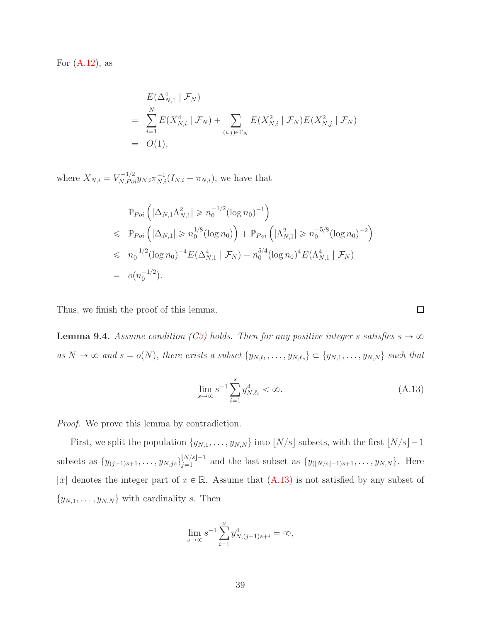For  $(A.12)$ , as

$$
E(\Delta_{N,1}^4 | \mathcal{F}_N)
$$
  
=  $\sum_{i=1}^N E(X_{N,i}^4 | \mathcal{F}_N) + \sum_{(i,j) \in \Gamma_N} E(X_{N,i}^2 | \mathcal{F}_N) E(X_{N,j}^2 | \mathcal{F}_N)$   
=  $O(1),$ 

where  $X_{N,i} = V_{N,Poi}^{-1/2} y_{N,i} \pi_{N,i}^{-1} (I_{N,i} - \pi_{N,i})$ , we have that

$$
\mathbb{P}_{Poi} \left( |\Delta_{N,1} \Lambda_{N,1}^2| \ge n_0^{-1/2} (\log n_0)^{-1} \right)
$$
  
\n
$$
\le \mathbb{P}_{Poi} \left( |\Delta_{N,1}| \ge n_0^{1/8} (\log n_0) \right) + \mathbb{P}_{Poi} \left( |\Lambda_{N,1}^2| \ge n_0^{-5/8} (\log n_0)^{-2} \right)
$$
  
\n
$$
\le n_0^{-1/2} (\log n_0)^{-4} E(\Delta_{N,1}^4 | \mathcal{F}_N) + n_0^{5/4} (\log n_0)^{4} E(\Lambda_{N,1}^4 | \mathcal{F}_N)
$$
  
\n
$$
= o(n_0^{-1/2}).
$$

Thus, we finish the proof of this lemma.

<span id="page-38-1"></span>**Lemma 9.4.** *Assume condition ([C3\)](#page-6-0) holds. Then for any positive integer s satisfies*  $s \rightarrow \infty$  $as N \to \infty$  and  $s = o(N)$ , there exists a subset  $\{y_{N, \ell_1}, \ldots, y_{N, \ell_s}\} \subset \{y_{N, 1}, \ldots, y_{N, N}\}$  such that

$$
\lim_{s \to \infty} s^{-1} \sum_{i=1}^{s} y_{N, \ell_i}^4 < \infty. \tag{A.13}
$$

*Proof.* We prove this lemma by contradiction.

First, we split the population  $\{y_{N,1}, \ldots, y_{N,N}\}$  into  $\lfloor N/s \rfloor$  subsets, with the first  $\lfloor N/s \rfloor - 1$ subsets as  $\{y_{(j-1)s+1}, \ldots, y_{N,js}\}_{j=1}^{\lfloor N/s \rfloor - 1}$  $\{y_{(N/s)-1}, \ldots, y_{N,N}\}\$ . Here |x| denotes the integer part of  $x \in \mathbb{R}$ . Assume that [\(A.13\)](#page-38-0) is not satisfied by any subset of  $\{y_{N,1}, \ldots, y_{N,N}\}\$  with cardinality s. Then

$$
\lim_{s \to \infty} s^{-1} \sum_{i=1}^{s} y_{N,(j-1)s+i}^{4} = \infty,
$$

<span id="page-38-0"></span> $\Box$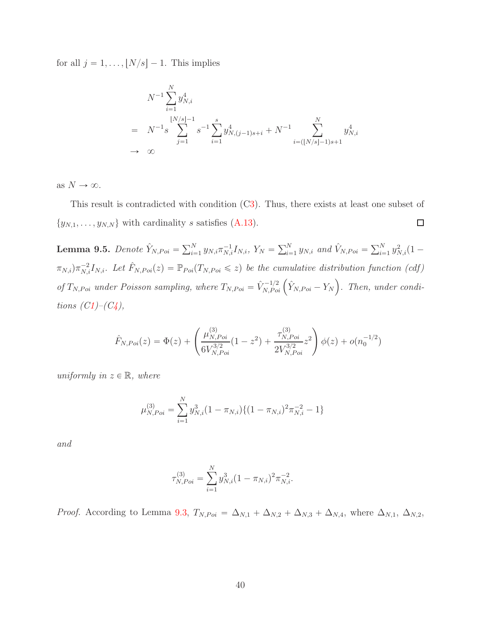for all  $j = 1, ..., \lfloor N/s \rfloor - 1$ . This implies

$$
N^{-1} \sum_{i=1}^{N} y_{N,i}^4
$$
  
=  $N^{-1} s \sum_{j=1}^{\lfloor N/s \rfloor - 1} s^{-1} \sum_{i=1}^{s} y_{N,(j-1)s+i}^4 + N^{-1} \sum_{i=\lfloor N/s \rfloor - 1)s+1}^{N} y_{N,i}^4$   
 $\rightarrow \infty$ 

as  $N \to \infty$ .

This result is contradicted with condition ([C3\)](#page-6-0). Thus, there exists at least one subset of  $\{y_{N,1}, \ldots, y_{N,N}\}\$  with cardinality s satisfies [\(A.13\)](#page-38-0).  $\Box$ 

<span id="page-39-0"></span>**Lemma 9.5.** *Denote*  $\hat{Y}_{N, Poi} = \sum_{i=1}^{N} y_{N,i} \pi_{N,i}^{-1} I_{N,i}$ ,  $Y_N = \sum_{i=1}^{N} y_{N,i}$  and  $\hat{V}_{N, Poi} = \sum_{i=1}^{N} y_{N,i}^2 (1 (\pi_{N,i})\pi_{N,i}^{-2}I_{N,i}$ . Let  $\hat{F}_{N,Poi}(z) = \mathbb{P}_{Poi}(T_{N,Poi} \leq z)$  be the cumulative distribution function (cdf) *of*  $T_{N, Poi}$  *under Poisson sampling, where*  $T_{N, Poi} = \hat{V}_{N, Poi}^{-1/2} \left( \hat{Y}_{N, Poi} - Y_N \right)$ *. Then, under conditions*  $(C1) – (C4)$  $(C1) – (C4)$  $(C1) – (C4)$  $(C1) – (C4)$ *,* 

$$
\hat{F}_{N, Poi}(z) = \Phi(z) + \left(\frac{\mu_{N, Poi}^{(3)}}{6V_{N, Poi}^{3/2}}(1-z^2) + \frac{\tau_{N, Poi}^{(3)}}{2V_{N, Poi}^{3/2}}z^2\right)\phi(z) + o(n_0^{-1/2})
$$

*uniformly in*  $z \in \mathbb{R}$ *, where* 

$$
\mu_{N, Poi}^{(3)} = \sum_{i=1}^{N} y_{N,i}^3 (1 - \pi_{N,i}) \{ (1 - \pi_{N,i})^2 \pi_{N,i}^{-2} - 1 \}
$$

*and*

$$
\tau_{N, Poi}^{(3)} = \sum_{i=1}^{N} y_{N,i}^3 (1 - \pi_{N,i})^2 \pi_{N,i}^{-2}.
$$

*Proof.* According to Lemma [9.3,](#page-35-0)  $T_{N,Poi} = \Delta_{N,1} + \Delta_{N,2} + \Delta_{N,3} + \Delta_{N,4}$ , where  $\Delta_{N,1}$ ,  $\Delta_{N,2}$ ,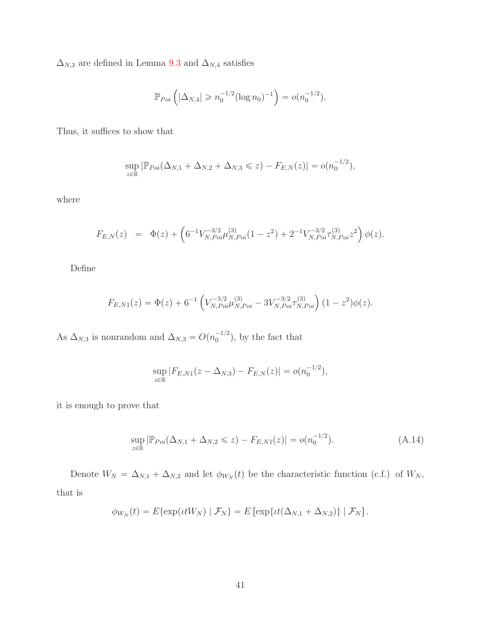$\Delta_{N,3}$  are defined in Lemma [9.3](#page-35-0) and  $\Delta_{N,4}$  satisfies

$$
\mathbb{P}_{Poi}\left(|\Delta_{N,4}| \geq n_0^{-1/2} (\log n_0)^{-1}\right) = o(n_0^{-1/2}).
$$

Thus, it suffices to show that

$$
\sup_{z \in \mathbb{R}} |\mathbb{P}_{Poi}(\Delta_{N,1} + \Delta_{N,2} + \Delta_{N,3} \leq z) - F_{E,N}(z)| = o(n_0^{-1/2}),
$$

where

$$
F_{E,N}(z) = \Phi(z) + \left(6^{-1}V_{N, Poi}^{-3/2} \mu_{N, Poi}^{(3)}(1-z^2) + 2^{-1}V_{N, Poi}^{-3/2} \tau_{N, Poi}^{(3)} z^2\right) \phi(z).
$$

Define

$$
F_{E,N1}(z) = \Phi(z) + 6^{-1} \left( V_{N, Poi}^{-3/2} \mu_{N, Poi}^{(3)} - 3 V_{N, Poi}^{-3/2} \tau_{N, Poi}^{(3)} \right) (1 - z^2) \phi(z).
$$

As  $\Delta_{N,3}$  is nonrandom and  $\Delta_{N,3} = O(n_0^{-1/2})$  $\binom{-1}{0}$ , by the fact that

$$
\sup_{z \in \mathbb{R}} |F_{E,N1}(z - \Delta_{N,3}) - F_{E,N}(z)| = o(n_0^{-1/2}),
$$

it is enough to prove that

$$
\sup_{z \in \mathbb{R}} |\mathbb{P}_{Poi}(\Delta_{N,1} + \Delta_{N,2} \leq z) - F_{E,N1}(z)| = o(n_0^{-1/2}). \tag{A.14}
$$

Denote  $W_N = \Delta_{N,1} + \Delta_{N,2}$  and let  $\phi_{W_N}(t)$  be the characteristic function (c.f.) of  $W_N$ , that is

$$
\phi_{W_N}(t) = E\{\exp(\iota t W_N) | \mathcal{F}_N\} = E\left[\exp\{\iota t (\Delta_{N,1} + \Delta_{N,2})\} | \mathcal{F}_N\right].
$$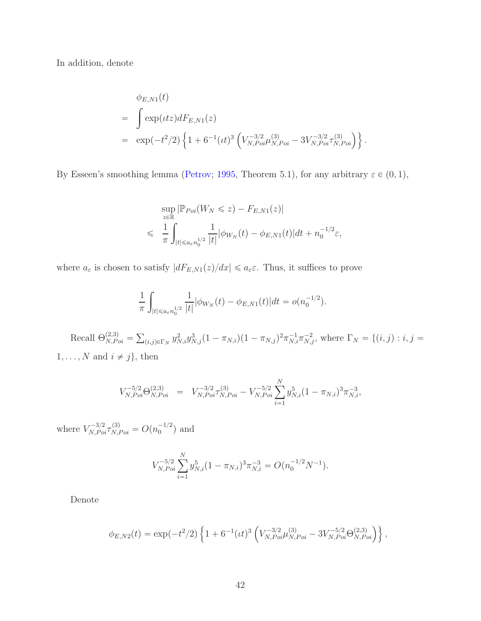In addition, denote

$$
\phi_{E,N1}(t) = \int \exp(\iota t z) dF_{E,N1}(z) \n= \exp(-t^2/2) \left\{ 1 + 6^{-1} (\iota t)^3 \left( V_{N,Poi}^{-3/2} \mu_{N,Poi}^{(3)} - 3 V_{N,Poi}^{-3/2} \tau_{N,Poi}^{(3)} \right) \right\}.
$$

By Esseen's smoothing lemma [\(Petrov](#page-82-0); [1995,](#page-82-0) Theorem 5.1), for any arbitrary  $\varepsilon \in (0, 1)$ ,

$$
\sup_{z \in \mathbb{R}} |\mathbb{P}_{Poi}(W_N \leq z) - F_{E,N1}(z)|
$$
  

$$
\leq \frac{1}{\pi} \int_{|t| \leq a_{\varepsilon} n_0^{1/2}} \frac{1}{|t|} |\phi_{W_N}(t) - \phi_{E,N1}(t)| dt + n_0^{-1/2} \varepsilon,
$$

where  $a_{\varepsilon}$  is chosen to satisfy  $|dF_{E,N1}(z)/dx| \leqslant a_{\varepsilon} \varepsilon$ . Thus, it suffices to prove

$$
\frac{1}{\pi} \int_{|t| \leq a_{\varepsilon} n_0^{1/2}} \frac{1}{|t|} |\phi_{W_N}(t) - \phi_{E,N1}(t)| dt = o(n_0^{-1/2}).
$$

Recall  $\Theta_{N,Poi}^{(2,3)} = \sum_{(i,j)\in\Gamma_N} y_{N,i}^2 y_{N,j}^3 (1-\pi_{N,i})(1-\pi_{N,j})^2 \pi_{N,i}^{-1} \pi_{N,j}^{-2}$ , where  $\Gamma_N = \{(i,j): i,j=1\}$  $1, \ldots, N$  and  $i \neq j$ , then

$$
V_{N,Poi}^{-5/2} \Theta_{N,Poi}^{(2,3)} = V_{N,Poi}^{-3/2} \tau_{N,Poi}^{(3)} - V_{N,Poi}^{-5/2} \sum_{i=1}^{N} y_{N,i}^{5} (1 - \pi_{N,i})^3 \pi_{N,i}^{-3},
$$

where  $V_{N,Poi}^{-3/2} \tau_{N,Poi}^{(3)} = O(n_0^{-1/2})$  $\binom{-1/2}{0}$  and

$$
V_{N, Poi}^{-5/2} \sum_{i=1}^{N} y_{N,i}^{5} (1 - \pi_{N,i})^3 \pi_{N,i}^{-3} = O(n_0^{-1/2} N^{-1}).
$$

Denote

$$
\phi_{E,N2}(t) = \exp(-t^2/2) \left\{ 1 + 6^{-1} (t^2)^3 \left( V_{N,Poi}^{-3/2} \mu_{N,Poi}^{(3)} - 3 V_{N,Poi}^{-5/2} \Theta_{N,Poi}^{(2,3)} \right) \right\},
$$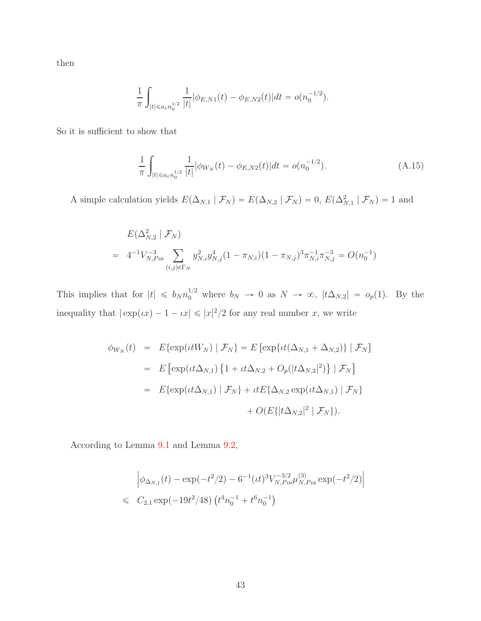then

$$
\frac{1}{\pi}\int_{|t|\leqslant a_\varepsilon n_0^{1/2}}\frac{1}{|t|}|\phi_{E,N1}(t)-\phi_{E,N2}(t)|dt=o(n_0^{-1/2}).
$$

So it is sufficient to show that

$$
\frac{1}{\pi} \int_{|t| \leq a \varepsilon n_0^{1/2}} \frac{1}{|t|} |\phi_{W_N}(t) - \phi_{E,N2}(t)| dt = o(n_0^{-1/2}). \tag{A.15}
$$

A simple calculation yields  $E(\Delta_{N,1} | \mathcal{F}_N) = E(\Delta_{N,2} | \mathcal{F}_N) = 0$ ,  $E(\Delta_{N,1}^2 | \mathcal{F}_N) = 1$  and

$$
E(\Delta_{N,2}^2 \mid \mathcal{F}_N)
$$
  
=  $4^{-1}V_{N, Poi}^{-3} \sum_{(i,j)\in\Gamma_N} y_{N,i}^2 y_{N,j}^4 (1 - \pi_{N,i})(1 - \pi_{N,j})^3 \pi_{N,i}^{-1} \pi_{N,j}^{-3} = O(n_0^{-1})$ 

This implies that for  $|t| \leq b_N n_0^{1/2}$  where  $b_N \to 0$  as  $N \to \infty$ ,  $|t\Delta_{N,2}| = o_p(1)$ . By the inequality that  $|\exp(\iota x) - 1 - \iota x| \leqslant |x|^2/2$  for any real number x, we write

$$
\phi_{W_N}(t) = E\{\exp(\iota t W_N) | \mathcal{F}_N\} = E\left[\exp\{\iota t (\Delta_{N,1} + \Delta_{N,2})\} | \mathcal{F}_N\right]
$$
  
\n
$$
= E\left[\exp(\iota t \Delta_{N,1}) \{1 + \iota t \Delta_{N,2} + O_p(|t \Delta_{N,2}|^2)\} | \mathcal{F}_N\right]
$$
  
\n
$$
= E\{\exp(\iota t \Delta_{N,1}) | \mathcal{F}_N\} + \iota t E\{\Delta_{N,2} \exp(\iota t \Delta_{N,1}) | \mathcal{F}_N\}
$$
  
\n
$$
+ O(E\{|t \Delta_{N,2}|^2 | \mathcal{F}_N\}).
$$

According to Lemma [9.1](#page-27-0) and Lemma [9.2,](#page-31-0)

$$
\left| \phi_{\Delta_{N,1}}(t) - \exp(-t^2/2) - 6^{-1} (it)^3 V_{N, Poi}^{-3/2} \mu_{N, Poi}^{(3)} \exp(-t^2/2) \right|
$$
  
\$\leqslant C\_{2,1} \exp(-19t^2/48) \left( t^4 n\_0^{-1} + t^6 n\_0^{-1} \right)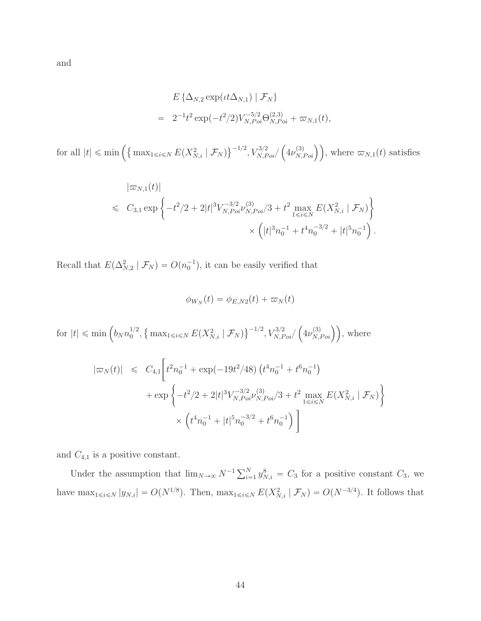$$
E\{\Delta_{N,2} \exp(\iota t \Delta_{N,1}) \mid \mathcal{F}_N\}
$$
  
=  $2^{-1}t^2 \exp(-t^2/2) V_{N,Poi}^{-5/2} \Theta_{N,Poi}^{(2,3)} + \varpi_{N,1}(t),$ 

for all  $|t| \leq \min \left( \left\{ \max_{1 \leq i \leq N} E(X_{N,i}^2 \mid \mathcal{F}_N) \right\}^{-1/2}, V_{N, Poi}^{3/2} \right)$  $(\mu_{N,Poi}^{(3)})$ , where  $\varpi_{N,1}(t)$  satisfies

$$
|\varpi_{N,1}(t)|
$$
  
\$\leqslant C\_{3,1} \exp \left\{-t^2/2 + 2|t|^3 V\_{N, Poi}^{-3/2} \nu\_{N, Poi}^{(3)}/3 + t^2 \max\_{1 \leqslant i \leqslant N} E(X\_{N,i}^2 \mid \mathcal{F}\_N) \right\}\$  
\$\times \left( |t|^3 n\_0^{-1} + t^4 n\_0^{-3/2} + |t|^5 n\_0^{-1} \right).

Recall that  $E(\Delta_{N,2}^2 | \mathcal{F}_N) = O(n_0^{-1})$ , it can be easily verified that

$$
\phi_{W_N}(t) = \phi_{E,N2}(t) + \varpi_N(t)
$$

for  $|t| \leqslant \min\left(b_N n_0^{1/2}\right)$  $\int_0^{1/2}$ ,  $\left\{\max_{1 \le i \le N} E(X_{N,i}^2 \mid \mathcal{F}_N)\right\}^{-1/2}$ ,  $V_{N,Poi}^{3/2}$  $\left(4\nu_{N,Poi}^{(3)}\right)$ , where

$$
\begin{aligned}\n|\varpi_N(t)| &\leq C_{4,1} \bigg[ t^2 n_0^{-1} + \exp(-19t^2/48) \left( t^4 n_0^{-1} + t^6 n_0^{-1} \right) \\
&\quad + \exp \bigg\{ -t^2/2 + 2|t|^3 V_{N, Poi}^{-3/2} \nu_{N, Poi}^{(3)} / 3 + t^2 \max_{1 \leq i \leq N} E(X_{N,i}^2 \mid \mathcal{F}_N) \bigg\} \\
&\quad \times \left( t^4 n_0^{-1} + |t|^5 n_0^{-3/2} + t^6 n_0^{-1} \right) \bigg]\n\end{aligned}
$$

and  $C_{4,1}$  is a positive constant.

Under the assumption that  $\lim_{N\to\infty} N^{-1} \sum_{i=1}^N y_{N,i}^8 = C_3$  for a positive constant  $C_3$ , we have  $\max_{1 \leq i \leq N} |y_{N,i}| = O(N^{1/8})$ . Then,  $\max_{1 \leq i \leq N} E(X_{N,i}^2 | \mathcal{F}_N) = O(N^{-3/4})$ . It follows that

and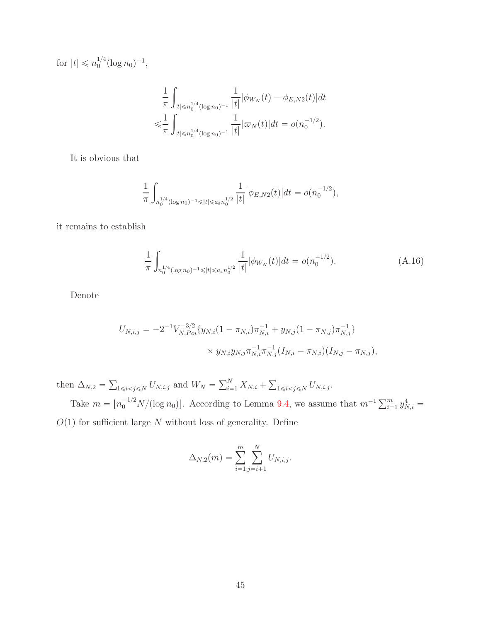for  $|t| \leq n_0^{1/4}$  $\int_0^{1/4} (\log n_0)^{-1},$ 

$$
\frac{1}{\pi} \int_{|t| \le n_0^{1/4} (\log n_0)^{-1}} \frac{1}{|t|} |\phi_{W_N}(t) - \phi_{E,N2}(t)| dt
$$
  

$$
\le \frac{1}{\pi} \int_{|t| \le n_0^{1/4} (\log n_0)^{-1}} \frac{1}{|t|} |\varpi_N(t)| dt = o(n_0^{-1/2}).
$$

It is obvious that

$$
\frac{1}{\pi} \int_{n_0^{1/4} (\log n_0)^{-1} \leq |t| \leq a_{\varepsilon} n_0^{1/2}} \frac{1}{|t|} |\phi_{E,N2}(t)| dt = o(n_0^{-1/2}),
$$

it remains to establish

$$
\frac{1}{\pi} \int_{n_0^{1/4} (\log n_0)^{-1} \leq |t| \leq a_{\varepsilon} n_0^{1/2}} \frac{1}{|t|} |\phi_{W_N}(t)| dt = o(n_0^{-1/2}). \tag{A.16}
$$

Denote

$$
U_{N,i,j} = -2^{-1} V_{N, Poi}^{-3/2} \{ y_{N,i} (1 - \pi_{N,i}) \pi_{N,i}^{-1} + y_{N,j} (1 - \pi_{N,j}) \pi_{N,j}^{-1} \}
$$
  
 
$$
\times y_{N,i} y_{N,j} \pi_{N,i}^{-1} \pi_{N,j}^{-1} (I_{N,i} - \pi_{N,i}) (I_{N,j} - \pi_{N,j}),
$$

then  $\Delta_{N,2} = \sum_{1 \le i < j \le N} U_{N,i,j}$  and  $W_N = \sum_{i=1}^N X_{N,i} + \sum_{1 \le i < j \le N} U_{N,i,j}$ .

Take  $m = \lfloor n_0^{-1/2} N / (\log n_0) \rfloor$ . According to Lemma [9.4,](#page-38-1) we assume that  $m^{-1} \sum_{i=1}^m y_{N,i}^4 =$  $O(1)$  for sufficient large N without loss of generality. Define

$$
\Delta_{N,2}(m) = \sum_{i=1}^{m} \sum_{j=i+1}^{N} U_{N,i,j}.
$$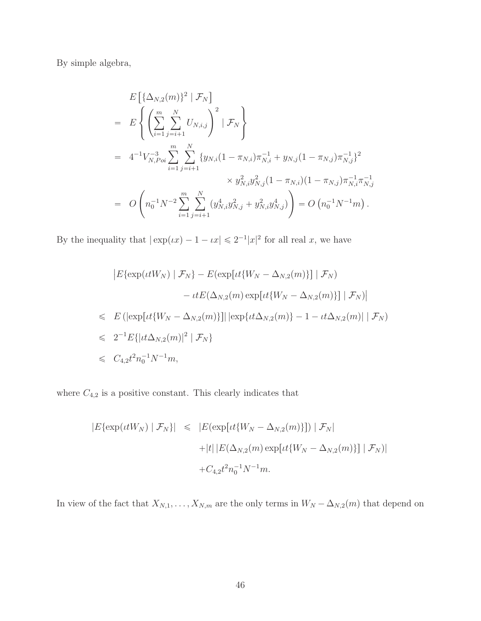By simple algebra,

$$
E\left[\{\Delta_{N,2}(m)\}^{2} | \mathcal{F}_{N}\right]
$$
  
= 
$$
E\left\{\left(\sum_{i=1}^{m} \sum_{j=i+1}^{N} U_{N,i,j}\right)^{2} | \mathcal{F}_{N}\right\}
$$
  
= 
$$
4^{-1}V_{N,Poi}^{-3} \sum_{i=1}^{m} \sum_{j=i+1}^{N} \{y_{N,i}(1-\pi_{N,i})\pi_{N,i}^{-1} + y_{N,j}(1-\pi_{N,j})\pi_{N,j}^{-1}\}^{2}
$$

$$
\times y_{N,i}^{2}y_{N,j}^{2}(1-\pi_{N,i})(1-\pi_{N,j})\pi_{N,i}^{-1}\pi_{N,j}^{-1}
$$

$$
= O\left(n_{0}^{-1}N^{-2} \sum_{i=1}^{m} \sum_{j=i+1}^{N} (y_{N,i}^{4}y_{N,j}^{2} + y_{N,i}^{2}y_{N,j}^{4})\right) = O\left(n_{0}^{-1}N^{-1}m\right).
$$

By the inequality that  $|\exp(\iota x) - 1 - \iota x| \leq 2^{-1}|x|^2$  for all real x, we have

$$
|E\{\exp(\iota tW_N) | \mathcal{F}_N\} - E(\exp[\iota t\{W_N - \Delta_{N,2}(m)\}] | \mathcal{F}_N)
$$
  

$$
- \iota tE(\Delta_{N,2}(m) \exp[\iota t\{W_N - \Delta_{N,2}(m)\}] | \mathcal{F}_N)|
$$
  

$$
\leq E\left( |\exp[\iota t\{W_N - \Delta_{N,2}(m)\}]| |\exp\{\iota t\Delta_{N,2}(m)\} - 1 - \iota t\Delta_{N,2}(m)| | \mathcal{F}_N \right)
$$
  

$$
\leq 2^{-1}E\{ |\iota t\Delta_{N,2}(m)|^2 | \mathcal{F}_N \}
$$
  

$$
\leq C_{4,2}t^2n_0^{-1}N^{-1}m,
$$

where  $C_{4,2}$  is a positive constant. This clearly indicates that

$$
|E\{\exp(\iota tW_N) | \mathcal{F}_N\}| \leq |E(\exp[\iota t\{W_N - \Delta_{N,2}(m)\}]) | \mathcal{F}_N|
$$
  
+|t| |E(\Delta\_{N,2}(m) \exp[\iota t\{W\_N - \Delta\_{N,2}(m)\}] | \mathcal{F}\_N|  
+ C\_{4,2}t^2n\_0^{-1}N^{-1}m.

In view of the fact that  $X_{N,1}, \ldots, X_{N,m}$  are the only terms in  $W_N - \Delta_{N,2}(m)$  that depend on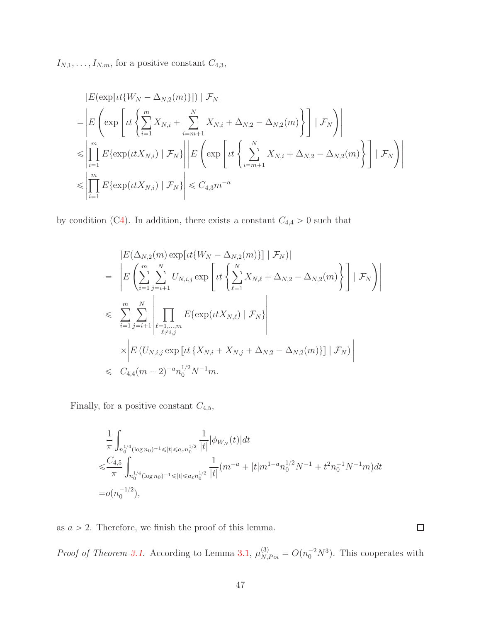$I_{N,1}, \ldots, I_{N,m}$ , for a positive constant  $C_{4,3}$ ,

$$
|E(\exp[it\{W_N - \Delta_{N,2}(m)\}])| \mathcal{F}_N|
$$
  
\n=
$$
\left| E\left(\exp\left[it\left\{\sum_{i=1}^m X_{N,i} + \sum_{i=m+1}^N X_{N,i} + \Delta_{N,2} - \Delta_{N,2}(m)\right\} \right] | \mathcal{F}_N \right) \right|
$$
  
\n
$$
\leq \left| \prod_{i=1}^m E\{\exp(itX_{N,i}) | \mathcal{F}_N\} \right| \left| E\left(\exp\left[it\left\{\sum_{i=m+1}^N X_{N,i} + \Delta_{N,2} - \Delta_{N,2}(m)\right\} \right] | \mathcal{F}_N \right) \right|
$$
  
\n
$$
\leq \left| \prod_{i=1}^m E\{\exp(itX_{N,i}) | \mathcal{F}_N\} \right| \leq C_{4,3} m^{-a}
$$

by condition ([C4\)](#page-6-1). In addition, there exists a constant  $C_{4,4} > 0$  such that

$$
|E(\Delta_{N,2}(m) \exp[t\{W_N - \Delta_{N,2}(m)\}] | \mathcal{F}_N)|
$$
\n
$$
= \left| E\left(\sum_{i=1}^m \sum_{j=i+1}^N U_{N,i,j} \exp\left[it\left\{\sum_{\ell=1}^N X_{N,\ell} + \Delta_{N,2} - \Delta_{N,2}(m)\right\}\right] | \mathcal{F}_N\right) \right|
$$
\n
$$
\leq \sum_{i=1}^m \sum_{j=i+1}^N \left| \prod_{\substack{\ell=1,\dots,m\\ \ell \neq i,j}} E\{\exp(itX_{N,\ell}) | \mathcal{F}_N\} \right|
$$
\n
$$
\times \left| E\left(U_{N,i,j} \exp\left[it\left\{X_{N,i} + X_{N,j} + \Delta_{N,2} - \Delta_{N,2}(m)\right\}\right] | \mathcal{F}_N\right) \right|
$$
\n
$$
\leq C_{4,4}(m-2)^{-a} n_0^{1/2} N^{-1} m.
$$

Finally, for a positive constant  $C_{4,5},\,$ 

$$
\begin{split} & \frac{1}{\pi} \int_{n_0^{1/4} (\log n_0)^{-1} \leqslant |t| \leqslant a_\varepsilon n_0^{1/2}} \frac{1}{|t|} |\phi_{W_N}(t)| dt \\ \leqslant & \frac{C_{4,5}}{\pi} \int_{n_0^{1/4} (\log n_0)^{-1} \leqslant |t| \leqslant a_\varepsilon n_0^{1/2}} \frac{1}{|t|} (m^{-a} + |t| m^{1-a} n_0^{1/2} N^{-1} + t^2 n_0^{-1} N^{-1} m) dt \\ = & o(n_0^{-1/2}), \end{split}
$$

as  $a > 2$ . Therefore, we finish the proof of this lemma.

*Proof of Theorem [3.1.](#page-8-0)* According to Lemma [3.1,](#page-7-1)  $\mu_{N,Poi}^{(3)} = O(n_0^{-2}N^3)$ . This cooperates with

 $\Box$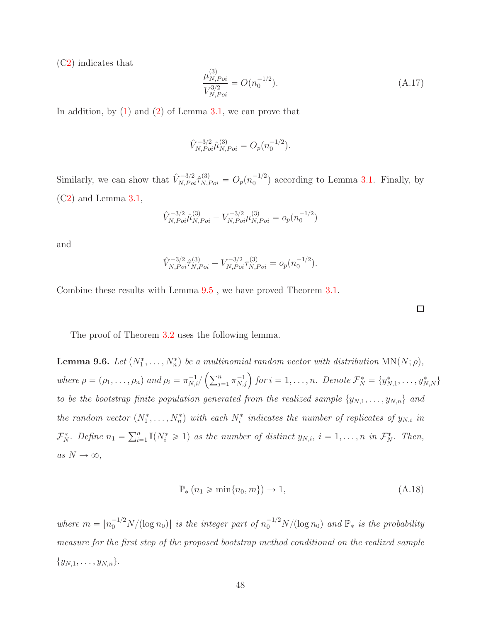([C2\)](#page-6-2) indicates that

$$
\frac{\mu_{N, Poi}^{(3)}}{V_{N, Poi}^{3/2}} = O(n_0^{-1/2}).
$$
\n(A.17)

In addition, by  $(1)$  and  $(2)$  of Lemma [3.1,](#page-7-1) we can prove that

$$
\hat{V}_{N,Poi}^{-3/2} \hat{\mu}_{N,Poi}^{(3)} = O_p(n_0^{-1/2}).
$$

Similarly, we can show that  $\hat{V}_{N,Poi}^{-3/2} \hat{\tau}_{N,Poi}^{(3)} = O_p(n_0^{-1/2})$  $\binom{-1}{0}$  according to Lemma [3.1.](#page-7-1) Finally, by ([C2\)](#page-6-2) and Lemma [3.1,](#page-7-1)

$$
\hat{V}_{N,Poi}^{-3/2} \hat{\mu}_{N,Poi}^{(3)} - V_{N,Poi}^{-3/2} \mu_{N,Poi}^{(3)} = o_p(n_0^{-1/2})
$$

and

$$
\hat{V}_{N,Poi}^{-3/2} \hat{\tau}_{N,Poi}^{(3)} - V_{N,Poi}^{-3/2} \tau_{N,Poi}^{(3)} = o_p(n_0^{-1/2}).
$$

Combine these results with Lemma [9.5](#page-39-0) , we have proved Theorem [3.1.](#page-8-0)

The proof of Theorem [3.2](#page-9-0) uses the following lemma.

<span id="page-47-0"></span>**Lemma 9.6.** Let  $(N_1^*, \ldots, N_n^*)$  be a multinomial random vector with distribution  $MN(N; \rho)$ ,  $where \rho = (\rho_1, \ldots, \rho_n) \text{ and } \rho_i = \pi_{N,i}^{-1}/\left(\sum_{j=1}^n \pi_{N,j}^{-1}\right) \text{ for } i = 1, \ldots, n. \text{ Denote } \mathcal{F}_N^* = \{y_{N,1}^*, \ldots, y_{N,N}^*\}$ *to be the bootstrap finite population generated from the realized sample*  $\{y_{N,1}, \ldots, y_{N,n}\}\$  and the random vector  $(N_1^*, \ldots, N_n^*)$  with each  $N_i^*$  indicates the number of replicates of  $y_{N,i}$  in  $\mathcal{F}_N^*$ . Define  $n_1 = \sum_{i=1}^n \mathbb{I}(N_i^* \geq 1)$  as the number of distinct  $y_{N,i}$ ,  $i = 1, \ldots, n$  in  $\mathcal{F}_N^*$ . Then,  $as N \rightarrow \infty$ ,

$$
\mathbb{P}_*(n_1 \geq \min\{n_0, m\}) \to 1,
$$
\n(A.18)

where  $m = \lfloor n_0^{-1/2} N/(\log n_0) \rfloor$  *is the integer part of*  $n_0^{-1/2} N/(\log n_0)$  *and*  $\mathbb{P}_*$  *is the probability measure for the first step of the proposed bootstrap method conditional on the realized sample*  $\{y_{N,1}, \ldots, y_{N,n}\}.$ 

 $\Box$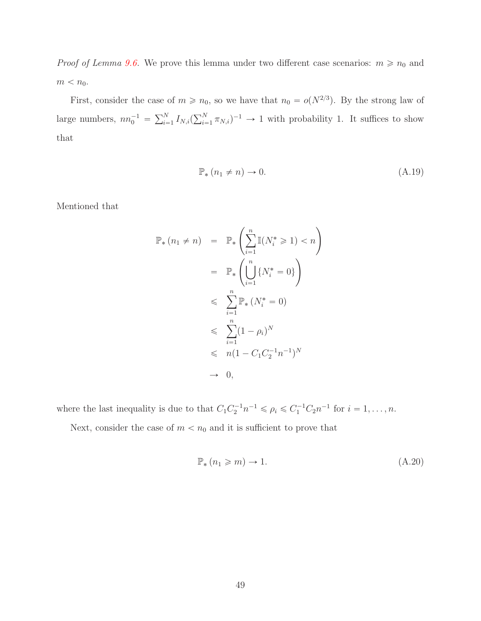*Proof of Lemma [9.6.](#page-47-0)* We prove this lemma under two different case scenarios:  $m \ge n_0$  and  $m < n_0$ .

First, consider the case of  $m \ge n_0$ , so we have that  $n_0 = o(N^{2/3})$ . By the strong law of large numbers,  $nn_0^{-1} = \sum_{i=1}^{N} I_{N,i} (\sum_{i=1}^{N} \pi_{N,i})^{-1} \to 1$  with probability 1. It suffices to show that

$$
\mathbb{P}_*(n_1 \neq n) \to 0. \tag{A.19}
$$

Mentioned that

$$
\mathbb{P}_{*}(n_{1} \neq n) = \mathbb{P}_{*}\left(\sum_{i=1}^{n} \mathbb{I}(N_{i}^{*} \geq 1) < n\right)
$$
\n
$$
= \mathbb{P}_{*}\left(\bigcup_{i=1}^{n} \{N_{i}^{*} = 0\}\right)
$$
\n
$$
\leqslant \sum_{i=1}^{n} \mathbb{P}_{*}(N_{i}^{*} = 0)
$$
\n
$$
\leqslant \sum_{i=1}^{n} (1 - \rho_{i})^{N}
$$
\n
$$
\leqslant n(1 - C_{1}C_{2}^{-1}n^{-1})^{N}
$$
\n
$$
\to 0,
$$

where the last inequality is due to that  $C_1 C_2^{-1} n^{-1} \leq \rho_i \leq C_1^{-1} C_2 n^{-1}$  for  $i = 1, ..., n$ .

Next, consider the case of  $m < n_0$  and it is sufficient to prove that

<span id="page-48-0"></span>
$$
\mathbb{P}_*(n_1 \geqslant m) \to 1. \tag{A.20}
$$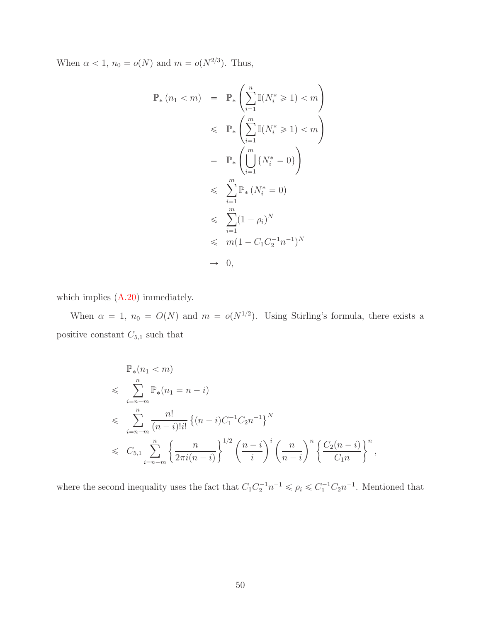When  $\alpha < 1$ ,  $n_0 = o(N)$  and  $m = o(N^{2/3})$ . Thus,

$$
\mathbb{P}_{*}(n_{1} < m) = \mathbb{P}_{*}\left(\sum_{i=1}^{n} \mathbb{I}(N_{i}^{*} \geq 1) < m\right)
$$
  
\n
$$
\leq \mathbb{P}_{*}\left(\sum_{i=1}^{m} \mathbb{I}(N_{i}^{*} \geq 1) < m\right)
$$
  
\n
$$
= \mathbb{P}_{*}\left(\bigcup_{i=1}^{m} \{N_{i}^{*} = 0\}\right)
$$
  
\n
$$
\leq \sum_{i=1}^{m} \mathbb{P}_{*}(N_{i}^{*} = 0)
$$
  
\n
$$
\leq \sum_{i=1}^{m} (1 - \rho_{i})^{N}
$$
  
\n
$$
\leq m(1 - C_{1}C_{2}^{-1}n^{-1})^{N}
$$
  
\n
$$
\to 0,
$$

which implies  $(A.20)$  immediately.

When  $\alpha = 1$ ,  $n_0 = O(N)$  and  $m = o(N^{1/2})$ . Using Stirling's formula, there exists a positive constant  $\mathcal{C}_{5,1}$  such that

$$
\mathbb{P}_{*}(n_{1} < m) \n\leq \sum_{i=n-m}^{n} \mathbb{P}_{*}(n_{1} = n - i) \n\leq \sum_{i=n-m}^{n} \frac{n!}{(n-i)!i!} \left\{ (n-i)C_{1}^{-1}C_{2}n^{-1} \right\}^{N} \n\leq C_{5,1} \sum_{i=n-m}^{n} \left\{ \frac{n}{2\pi i(n-i)} \right\}^{1/2} \left( \frac{n-i}{i} \right)^{i} \left( \frac{n}{n-i} \right)^{n} \left\{ \frac{C_{2}(n-i)}{C_{1}n} \right\}^{n},
$$

where the second inequality uses the fact that  $C_1 C_2^{-1} n^{-1} \leq \rho_i \leq C_1^{-1} C_2 n^{-1}$ . Mentioned that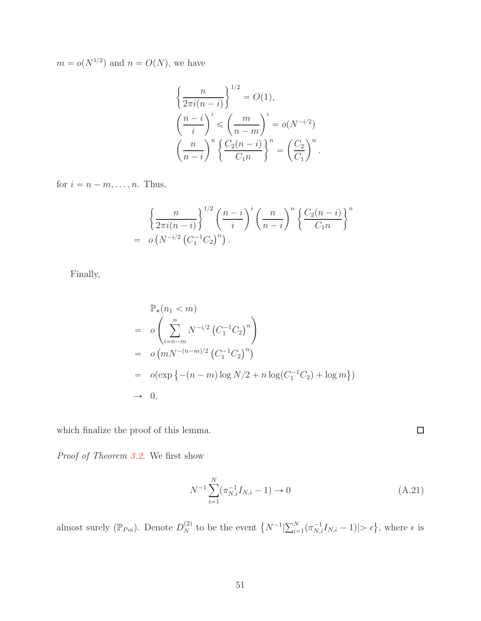$m = o(N^{1/2})$  and  $n = O(N)$ , we have

$$
\left\{\frac{n}{2\pi i(n-i)}\right\}^{1/2} = O(1),
$$

$$
\left(\frac{n-i}{i}\right)^i \leqslant \left(\frac{m}{n-m}\right)^i = o(N^{-i/2})
$$

$$
\left(\frac{n}{n-i}\right)^n \left\{\frac{C_2(n-i)}{C_1 n}\right\}^n = \left(\frac{C_2}{C_1}\right)^n.
$$

for  $i = n - m, \ldots, n$ . Thus,

$$
\left\{\frac{n}{2\pi i(n-i)}\right\}^{1/2} \left(\frac{n-i}{i}\right)^i \left(\frac{n}{n-i}\right)^n \left\{\frac{C_2(n-i)}{C_1 n}\right\}^n
$$
\n
$$
= o\left(N^{-i/2} \left(C_1^{-1} C_2\right)^n\right).
$$

Finally,

$$
\mathbb{P}_{*}(n_{1} < m)
$$
\n
$$
= o\left(\sum_{i=n-m}^{n} N^{-i/2} (C_{1}^{-1}C_{2})^{n}\right)
$$
\n
$$
= o\left(mN^{-(n-m)/2} (C_{1}^{-1}C_{2})^{n}\right)
$$
\n
$$
= o(\exp\left\{-(n-m)\log N/2 + n\log(C_{1}^{-1}C_{2}) + \log m\right\})
$$
\n
$$
\to 0,
$$

which finalize the proof of this lemma.

*Proof of Theorem [3.2.](#page-9-0)* We first show

<span id="page-50-0"></span>
$$
N^{-1} \sum_{i=1}^{N} (\pi_{N,i}^{-1} I_{N,i} - 1) \to 0
$$
 (A.21)

almost surely ( $\mathbb{P}_{Poi}$ ). Denote  $D_N^{(2)}$  to be the event  $\{N^{-1}|\sum_{i=1}^N(\pi_{N,i}^{-1}I_{N,i}-1)|>\epsilon\}$ , where  $\epsilon$  is

 $\Box$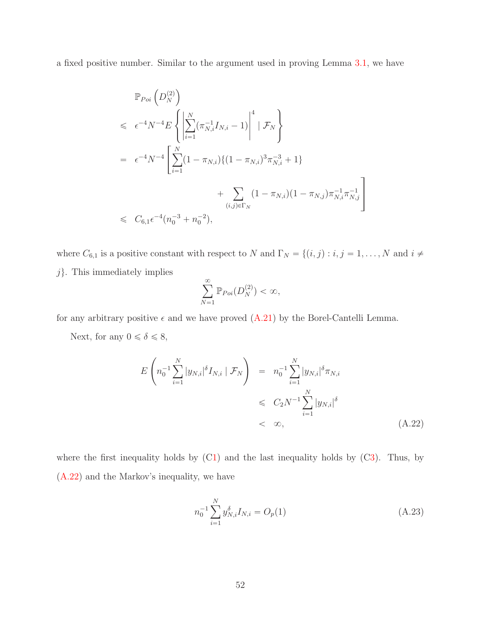a fixed positive number. Similar to the argument used in proving Lemma [3.1,](#page-7-1) we have

$$
\mathbb{P}_{Poi}\left(D_N^{(2)}\right)
$$
\n
$$
\leq \epsilon^{-4}N^{-4}E\left\{\left|\sum_{i=1}^N(\pi_{N,i}^{-1}I_{N,i}-1)\right|^4|\mathcal{F}_N\right\}
$$
\n
$$
= \epsilon^{-4}N^{-4}\left[\sum_{i=1}^N(1-\pi_{N,i})\{(1-\pi_{N,i})^3\pi_{N,i}^{-3}+1\} + \sum_{(i,j)\in\Gamma_N}(1-\pi_{N,i})(1-\pi_{N,j})\pi_{N,i}^{-1}\pi_{N,j}^{-1}\right]
$$
\n
$$
\leq C_{6,1}\epsilon^{-4}(n_0^{-3}+n_0^{-2}),
$$

where  $C_{6,1}$  is a positive constant with respect to N and  $\Gamma_N = \{(i, j) : i, j = 1, ..., N \text{ and } i \neq j\}$  $j$ . This immediately implies

$$
\sum_{N=1}^{\infty} \mathbb{P}_{Poi}(D_N^{(2)}) < \infty,
$$

for any arbitrary positive  $\epsilon$  and we have proved  $(A.21)$  by the Borel-Cantelli Lemma.

Next, for any  $0 \le \delta \le 8$ ,

<span id="page-51-0"></span>
$$
E\left(n_0^{-1}\sum_{i=1}^N|y_{N,i}|^\delta I_{N,i} \mid \mathcal{F}_N\right) = n_0^{-1}\sum_{i=1}^N|y_{N,i}|^\delta \pi_{N,i}
$$
  
\$\leqslant C\_2N^{-1}\sum\_{i=1}^N|y\_{N,i}|^\delta\$  
\$\leqslant \infty\$,} (A.22)

where the first inequality holds by  $(C1)$  $(C1)$  and the last inequality holds by  $(C3)$  $(C3)$ . Thus, by [\(A.22\)](#page-51-0) and the Markov's inequality, we have

<span id="page-51-1"></span>
$$
n_0^{-1} \sum_{i=1}^{N} y_{N,i}^{\delta} I_{N,i} = O_p(1)
$$
\n(A.23)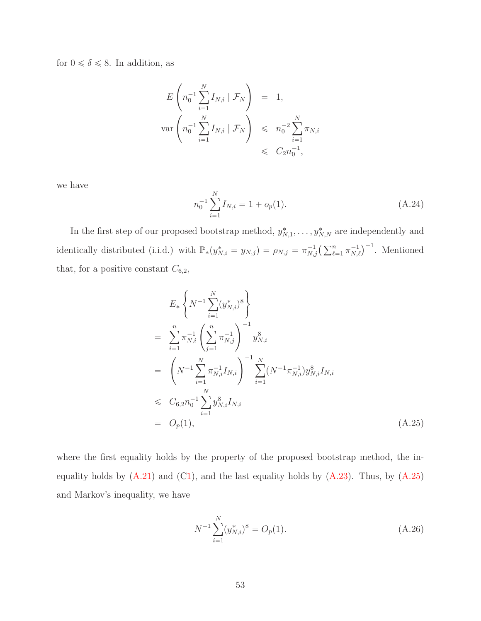for  $0 \le \delta \le 8$ . In addition, as

$$
E\left(n_0^{-1} \sum_{i=1}^N I_{N,i} \mid \mathcal{F}_N\right) = 1,
$$
  
 
$$
\text{var}\left(n_0^{-1} \sum_{i=1}^N I_{N,i} \mid \mathcal{F}_N\right) \leq n_0^{-2} \sum_{i=1}^N \pi_{N,i}
$$
  

$$
\leq C_2 n_0^{-1},
$$

we have

$$
n_0^{-1} \sum_{i=1}^{N} I_{N,i} = 1 + o_p(1).
$$
 (A.24)

In the first step of our proposed bootstrap method,  $y_{N,1}^*, \ldots, y_{N,N}^*$  are independently and identically distributed (i.i.d.) with  $\mathbb{P}_*(y_{N,i}^* = y_{N,j}) = \rho_{N,j} = \pi_{N,j}^{-1} \left( \sum_{\ell=1}^n \pi_{N,\ell}^{-1} \right)^{-1}$ . Mentioned that, for a positive constant  $C_{6,2}$ ,

<span id="page-52-0"></span>
$$
E_*\left\{N^{-1}\sum_{i=1}^N(y_{N,i}^*)^8\right\}
$$
  
= 
$$
\sum_{i=1}^n \pi_{N,i}^{-1} \left(\sum_{j=1}^n \pi_{N,j}^{-1}\right)^{-1} y_{N,i}^8
$$
  
= 
$$
\left(N^{-1}\sum_{i=1}^N \pi_{N,i}^{-1} I_{N,i}\right)^{-1} \sum_{i=1}^N (N^{-1}\pi_{N,i}^{-1}) y_{N,i}^8 I_{N,i}
$$
  

$$
\leq C_{6,2} n_0^{-1} \sum_{i=1}^N y_{N,i}^8 I_{N,i}
$$
  
= 
$$
O_p(1), \qquad (A.25)
$$

where the first equality holds by the property of the proposed bootstrap method, the inequality holds by  $(A.21)$  and  $(C1)$  $(C1)$ , and the last equality holds by  $(A.23)$ . Thus, by  $(A.25)$ and Markov's inequality, we have

<span id="page-52-1"></span>
$$
N^{-1} \sum_{i=1}^{N} (y_{N,i}^*)^8 = O_p(1). \tag{A.26}
$$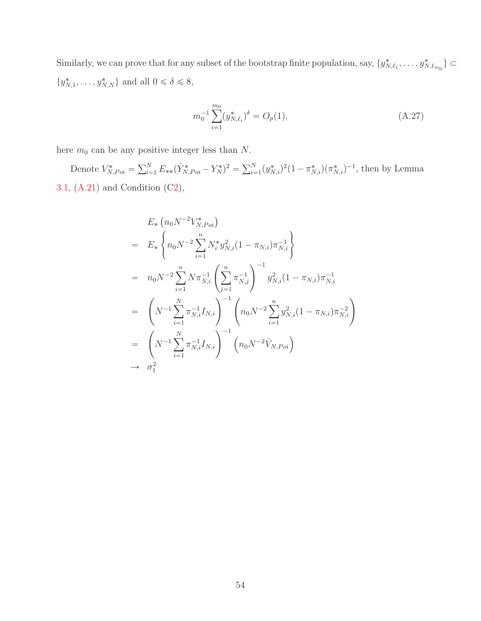Similarly, we can prove that for any subset of the bootstrap finite population, say,  $\{y_{N,\ell_1}^*,\ldots,y_{N,\ell_{m_0}}^*\}\subset$  $\{y_{N,1}^*,\ldots,y_{N,N}^*\}$  and all  $0 \le \delta \le 8$ ,

<span id="page-53-0"></span>
$$
m_0^{-1} \sum_{i=1}^{m_0} (y_{N,\ell_i}^*)^{\delta} = O_p(1), \tag{A.27}
$$

here  $m_0$  can be any positive integer less than  $N$ .

Denote  $V_{N,Poi}^* = \sum_{i=1}^N E_{**}(\hat{Y}_{N,Poi}^* - Y_N^*)^2 = \sum_{i=1}^N (y_{N,i}^*)^2 (1 - \pi_{N,i}^*) (\pi_{N,i}^*)^{-1}$ , then by Lemma [3.1,](#page-7-1) [\(A.21\)](#page-50-0) and Condition ([C2\)](#page-6-2),

$$
E_* \left( n_0 N^{-2} V_{N, Poi}^* \right)
$$
  
\n
$$
= E_* \left\{ n_0 N^{-2} \sum_{i=1}^n N_i^* y_{N,i}^2 (1 - \pi_{N,i}) \pi_{N,i}^{-1} \right\}
$$
  
\n
$$
= n_0 N^{-2} \sum_{i=1}^n N \pi_{N,i}^{-1} \left( \sum_{j=1}^n \pi_{N,j}^{-1} \right)^{-1} y_{N,i}^2 (1 - \pi_{N,i}) \pi_{N,i}^{-1}
$$
  
\n
$$
= \left( N^{-1} \sum_{i=1}^N \pi_{N,i}^{-1} I_{N,i} \right)^{-1} \left( n_0 N^{-2} \sum_{i=1}^n y_{N,i}^2 (1 - \pi_{N,i}) \pi_{N,i}^{-2} \right)
$$
  
\n
$$
= \left( N^{-1} \sum_{i=1}^N \pi_{N,i}^{-1} I_{N,i} \right)^{-1} \left( n_0 N^{-2} \hat{V}_{N, Poi} \right)
$$
  
\n
$$
\rightarrow \sigma_1^2
$$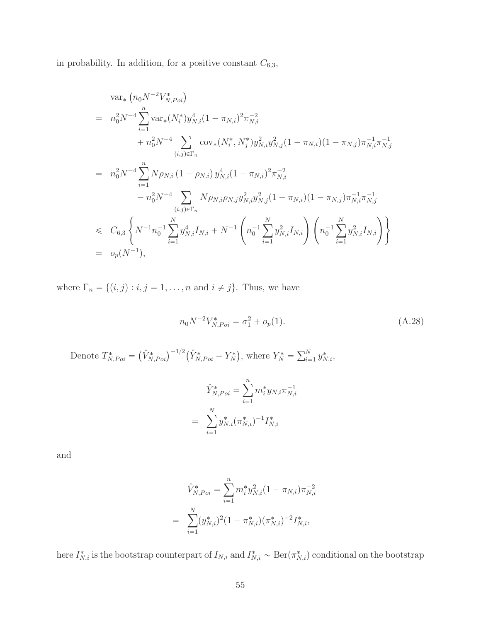in probability. In addition, for a positive constant  $C_{6,3}$ ,

$$
\begin{split}\n&\text{var}_{*}\left(n_{0}N^{-2}V_{N,Poi}^{*}\right) \\
&= n_{0}^{2}N^{-4}\sum_{i=1}^{n}\text{var}_{*}(N_{i}^{*})y_{N,i}^{4}(1-\pi_{N,i})^{2}\pi_{N,i}^{-2} \\
&\quad + n_{0}^{2}N^{-4}\sum_{(i,j)\in\Gamma_{n}}\text{cov}_{*}(N_{i}^{*},N_{j}^{*})y_{N,i}^{2}y_{N,j}^{2}(1-\pi_{N,i})(1-\pi_{N,j})\pi_{N,i}^{-1}\pi_{N,j}^{-1} \\
&= n_{0}^{2}N^{-4}\sum_{i=1}^{n}N\rho_{N,i}\left(1-\rho_{N,i}\right)y_{N,i}^{4}(1-\pi_{N,i})^{2}\pi_{N,i}^{-2} \\
&\quad - n_{0}^{2}N^{-4}\sum_{(i,j)\in\Gamma_{n}}N\rho_{N,i}\rho_{N,j}y_{N,i}^{2}y_{N,j}^{2}(1-\pi_{N,i})(1-\pi_{N,j})\pi_{N,i}^{-1}\pi_{N,j}^{-1} \\
&\le C_{6,3}\left\{N^{-1}n_{0}^{-1}\sum_{i=1}^{N}y_{N,i}^{4}I_{N,i}+N^{-1}\left(n_{0}^{-1}\sum_{i=1}^{N}y_{N,i}^{2}I_{N,i}\right)\left(n_{0}^{-1}\sum_{i=1}^{N}y_{N,i}^{2}I_{N,i}\right)\right\} \\
&= o_{p}(N^{-1}),\n\end{split}
$$

where  $\Gamma_n = \{(i, j) : i, j = 1, ..., n \text{ and } i \neq j\}$ . Thus, we have

<span id="page-54-0"></span>
$$
n_0 N^{-2} V_{N, Poi}^* = \sigma_1^2 + o_p(1).
$$
\n(A.28)

Denote  $T^*_{N,Poi} = (\hat{V}^*_{N,Poi})^{-1/2} (\hat{Y}^*_{N,Poi} - Y^*_{N}),$  where  $Y^*_{N} = \sum_{i=1}^{N} y^*_{N,i}$ ,

$$
\hat{Y}_{N,Poi}^* = \sum_{i=1}^n m_i^* y_{N,i} \pi_{N,i}^{-1}
$$

$$
= \sum_{i=1}^N y_{N,i}^* (\pi_{N,i}^*)^{-1} I_{N,i}^*
$$

and

$$
\hat{V}_{N,Poi}^* = \sum_{i=1}^n m_i^* y_{N,i}^2 (1 - \pi_{N,i}) \pi_{N,i}^{-2}
$$

$$
= \sum_{i=1}^N (y_{N,i}^*)^2 (1 - \pi_{N,i}^*) (\pi_{N,i}^*)^{-2} I_{N,i}^*,
$$

here  $I_{N,i}^*$  is the bootstrap counterpart of  $I_{N,i}$  and  $I_{N,i}^* \sim \text{Ber}(\pi_{N,i}^*)$  conditional on the bootstrap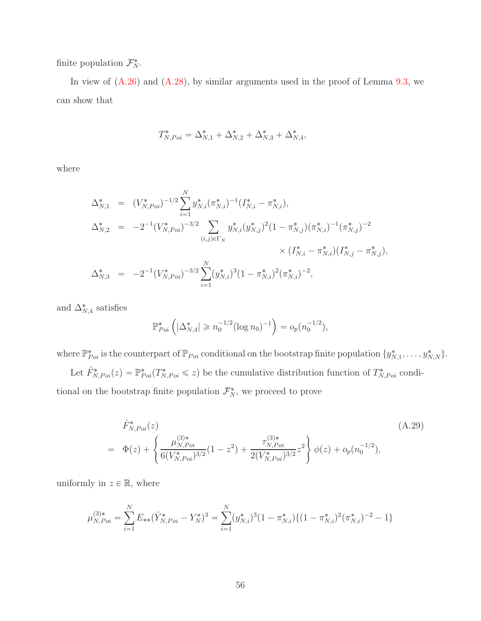finite population  $\mathcal{F}_N^*$ .

In view of  $(A.26)$  and  $(A.28)$ , by similar arguments used in the proof of Lemma [9.3,](#page-35-0) we can show that

$$
T_{N,Poi}^* = \Delta_{N,1}^* + \Delta_{N,2}^* + \Delta_{N,3}^* + \Delta_{N,4}^*,
$$

where

$$
\Delta_{N,1}^{*} = (V_{N,Poi}^{*})^{-1/2} \sum_{i=1}^{N} y_{N,i}^{*} (\pi_{N,i}^{*})^{-1} (I_{N,i}^{*} - \pi_{N,i}^{*}),
$$
  
\n
$$
\Delta_{N,2}^{*} = -2^{-1} (V_{N,Poi}^{*})^{-3/2} \sum_{(i,j) \in \Gamma_{N}} y_{N,i}^{*} (y_{N,j}^{*})^{2} (1 - \pi_{N,j}^{*}) (\pi_{N,i}^{*})^{-1} (\pi_{N,j}^{*})^{-2}
$$
  
\n
$$
\times (I_{N,i}^{*} - \pi_{N,i}^{*}) (I_{N,j}^{*} - \pi_{N,j}^{*}),
$$
  
\n
$$
\Delta_{N,3}^{*} = -2^{-1} (V_{N,Poi}^{*})^{-3/2} \sum_{i=1}^{N} (y_{N,i}^{*})^{3} (1 - \pi_{N,i}^{*})^{2} (\pi_{N,i}^{*})^{-2},
$$

and  $\Delta_{N,4}^*$  satisfies

$$
\mathbb{P}_{Poi}^* \left( |\Delta_{N,4}^*| \geq n_0^{-1/2} (\log n_0)^{-1} \right) = o_p(n_0^{-1/2}),
$$

where  $\mathbb{P}_{Poi}^*$  is the counterpart of  $\mathbb{P}_{Poi}$  conditional on the bootstrap finite population  $\{y_{N,1}^*,\ldots,y_{N,N}^*\}$ . Let  $\hat{F}_{N, Poi}^*(z) = \mathbb{P}_{Poi}^*(T_{N, Poi}^* \leq z)$  be the cumulative distribution function of  $T_{N, Poi}^*$  conditional on the bootstrap finite population  $\mathcal{F}_N^*$ , we proceed to prove

<span id="page-55-0"></span>
$$
\hat{F}_{N, Poi}^{*}(z) \tag{A.29}
$$
\n
$$
= \Phi(z) + \left\{ \frac{\mu_{N, Poi}^{(3)*}}{6(V_{N, Poi}^{*})^{3/2}} (1 - z^2) + \frac{\tau_{N, Poi}^{(3)*}}{2(V_{N, Poi}^{*})^{3/2}} z^2 \right\} \phi(z) + o_p(n_0^{-1/2}),
$$

uniformly in  $z \in \mathbb{R}$ , where

$$
\mu_{N,Poi}^{(3)*} = \sum_{i=1}^{N} E_{**} (\hat{Y}_{N,Poi}^* - Y_N^*)^3 = \sum_{i=1}^{N} (y_{N,i}^*)^3 (1 - \pi_{N,i}^*) \{ (1 - \pi_{N,i}^*)^2 (\pi_{N,i}^*)^{-2} - 1 \}
$$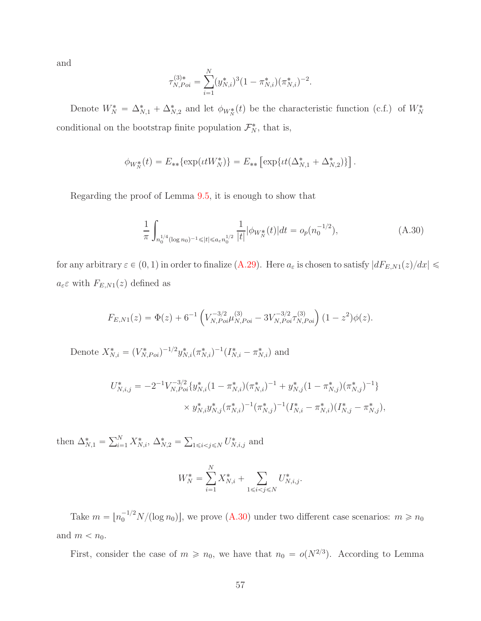and

$$
\tau_{N, Poi}^{(3)*} = \sum_{i=1}^{N} (y_{N,i}^*)^3 (1 - \pi_{N,i}^*) (\pi_{N,i}^*)^{-2}.
$$

Denote  $W_N^* = \Delta_{N,1}^* + \Delta_{N,2}^*$  and let  $\phi_{W_N^*}(t)$  be the characteristic function (c.f.) of  $W_N^*$ conditional on the bootstrap finite population  $\mathcal{F}_N^*$ , that is,

$$
\phi_{W_N^*}(t) = E_{**}\{\exp(\iota t W_N^*)\} = E_{**}\left[\exp\{\iota t (\Delta_{N,1}^* + \Delta_{N,2}^*)\}\right].
$$

Regarding the proof of Lemma [9.5,](#page-39-0) it is enough to show that

<span id="page-56-0"></span>
$$
\frac{1}{\pi} \int_{n_0^{1/4} (\log n_0)^{-1} \leq |t| \leq a_{\varepsilon} n_0^{1/2}} \frac{1}{|t|} |\phi_{W_N^*}(t)| dt = o_p(n_0^{-1/2}),
$$
\n(A.30)

for any arbitrary  $\varepsilon \in (0, 1)$  in order to finalize  $(A.29)$ . Here  $a_{\varepsilon}$  is chosen to satisfy  $|dF_{E,N1}(z)/dx| \leq$  $a_{\varepsilon} \varepsilon$  with  $F_{E,N1}(z)$  defined as

$$
F_{E,N1}(z) = \Phi(z) + 6^{-1} \left( V_{N, Poi}^{-3/2} \mu_{N, Poi}^{(3)} - 3 V_{N, Poi}^{-3/2} \tau_{N, Poi}^{(3)} \right) (1 - z^2) \phi(z).
$$

Denote  $X^*_{N,i} = (V^*_{N,Poi})^{-1/2} y^*_{N,i} (\pi^*_{N,i})^{-1} (I^*_{N,i} - \pi^*_{N,i})$  and

$$
U_{N,i,j}^{*} = -2^{-1} V_{N,Poi}^{-3/2} \{ y_{N,i}^{*} (1 - \pi_{N,i}^{*}) (\pi_{N,i}^{*})^{-1} + y_{N,j}^{*} (1 - \pi_{N,j}^{*}) (\pi_{N,j}^{*})^{-1} \} \times y_{N,i}^{*} y_{N,j}^{*} (\pi_{N,i}^{*})^{-1} (\pi_{N,j}^{*})^{-1} (I_{N,i}^{*} - \pi_{N,i}^{*}) (I_{N,j}^{*} - \pi_{N,j}^{*}),
$$

then  $\Delta_{N,1}^* = \sum_{i=1}^N X_{N,i}^*$ ,  $\Delta_{N,2}^* = \sum_{1 \le i < j \le N} U_{N,i,j}^*$  and

$$
W_N^* = \sum_{i=1}^N X_{N,i}^* + \sum_{1 \le i < j \le N} U_{N,i,j}^*.
$$

Take  $m = \lfloor n_0^{-1/2} N/(\log n_0) \rfloor$ , we prove  $(A.30)$  under two different case scenarios:  $m \ge n_0$ and  $m < n_0$ .

First, consider the case of  $m \geq n_0$ , we have that  $n_0 = o(N^{2/3})$ . According to Lemma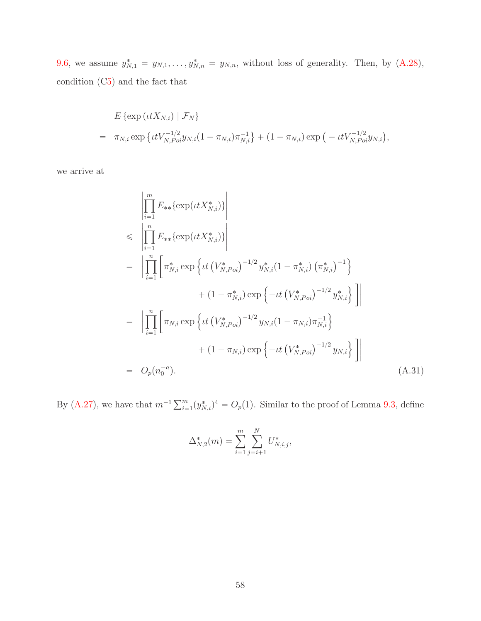[9.6,](#page-47-0) we assume  $y_{N,1}^* = y_{N,1}, \ldots, y_{N,n}^* = y_{N,n}$ , without loss of generality. Then, by  $(A.28)$ , condition ([C5\)](#page-9-1) and the fact that

$$
E\left\{\exp\left(ttX_{N,i}\right) \mid \mathcal{F}_N\right\}
$$
  
=  $\pi_{N,i} \exp\left\{tV_{N,Poi}^{-1/2}y_{N,i}(1-\pi_{N,i})\pi_{N,i}^{-1}\right\} + (1-\pi_{N,i})\exp\left(-\frac{tV_{N,Poi}^{-1/2}y_{N,i}}{y_{N,i}}\right),$ 

we arrive at

<span id="page-57-0"></span>
$$
\begin{split}\n&\leq \left| \prod_{i=1}^{m} E_{**} \{ \exp(\iota t X_{N,i}^{*}) \} \right| \\
&\leq \left| \prod_{i=1}^{n} E_{**} \{ \exp(\iota t X_{N,i}^{*}) \} \right| \\
&= \left| \prod_{i=1}^{n} \left[ \pi_{N,i}^{*} \exp \left\{ \iota t \left( V_{N,Poi}^{*} \right)^{-1/2} y_{N,i}^{*} (1 - \pi_{N,i}^{*}) \left( \pi_{N,i}^{*} \right)^{-1} \right\} \right. \\
&\left. + (1 - \pi_{N,i}^{*}) \exp \left\{ -\iota t \left( V_{N,Poi}^{*} \right)^{-1/2} y_{N,i}^{*} \right\} \right] \right| \\
&= \left| \prod_{i=1}^{n} \left[ \pi_{N,i} \exp \left\{ \iota t \left( V_{N,Poi}^{*} \right)^{-1/2} y_{N,i} (1 - \pi_{N,i}) \pi_{N,i}^{-1} \right\} \right. \\
&\left. + (1 - \pi_{N,i}) \exp \left\{ -\iota t \left( V_{N,Poi}^{*} \right)^{-1/2} y_{N,i} \right\} \right] \right| \\
&= O_{p}(n_{0}^{-a}).\n\end{split} \tag{A.31}
$$

By [\(A.27\)](#page-53-0), we have that  $m^{-1} \sum_{i=1}^{m} (y_{N,i}^*)^4 = O_p(1)$ . Similar to the proof of Lemma [9.3,](#page-35-0) define

$$
\Delta_{N,2}^*(m) = \sum_{i=1}^m \sum_{j=i+1}^N U_{N,i,j}^*,
$$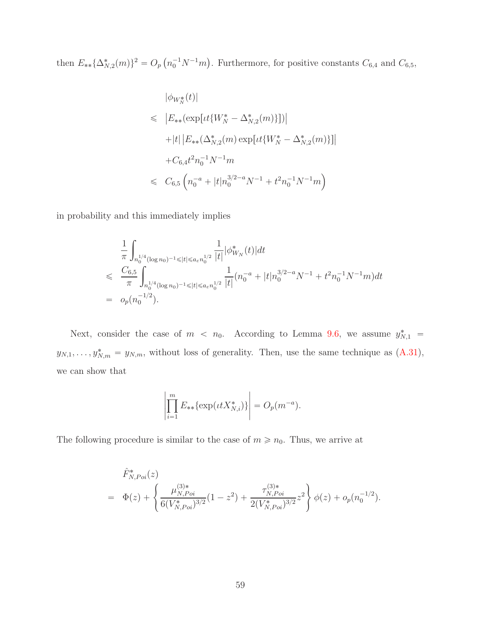then  $E_{**}\{\Delta_{N,2}^*(m)\}^2 = O_p\left(n_0^{-1}N^{-1}m\right)$ . Furthermore, for positive constants  $C_{6,4}$  and  $C_{6,5}$ ,

$$
|\phi_{W_N^*}(t)|
$$
  
\n
$$
\leq |E_{**}(\exp[\iota t\{W_N^* - \Delta_{N,2}^*(m)\}])|
$$
  
\n
$$
+ |t| |E_{**}(\Delta_{N,2}^*(m) \exp[\iota t\{W_N^* - \Delta_{N,2}^*(m)\}]|
$$
  
\n
$$
+ C_{6,4}t^2 n_0^{-1} N^{-1} m
$$
  
\n
$$
\leq C_{6,5} \left( n_0^{-a} + |t| n_0^{3/2-a} N^{-1} + t^2 n_0^{-1} N^{-1} m \right)
$$

in probability and this immediately implies

$$
\frac{1}{\pi} \int_{n_0^{1/4} (\log n_0)^{-1} \leq |t| \leq a_{\varepsilon} n_0^{1/2}} \frac{1}{|t|} |\phi_{W_N}^*(t)| dt
$$
\n
$$
\leq \frac{C_{6,5}}{\pi} \int_{n_0^{1/4} (\log n_0)^{-1} \leq |t| \leq a_{\varepsilon} n_0^{1/2}} \frac{1}{|t|} (n_0^{-a} + |t| n_0^{3/2-a} N^{-1} + t^2 n_0^{-1} N^{-1} m) dt
$$
\n
$$
= o_p(n_0^{-1/2}).
$$

Next, consider the case of  $m < n_0$ . According to Lemma [9.6,](#page-47-0) we assume  $y_{N,1}^*$  $y_{N,1}, \ldots, y^*_{N,m} = y_{N,m}$ , without loss of generality. Then, use the same technique as  $(A.31)$ , we can show that

$$
\left| \prod_{i=1}^{m} E_{**} \{ \exp(\iota t X_{N,i}^*) \} \right| = O_p(m^{-a}).
$$

The following procedure is similar to the case of  $m \geq n_0$ . Thus, we arrive at

$$
\hat{F}_{N, Poi}^{*}(z) = \Phi(z) + \left\{ \frac{\mu_{N, Poi}^{(3)*}}{6(V_{N, Poi}^{*})^{3/2}} (1 - z^{2}) + \frac{\tau_{N, Poi}^{(3)*}}{2(V_{N, Poi}^{*})^{3/2}} z^{2} \right\} \phi(z) + o_{p}(n_{0}^{-1/2}).
$$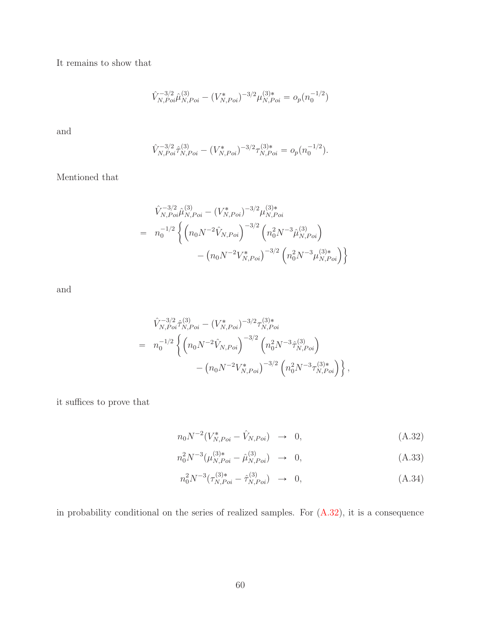It remains to show that

$$
\hat{V}_{N,Poi}^{-3/2} \hat{\mu}_{N,Poi}^{(3)} - (V_{N,Poi}^*)^{-3/2} \mu_{N,Poi}^{(3)*} = o_p(n_0^{-1/2})
$$

and

$$
\hat{V}_{N,Poi}^{-3/2} \hat{\tau}_{N,Poi}^{(3)} - (V_{N,Poi}^*)^{-3/2} \tau_{N,Poi}^{(3)*} = o_p(n_0^{-1/2}).
$$

Mentioned that

$$
\hat{V}_{N,Poi}^{-3/2} \hat{\mu}_{N,Poi}^{(3)} - (V_{N,Poi}^*)^{-3/2} \mu_{N,Poi}^{(3)*}
$$
\n
$$
= n_0^{-1/2} \left\{ \left( n_0 N^{-2} \hat{V}_{N,Poi} \right)^{-3/2} \left( n_0^2 N^{-3} \hat{\mu}_{N,Poi}^{(3)} \right) - (n_0 N^{-2} V_{N,Poi}^*)^{-3/2} \left( n_0^2 N^{-3} \mu_{N,Poi}^{(3)*} \right) \right\}
$$

and

$$
\hat{V}_{N,Poi}^{-3/2} \hat{\tau}_{N,Poi}^{(3)} - (V_{N,Poi}^*)^{-3/2} \tau_{N,Poi}^{(3)*}
$$
\n
$$
= n_0^{-1/2} \left\{ \left( n_0 N^{-2} \hat{V}_{N,Poi} \right)^{-3/2} \left( n_0^2 N^{-3} \hat{\tau}_{N,Poi}^{(3)} \right) - (n_0 N^{-2} V_{N,Poi}^*)^{-3/2} \left( n_0^2 N^{-3} \tau_{N,Poi}^{(3)*} \right) \right\},
$$

it suffices to prove that

<span id="page-59-0"></span>
$$
n_0 N^{-2} (V_{N, Poi}^* - \hat{V}_{N, Poi}) \rightarrow 0,
$$
\n(A.32)

$$
n_0^2 N^{-3} (\mu_{N, Poi}^{(3)*} - \hat{\mu}_{N, Poi}^{(3)}) \rightarrow 0, \qquad (A.33)
$$

$$
n_0^2 N^{-3} (\tau_{N, Poi}^{(3)*} - \hat{\tau}_{N, Poi}^{(3)}) \rightarrow 0, \tag{A.34}
$$

in probability conditional on the series of realized samples. For [\(A.32\)](#page-59-0), it is a consequence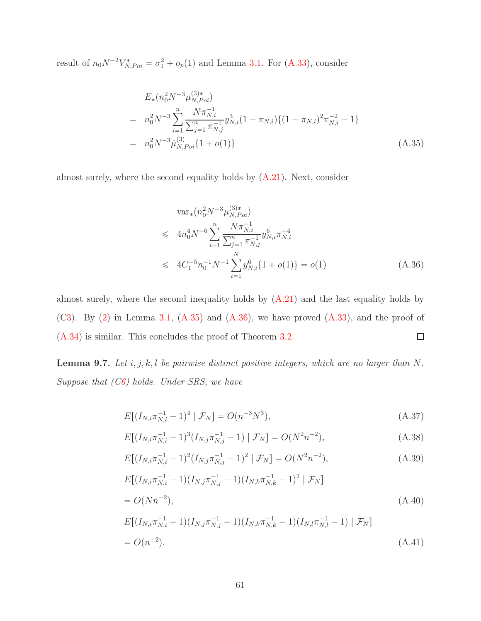result of  $n_0 N^{-2} V_{N, Poi}^* = \sigma_1^2 + o_p(1)$  and Lemma [3.1.](#page-7-1) For [\(A.33\)](#page-59-0), consider

<span id="page-60-0"></span>
$$
E_{*}(n_{0}^{2}N^{-3}\mu_{N,Poi}^{(3)*})
$$
\n
$$
= n_{0}^{2}N^{-3}\sum_{i=1}^{n} \frac{N\pi_{N,i}^{-1}}{\sum_{j=1}^{n} \pi_{N,j}^{-1}} y_{N,i}^{3}(1 - \pi_{N,i}) \{(1 - \pi_{N,i})^{2}\pi_{N,i}^{-2} - 1\}
$$
\n
$$
= n_{0}^{2}N^{-3}\hat{\mu}_{N,Poi}^{(3)}\{1 + o(1)\}
$$
\n(A.35)

almost surely, where the second equality holds by [\(A.21\)](#page-50-0). Next, consider

<span id="page-60-1"></span>
$$
\operatorname{var}_*(n_0^2 N^{-3} \mu_{N, Poi}^{(3)*})
$$
  
\n
$$
\leqslant 4n_0^4 N^{-6} \sum_{i=1}^n \frac{N \pi_{N,i}^{-1}}{\sum_{j=1}^n \pi_{N,j}^{-1}} y_{N,i}^6 \pi_{N,i}^{-4}
$$
  
\n
$$
\leqslant 4C_1^{-5} n_0^{-1} N^{-1} \sum_{i=1}^N y_{N,i}^6 \{1 + o(1)\} = o(1)
$$
\n(A.36)

almost surely, where the second inequality holds by  $(A.21)$  and the last equality holds by  $(C3)$  $(C3)$ . By  $(2)$  in Lemma [3.1,](#page-7-1)  $(A.35)$  and  $(A.36)$ , we have proved  $(A.33)$ , and the proof of [\(A.34\)](#page-59-0) is similar. This concludes the proof of Theorem [3.2.](#page-9-0)  $\Box$ 

<span id="page-60-2"></span>Lemma 9.7. Let  $i, j, k, l$  be pairwise distinct positive integers, which are no larger than N. *Suppose that ([C6\)](#page-12-0) holds. Under SRS, we have*

<span id="page-60-3"></span>
$$
E[(I_{N,i}\pi_{N,i}^{-1} - 1)^4 \mid \mathcal{F}_N] = O(n^{-3}N^3), \tag{A.37}
$$

$$
E[(I_{N,i}\pi_{N,i}^{-1} - 1)^3 (I_{N,j}\pi_{N,j}^{-1} - 1) | \mathcal{F}_N] = O(N^2 n^{-2}),
$$
\n(A.38)

$$
E[(I_{N,i}\pi_{N,i}^{-1} - 1)^2 (I_{N,j}\pi_{N,j}^{-1} - 1)^2 | \mathcal{F}_N] = O(N^2 n^{-2}),
$$
\n(A.39)

$$
E[(I_{N,i}\pi_{N,i}^{-1} - 1)(I_{N,j}\pi_{N,j}^{-1} - 1)(I_{N,k}\pi_{N,k}^{-1} - 1)^2 | \mathcal{F}_N]
$$
  
=  $O(Nn^{-2}),$  (A.40)

$$
E[(I_{N,i}\pi_{N,i}^{-1} - 1)(I_{N,j}\pi_{N,j}^{-1} - 1)(I_{N,k}\pi_{N,k}^{-1} - 1)(I_{N,l}\pi_{N,l}^{-1} - 1) | \mathcal{F}_N]
$$
  
=  $O(n^{-2}).$  (A.41)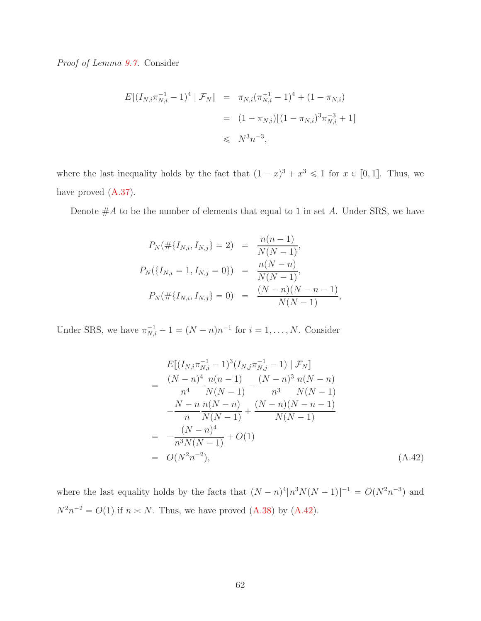*Proof of Lemma [9.7.](#page-60-2)* Consider

$$
E[(I_{N,i}\pi_{N,i}^{-1} - 1)^4 | \mathcal{F}_N] = \pi_{N,i}(\pi_{N,i}^{-1} - 1)^4 + (1 - \pi_{N,i})
$$
  
=  $(1 - \pi_{N,i})[(1 - \pi_{N,i})^3\pi_{N,i}^{-3} + 1]$   
 $\leq N^3n^{-3},$ 

where the last inequality holds by the fact that  $(1-x)^3 + x^3 \leq 1$  for  $x \in [0, 1]$ . Thus, we have proved  $(A.37)$ .

Denote  $#A$  to be the number of elements that equal to 1 in set  $A$ . Under SRS, we have

$$
P_N(\#\{I_{N,i}, I_{N,j}\} = 2) = \frac{n(n-1)}{N(N-1)},
$$
  
\n
$$
P_N(\{I_{N,i} = 1, I_{N,j} = 0\}) = \frac{n(N-n)}{N(N-1)},
$$
  
\n
$$
P_N(\#\{I_{N,i}, I_{N,j}\} = 0) = \frac{(N-n)(N-n-1)}{N(N-1)},
$$

Under SRS, we have  $\pi_{N,i}^{-1} - 1 = (N - n)n^{-1}$  for  $i = 1, ..., N$ . Consider

<span id="page-61-0"></span>
$$
E[(I_{N,i}\pi_{N,i}^{-1} - 1)^{3}(I_{N,j}\pi_{N,j}^{-1} - 1) | \mathcal{F}_{N}]
$$
\n
$$
= \frac{(N-n)^{4}}{n^{4}} \frac{n(n-1)}{N(N-1)} - \frac{(N-n)^{3}}{n^{3}} \frac{n(N-n)}{N(N-1)}
$$
\n
$$
- \frac{N-n}{n} \frac{n(N-n)}{N(N-1)} + \frac{(N-n)(N-n-1)}{N(N-1)}
$$
\n
$$
= - \frac{(N-n)^{4}}{n^{3}N(N-1)} + O(1)
$$
\n
$$
= O(N^{2}n^{-2}), \qquad (A.42)
$$

where the last equality holds by the facts that  $(N - n)^4 [n^3 N(N - 1)]^{-1} = O(N^2 n^{-3})$  and  $N^2 n^{-2} = O(1)$  if  $n \approx N$ . Thus, we have proved [\(A.38\)](#page-60-3) by [\(A.42\)](#page-61-0).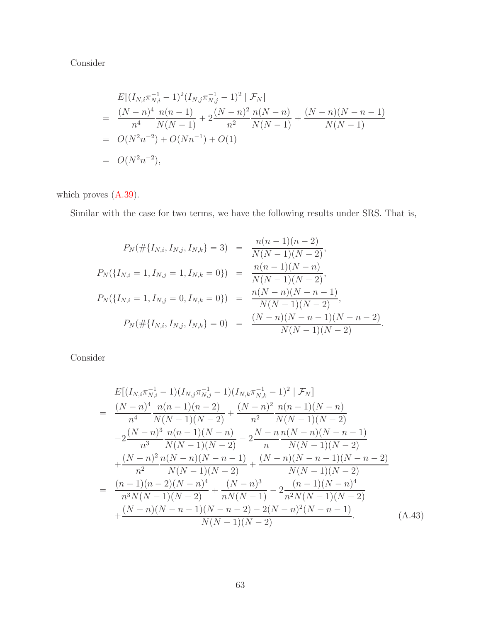Consider

$$
E[(I_{N,i}\pi_{N,i}^{-1} - 1)^2 (I_{N,j}\pi_{N,j}^{-1} - 1)^2 | \mathcal{F}_N]
$$
  
= 
$$
\frac{(N-n)^4 n(n-1)}{n^4 N(N-1)} + 2\frac{(N-n)^2 n(N-n)}{n^2 N(N-1)} + \frac{(N-n)(N-n-1)}{N(N-1)}
$$
  
= 
$$
O(N^2n^{-2}) + O(Nn^{-1}) + O(1)
$$
  
= 
$$
O(N^2n^{-2}),
$$

which proves [\(A.39\)](#page-60-3).

Similar with the case for two terms, we have the following results under SRS. That is,

$$
P_N(\#\{I_{N,i}, I_{N,j}, I_{N,k}\} = 3) = \frac{n(n-1)(n-2)}{N(N-1)(N-2)},
$$
  
\n
$$
P_N(\{I_{N,i} = 1, I_{N,j} = 1, I_{N,k} = 0\}) = \frac{n(n-1)(N-n)}{N(N-1)(N-2)},
$$
  
\n
$$
P_N(\{I_{N,i} = 1, I_{N,j} = 0, I_{N,k} = 0\}) = \frac{n(N-n)(N-n-1)}{N(N-1)(N-2)},
$$
  
\n
$$
P_N(\#\{I_{N,i}, I_{N,j}, I_{N,k}\} = 0) = \frac{(N-n)(N-n-1)(N-n-2)}{N(N-1)(N-2)}.
$$

Consider

<span id="page-62-0"></span>
$$
E[(I_{N,i}\pi_{N,i}^{-1} - 1)(I_{N,j}\pi_{N,j}^{-1} - 1)(I_{N,k}\pi_{N,k}^{-1} - 1)^2 | \mathcal{F}_N]
$$
\n
$$
= \frac{(N-n)^4 n(n-1)(n-2)}{n^4 N(N-1)(N-2)} + \frac{(N-n)^2 n(n-1)(N-n)}{n^2 N(N-1)(N-2)}
$$
\n
$$
-2\frac{(N-n)^3 n(n-1)(N-n)}{n^3 N(N-1)(N-2)} - 2\frac{N-n n(N-n)(N-n-1)}{N(N-1)(N-2)}
$$
\n
$$
+ \frac{(N-n)^2 n(N-n)(N-n-1)}{n^2 N(N-1)(N-2)} + \frac{(N-n)(N-n-1)(N-n-2)}{N(N-1)(N-2)}
$$
\n
$$
= \frac{(n-1)(n-2)(N-n)^4}{n^3 N(N-1)(N-2)} + \frac{(N-n)^3}{nN(N-1)} - 2\frac{(n-1)(N-n)^4}{n^2 N(N-1)(N-2)}
$$
\n
$$
+ \frac{(N-n)(N-n-1)(N-n-2) - 2(N-n)^2(N-n-1)}{N(N-1)(N-2)}.
$$
\n(A.43)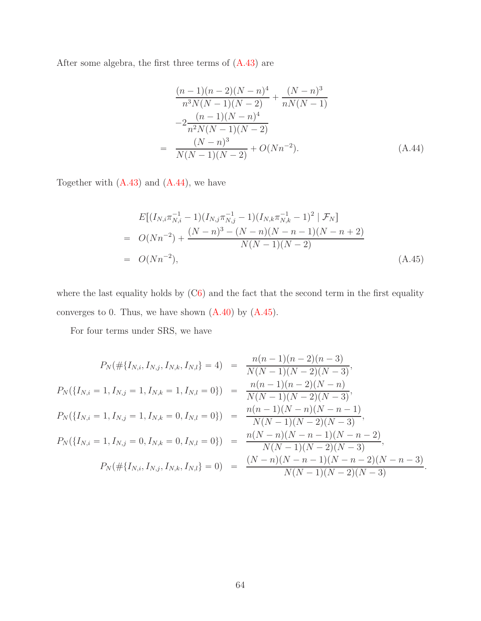After some algebra, the first three terms of  $(A.43)$  are

<span id="page-63-0"></span>
$$
\frac{(n-1)(n-2)(N-n)^4}{n^3 N(N-1)(N-2)} + \frac{(N-n)^3}{nN(N-1)}
$$
  

$$
-2\frac{(n-1)(N-n)^4}{n^2 N(N-1)(N-2)}
$$
  

$$
= \frac{(N-n)^3}{N(N-1)(N-2)} + O(Nn^{-2}).
$$
 (A.44)

Together with  $(A.43)$  and  $(A.44)$ , we have

<span id="page-63-1"></span>
$$
E[(I_{N,i}\pi_{N,i}^{-1} - 1)(I_{N,j}\pi_{N,j}^{-1} - 1)(I_{N,k}\pi_{N,k}^{-1} - 1)^2 | \mathcal{F}_N]
$$
  
=  $O(Nn^{-2}) + \frac{(N-n)^3 - (N-n)(N-n-1)(N-n+2)}{N(N-1)(N-2)}$   
=  $O(Nn^{-2}),$  (A.45)

where the last equality holds by  $(C6)$  $(C6)$  and the fact that the second term in the first equality converges to 0. Thus, we have shown  $(A.40)$  by  $(A.45)$ .

For four terms under SRS, we have

$$
P_N(\#\{I_{N,i}, I_{N,j}, I_{N,k}, I_{N,l}\} = 4) = \frac{n(n-1)(n-2)(n-3)}{N(N-1)(N-2)(N-3)},
$$
  
\n
$$
P_N(\{I_{N,i} = 1, I_{N,j} = 1, I_{N,k} = 1, I_{N,l} = 0\}) = \frac{n(n-1)(n-2)(N-n)}{N(N-1)(N-2)(N-3)},
$$
  
\n
$$
P_N(\{I_{N,i} = 1, I_{N,j} = 1, I_{N,k} = 0, I_{N,l} = 0\}) = \frac{n(n-1)(N-n)(N-n-1)}{N(N-1)(N-2)(N-3)},
$$
  
\n
$$
P_N(\{I_{N,i} = 1, I_{N,j} = 0, I_{N,k} = 0, I_{N,l} = 0\}) = \frac{n(N-n)(N-n-1)(N-n-2)}{N(N-1)(N-2)(N-3)},
$$
  
\n
$$
P_N(\#\{I_{N,i}, I_{N,j}, I_{N,k}, I_{N,l}\} = 0) = \frac{(N-n)(N-n-1)(N-n-2)(N-n-3)}{N(N-1)(N-2)(N-3)}.
$$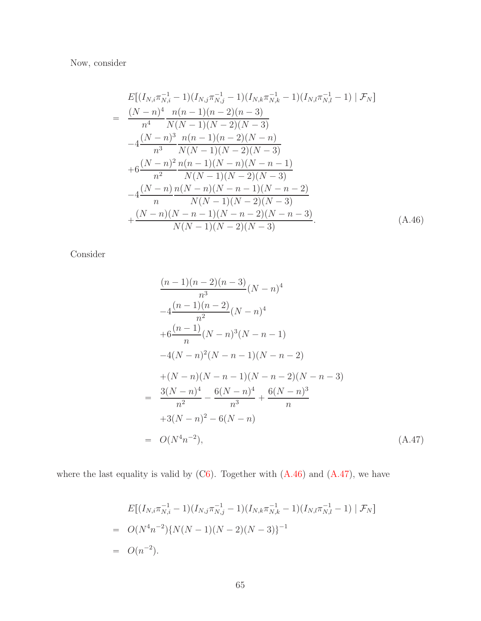Now, consider

<span id="page-64-0"></span>
$$
E[(I_{N,i}\pi_{N,i}^{-1} - 1)(I_{N,j}\pi_{N,j}^{-1} - 1)(I_{N,k}\pi_{N,k}^{-1} - 1)(I_{N,l}\pi_{N,l}^{-1} - 1) | \mathcal{F}_N]
$$
  
= 
$$
\frac{(N-n)^4}{n^4} \frac{n(n-1)(n-2)(n-3)}{N(N-1)(N-2)(N-3)}
$$
  

$$
-4\frac{(N-n)^3}{n^3} \frac{n(n-1)(n-2)(N-n)}{N(N-1)(N-2)(N-3)}
$$
  
+
$$
6\frac{(N-n)^2}{n^2} \frac{n(n-1)(N-n)(N-n-1)}{N(N-1)(N-2)(N-3)}
$$
  

$$
-4\frac{(N-n)}{n} \frac{n(N-n)(N-n-1)(N-n-2)}{N(N-1)(N-2)(N-3)}
$$
  
+
$$
\frac{(N-n)(N-n-1)(N-n-2)(N-n-3)}{N(N-1)(N-2)(N-3)}
$$
 (A.46)

Consider

<span id="page-64-1"></span>
$$
\frac{(n-1)(n-2)(n-3)}{n^3}(N-n)^4
$$
  
\n
$$
-4\frac{(n-1)(n-2)}{n^2}(N-n)^4
$$
  
\n
$$
+6\frac{(n-1)}{n}(N-n)^3(N-n-1)
$$
  
\n
$$
-4(N-n)^2(N-n-1)(N-n-2)
$$
  
\n
$$
+(N-n)(N-n-1)(N-n-2)(N-n-3)
$$
  
\n
$$
= \frac{3(N-n)^4}{n^2} - \frac{6(N-n)^4}{n^3} + \frac{6(N-n)^3}{n}
$$
  
\n
$$
+3(N-n)^2 - 6(N-n)
$$
  
\n
$$
= O(N^4n^{-2}),
$$
\n(A.47)

where the last equality is valid by  $(C6)$  $(C6)$ . Together with  $(A.46)$  and  $(A.47)$ , we have

$$
E[(I_{N,i}\pi_{N,i}^{-1} - 1)(I_{N,j}\pi_{N,j}^{-1} - 1)(I_{N,k}\pi_{N,k}^{-1} - 1)(I_{N,l}\pi_{N,l}^{-1} - 1) | \mathcal{F}_N]
$$
  
=  $O(N^4n^{-2})\{N(N-1)(N-2)(N-3)\}^{-1}$   
=  $O(n^{-2}).$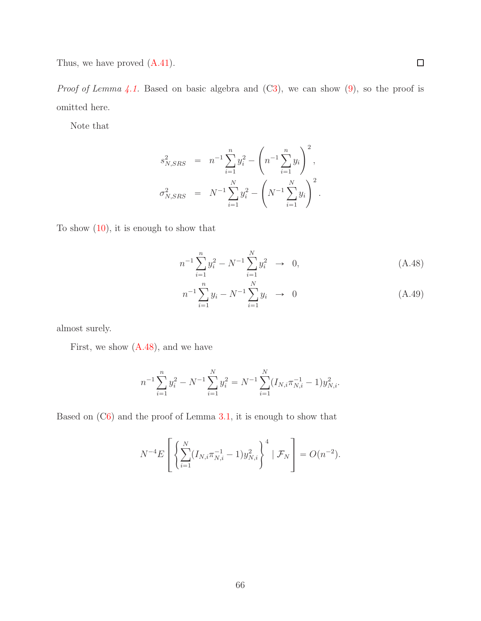Thus, we have proved [\(A.41\)](#page-60-3).

*Proof of Lemma* [4.1.](#page-12-1) Based on basic algebra and ([C3\)](#page-6-0), we can show [\(9\)](#page-12-2), so the proof is omitted here.

Note that

$$
s_{N,SRS}^2 = n^{-1} \sum_{i=1}^n y_i^2 - \left( n^{-1} \sum_{i=1}^n y_i \right)^2,
$$
  

$$
\sigma_{N,SRS}^2 = N^{-1} \sum_{i=1}^N y_i^2 - \left( N^{-1} \sum_{i=1}^N y_i \right)^2.
$$

To show [\(10\)](#page-13-0), it is enough to show that

<span id="page-65-0"></span>
$$
n^{-1} \sum_{i=1}^{n} y_i^2 - N^{-1} \sum_{i=1}^{N} y_i^2 \to 0,
$$
 (A.48)

$$
n^{-1} \sum_{i=1}^{n} y_i - N^{-1} \sum_{i=1}^{N} y_i \rightarrow 0 \tag{A.49}
$$

almost surely.

First, we show  $(A.48)$ , and we have

$$
n^{-1} \sum_{i=1}^{n} y_i^2 - N^{-1} \sum_{i=1}^{N} y_i^2 = N^{-1} \sum_{i=1}^{N} (I_{N,i} \pi_{N,i}^{-1} - 1) y_{N,i}^2.
$$

Based on ([C6\)](#page-12-0) and the proof of Lemma [3.1,](#page-7-1) it is enough to show that

$$
N^{-4}E\left[\left\{\sum_{i=1}^{N}(I_{N,i}\pi_{N,i}^{-1}-1)y_{N,i}^{2}\right\}^{4} | \mathcal{F}_{N}\right]=O(n^{-2}).
$$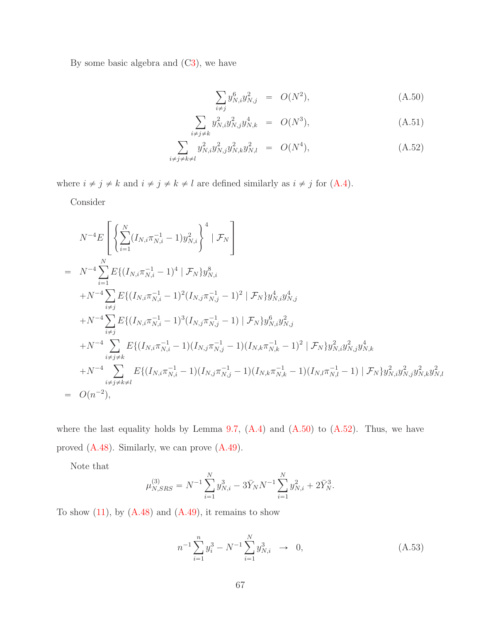By some basic algebra and  $(C3)$  $(C3)$ , we have

<span id="page-66-0"></span>
$$
\sum_{i \neq j} y_{N,i}^6 y_{N,j}^2 = O(N^2), \tag{A.50}
$$

$$
\sum_{i \neq j \neq k} y_{N,i}^2 y_{N,j}^2 y_{N,k}^4 = O(N^3), \tag{A.51}
$$

$$
\sum_{i \neq j \neq k \neq l} y_{N,i}^2 y_{N,j}^2 y_{N,k}^2 y_{N,l}^2 = O(N^4), \tag{A.52}
$$

where  $i \neq j \neq k$  and  $i \neq j \neq k \neq l$  are defined similarly as  $i \neq j$  for  $(A.4)$ .

Consider

$$
N^{-4}E\left[\left\{\sum_{i=1}^{N} (I_{N,i}\pi_{N,i}^{-1} - 1) y_{N,i}^2\right\}^4 | \mathcal{F}_N\right] = N^{-4}\sum_{i=1}^{N} E\{(I_{N,i}\pi_{N,i}^{-1} - 1)^4 | \mathcal{F}_N\} y_{N,i}^8 + N^{-4}\sum_{i \neq j} E\{(I_{N,i}\pi_{N,i}^{-1} - 1)^2 (I_{N,j}\pi_{N,j}^{-1} - 1)^2 | \mathcal{F}_N\} y_{N,i}^4 y_{N,j}^4 + N^{-4}\sum_{i \neq j} E\{(I_{N,i}\pi_{N,i}^{-1} - 1)^3 (I_{N,j}\pi_{N,j}^{-1} - 1) | \mathcal{F}_N\} y_{N,i}^6 y_{N,j}^2 + N^{-4}\sum_{i \neq j \neq k} E\{(I_{N,i}\pi_{N,i}^{-1} - 1)(I_{N,j}\pi_{N,j}^{-1} - 1)(I_{N,k}\pi_{N,k}^{-1} - 1)^2 | \mathcal{F}_N\} y_{N,i}^2 y_{N,j}^2 y_{N,k}^4 + N^{-4}\sum_{i \neq j \neq k} E\{(I_{N,i}\pi_{N,i}^{-1} - 1)(I_{N,j}\pi_{N,j}^{-1} - 1)(I_{N,k}\pi_{N,k}^{-1} - 1)(I_{N,l}\pi_{N,l}^{-1} - 1) | \mathcal{F}_N\} y_{N,i}^2 y_{N,j}^2 y_{N,k}^2 y_{N,k}^2
$$
  
=  $O(n^{-2}),$ 

where the last equality holds by Lemma [9.7,](#page-60-2)  $(A.4)$  and  $(A.50)$  to  $(A.52)$ . Thus, we have proved [\(A.48\)](#page-65-0). Similarly, we can prove [\(A.49\)](#page-65-0).

Note that

$$
\mu_{N,SRS}^{(3)} = N^{-1} \sum_{i=1}^{N} y_{N,i}^3 - 3 \bar{Y}_N N^{-1} \sum_{i=1}^{N} y_{N,i}^2 + 2 \bar{Y}_N^3.
$$

To show  $(11)$ , by  $(A.48)$  and  $(A.49)$ , it remains to show

<span id="page-66-1"></span>
$$
n^{-1} \sum_{i=1}^{n} y_i^3 - N^{-1} \sum_{i=1}^{N} y_{N,i}^3 \to 0,
$$
 (A.53)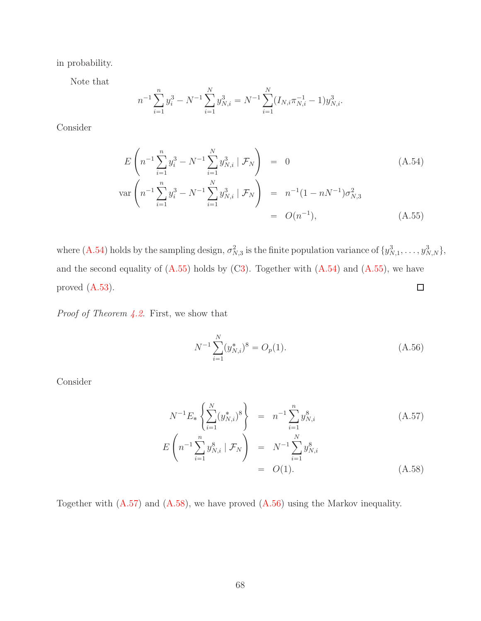in probability.

Note that

$$
n^{-1} \sum_{i=1}^{n} y_i^3 - N^{-1} \sum_{i=1}^{N} y_{N,i}^3 = N^{-1} \sum_{i=1}^{N} (I_{N,i} \pi_{N,i}^{-1} - 1) y_{N,i}^3.
$$

Consider

<span id="page-67-0"></span>
$$
E\left(n^{-1}\sum_{i=1}^{n}y_i^3 - N^{-1}\sum_{i=1}^{N}y_{N,i}^3 \mid \mathcal{F}_N\right) = 0
$$
\n
$$
\text{var}\left(n^{-1}\sum_{i=1}^{n}y_i^3 - N^{-1}\sum_{i=1}^{N}y_{N,i}^3 \mid \mathcal{F}_N\right) = n^{-1}(1 - nN^{-1})\sigma_{N,3}^2
$$
\n
$$
= O(n^{-1}), \qquad (A.55)
$$

where  $(A.54)$  holds by the sampling design,  $\sigma_{N,3}^2$  is the finite population variance of  $\{y_{N,1}^3, \ldots, y_{N,N}^3\}$ , and the second equality of  $(A.55)$  holds by  $(C3)$  $(C3)$ . Together with  $(A.54)$  and  $(A.55)$ , we have  $\Box$ proved [\(A.53\)](#page-66-1).

*Proof of Theorem [4.2.](#page-13-2)* First, we show that

<span id="page-67-2"></span>
$$
N^{-1} \sum_{i=1}^{N} (y_{N,i}^*)^8 = O_p(1). \tag{A.56}
$$

Consider

<span id="page-67-1"></span>
$$
N^{-1}E_{*}\left\{\sum_{i=1}^{N}(y_{N,i}^{*})^{8}\right\} = n^{-1}\sum_{i=1}^{n}y_{N,i}^{8}
$$
(A.57)  

$$
E\left(n^{-1}\sum_{i=1}^{n}y_{N,i}^{8} | \mathcal{F}_{N}\right) = N^{-1}\sum_{i=1}^{N}y_{N,i}^{8}
$$
  

$$
= O(1).
$$
(A.58)

Together with [\(A.57\)](#page-67-1) and [\(A.58\)](#page-67-1), we have proved [\(A.56\)](#page-67-2) using the Markov inequality.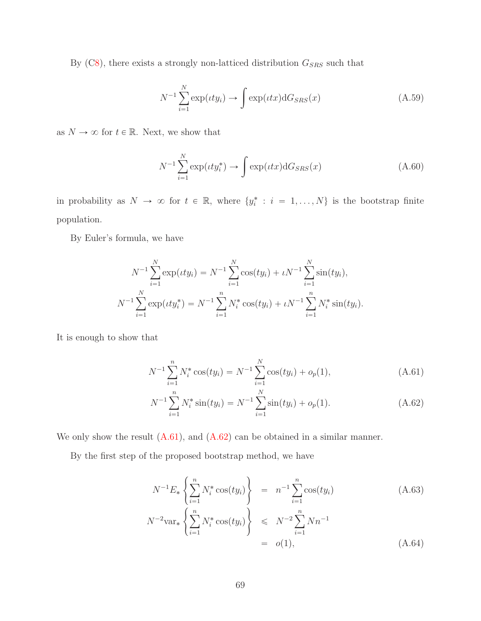By ([C8\)](#page-12-3), there exists a strongly non-latticed distribution  $G_{SRS}$  such that

$$
N^{-1} \sum_{i=1}^{N} \exp(\iota t y_i) \to \int \exp(\iota t x) dG_{SRS}(x)
$$
 (A.59)

as  $N \to \infty$  for  $t \in \mathbb{R}.$  Next, we show that

<span id="page-68-2"></span>
$$
N^{-1} \sum_{i=1}^{N} \exp(\iota t y_i^*) \to \int \exp(\iota t x) dG_{SRS}(x)
$$
 (A.60)

in probability as  $N \to \infty$  for  $t \in \mathbb{R}$ , where  $\{y_i^* : i = 1, ..., N\}$  is the bootstrap finite population.

By Euler's formula, we have

$$
N^{-1} \sum_{i=1}^{N} \exp(\iota t y_i) = N^{-1} \sum_{i=1}^{N} \cos(t y_i) + \iota N^{-1} \sum_{i=1}^{N} \sin(t y_i),
$$
  

$$
N^{-1} \sum_{i=1}^{N} \exp(\iota t y_i^*) = N^{-1} \sum_{i=1}^{n} N_i^* \cos(t y_i) + \iota N^{-1} \sum_{i=1}^{n} N_i^* \sin(t y_i).
$$

It is enough to show that

<span id="page-68-0"></span>
$$
N^{-1} \sum_{i=1}^{n} N_i^* \cos(ty_i) = N^{-1} \sum_{i=1}^{N} \cos(ty_i) + o_p(1), \qquad (A.61)
$$

$$
N^{-1} \sum_{i=1}^{n} N_i^* \sin(ty_i) = N^{-1} \sum_{i=1}^{N} \sin(ty_i) + o_p(1).
$$
 (A.62)

We only show the result  $(A.61)$ , and  $(A.62)$  can be obtained in a similar manner.

By the first step of the proposed bootstrap method, we have

<span id="page-68-1"></span>
$$
N^{-1}E_*\left\{\sum_{i=1}^n N_i^* \cos(ty_i)\right\} = n^{-1} \sum_{i=1}^n \cos(ty_i)
$$
(A.63)  

$$
N^{-2} \text{var}_* \left\{\sum_{i=1}^n N_i^* \cos(ty_i)\right\} \le N^{-2} \sum_{i=1}^n Nn^{-1}
$$
  

$$
= o(1),
$$
(A.64)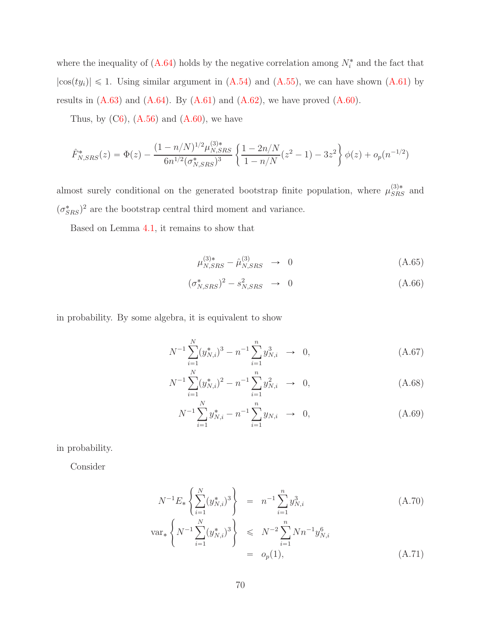where the inequality of  $(A.64)$  holds by the negative correlation among  $N_i^*$  and the fact that  $|\cos(ty_i)| \leq 1$ . Using similar argument in  $(A.54)$  and  $(A.55)$ , we can have shown  $(A.61)$  by results in  $(A.63)$  and  $(A.64)$ . By  $(A.61)$  and  $(A.62)$ , we have proved  $(A.60)$ .

Thus, by  $(C6)$  $(C6)$ ,  $(A.56)$  and  $(A.60)$ , we have

$$
\hat{F}_{N,SRS}^*(z) = \Phi(z) - \frac{(1 - n/N)^{1/2} \mu_{N,SRS}^{(3)*}}{6n^{1/2} (\sigma_{N,SRS}^*)^3} \left\{ \frac{1 - 2n/N}{1 - n/N} (z^2 - 1) - 3z^2 \right\} \phi(z) + o_p(n^{-1/2})
$$

almost surely conditional on the generated bootstrap finite population, where  $\mu_{SRS}^{(3)*}$  and  $(\sigma_{SRS}^*)^2$  are the bootstrap central third moment and variance.

Based on Lemma [4.1,](#page-12-1) it remains to show that

<span id="page-69-2"></span>
$$
\mu_{N,SRS}^{(3)*} - \hat{\mu}_{N,SRS}^{(3)} \to 0 \tag{A.65}
$$

$$
(\sigma_{N,SRS}^*)^2 - s_{N,SRS}^2 \rightarrow 0 \tag{A.66}
$$

in probability. By some algebra, it is equivalent to show

<span id="page-69-1"></span>
$$
N^{-1} \sum_{i=1}^{N} (y_{N,i}^*)^3 - n^{-1} \sum_{i=1}^{n} y_{N,i}^3 \to 0,
$$
 (A.67)

$$
N^{-1} \sum_{i=1}^{N} (y_{N,i}^*)^2 - n^{-1} \sum_{i=1}^{n} y_{N,i}^2 \to 0,
$$
 (A.68)

$$
N^{-1} \sum_{i=1}^{N} y_{N,i}^{*} - n^{-1} \sum_{i=1}^{n} y_{N,i} \rightarrow 0, \qquad (A.69)
$$

in probability.

Consider

<span id="page-69-0"></span>
$$
N^{-1}E_*\left\{\sum_{i=1}^N (y_{N,i}^*)^3\right\} = n^{-1}\sum_{i=1}^n y_{N,i}^3
$$
\n
$$
\text{var}_*\left\{N^{-1}\sum_{i=1}^N (y_{N,i}^*)^3\right\} \le N^{-2}\sum_{i=1}^n Nn^{-1}y_{N,i}^6
$$
\n(A.70)

$$
\begin{array}{ccc}\n \overline{i=1} & & \\
 & & \\
 & & \\
 & & \\
 & & \\
 & & \\
 & & \\
 & & \\
 & & \\
 & & \\
 & & \\
 & & \\
 & & \\
 & & \\
 & & \\
 & & \\
 & & \\
 & & \\
 & & \\
 & & \\
 & & \\
 & & \\
 & & \\
 & & \\
 & & \\
 & & \\
 & & \\
 & & \\
 & & \\
 & & \\
 & & \\
 & & \\
 & & \\
 & & \\
 & & \\
 & & \\
 & & \\
 & & \\
 & & \\
 & & \\
 & & \\
 & & \\
 & & \\
 & & \\
 & & \\
 & & \\
 & & \\
 & & \\
 & & \\
 & & \\
 & & \\
 & & \\
 & & \\
 & & \\
 & & \\
 & & \\
 & & \\
 & & \\
 & & \\
 & & \\
 & & \\
 & & \\
 & & \\
 & & \\
 & & \\
 & & \\
 & & \\
 & & \\
 & & \\
 & & \\
 & & \\
 & & \\
 & & \\
 & & \\
 & & \\
 & & \\
 & & \\
 & & \\
 & & \\
 & & \\
 & & \\
 & & \\
 & & \\
 & & \\
 & & \\
 & & \\
 & & \\
 & & \\
 & & \\
 & & \\
 & & \\
 & & \\
 & & \\
 & & \\
 & & \\
 & & \\
 & & \\
 & & \\
 & & \\
 & & \\
 & & \\
 & & \\
 & & \\
 & & \\
 & & \\
 & & \\
 &
$$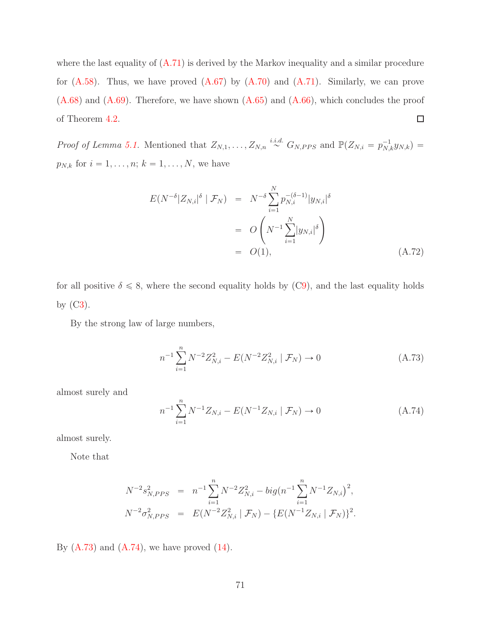where the last equality of  $(A.71)$  is derived by the Markov inequality and a similar procedure for  $(A.58)$ . Thus, we have proved  $(A.67)$  by  $(A.70)$  and  $(A.71)$ . Similarly, we can prove  $(A.68)$  and  $(A.69)$ . Therefore, we have shown  $(A.65)$  and  $(A.66)$ , which concludes the proof  $\Box$ of Theorem [4.2.](#page-13-2)

*Proof of Lemma [5.1.](#page-16-0)* Mentioned that  $Z_{N,1}, \ldots, Z_{N,n} \stackrel{i.i.d.}{\sim} G_{N,PPS}$  and  $\mathbb{P}(Z_{N,i} = p_{N,k}^{-1}y_{N,k}) =$  $p_{N,k}$  for  $i = 1, ..., n; k = 1, ..., N$ , we have

<span id="page-70-2"></span>
$$
E(N^{-\delta} |Z_{N,i}|^{\delta} | \mathcal{F}_N) = N^{-\delta} \sum_{i=1}^N p_{N,i}^{-(\delta-1)} |y_{N,i}|^{\delta}
$$
  
=  $O(N^{-1} \sum_{i=1}^N |y_{N,i}|^{\delta})$   
=  $O(1),$  (A.72)

for all positive  $\delta \leq 8$ , where the second equality holds by ([C9\)](#page-15-0), and the last equality holds by  $(C3)$  $(C3)$ .

By the strong law of large numbers,

<span id="page-70-0"></span>
$$
n^{-1} \sum_{i=1}^{n} N^{-2} Z_{N,i}^{2} - E(N^{-2} Z_{N,i}^{2} | \mathcal{F}_{N}) \to 0
$$
 (A.73)

almost surely and

<span id="page-70-1"></span>
$$
n^{-1} \sum_{i=1}^{n} N^{-1} Z_{N,i} - E(N^{-1} Z_{N,i} | \mathcal{F}_N) \to 0
$$
 (A.74)

almost surely.

Note that

$$
N^{-2}s_{N,PPS}^2 = n^{-1}\sum_{i=1}^n N^{-2}Z_{N,i}^2 - big(n^{-1}\sum_{i=1}^n N^{-1}Z_{N,i})^2,
$$
  

$$
N^{-2}\sigma_{N,PPS}^2 = E(N^{-2}Z_{N,i}^2 | \mathcal{F}_N) - \{E(N^{-1}Z_{N,i} | \mathcal{F}_N)\}^2.
$$

By  $(A.73)$  and  $(A.74)$ , we have proved  $(14)$ .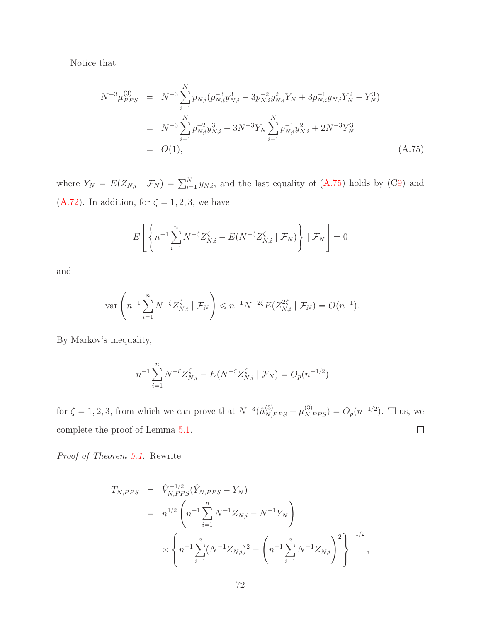Notice that

<span id="page-71-0"></span>
$$
N^{-3}\mu_{PPS}^{(3)} = N^{-3}\sum_{i=1}^{N} p_{N,i} (p_{N,i}^{-3}y_{N,i}^{3} - 3p_{N,i}^{-2}y_{N,i}^{2}Y_{N} + 3p_{N,i}^{-1}y_{N,i}Y_{N}^{2} - Y_{N}^{3})
$$
  
\n
$$
= N^{-3}\sum_{i=1}^{N} p_{N,i}^{-2}y_{N,i}^{3} - 3N^{-3}Y_{N}\sum_{i=1}^{N} p_{N,i}^{-1}y_{N,i}^{2} + 2N^{-3}Y_{N}^{3}
$$
  
\n
$$
= O(1), \qquad (A.75)
$$

where  $Y_N = E(Z_{N,i} | \mathcal{F}_N) = \sum_{i=1}^N y_{N,i}$ , and the last equality of [\(A.75\)](#page-71-0) holds by ([C9\)](#page-15-0) and [\(A.72\)](#page-70-2). In addition, for  $\zeta = 1, 2, 3$ , we have

$$
E\left[\left\{n^{-1}\sum_{i=1}^n N^{-\zeta}Z^{\zeta}_{N,i}-E(N^{-\zeta}Z^{\zeta}_{N,i}\mid \mathcal{F}_N)\right\}\mid \mathcal{F}_N\right]=0
$$

and

$$
\text{var}\left(n^{-1}\sum_{i=1}^n N^{-\zeta}Z_{N,i}^{\zeta} \mid \mathcal{F}_N\right) \leqslant n^{-1}N^{-2\zeta}E(Z_{N,i}^{2\zeta} \mid \mathcal{F}_N) = O(n^{-1}).
$$

By Markov's inequality,

$$
n^{-1} \sum_{i=1}^{n} N^{-\zeta} Z_{N,i}^{\zeta} - E(N^{-\zeta} Z_{N,i}^{\zeta} \mid \mathcal{F}_N) = O_p(n^{-1/2})
$$

for  $\zeta = 1, 2, 3$ , from which we can prove that  $N^{-3}(\hat{\mu}_{N,PPS}^{(3)} - \mu_{N,PPS}^{(3)}) = O_p(n^{-1/2})$ . Thus, we  $\Box$ complete the proof of Lemma [5.1.](#page-16-0)

*Proof of Theorem [5.1.](#page-16-2)* Rewrite

$$
T_{N,PPS} = \hat{V}_{N,PPS}^{-1/2} (\hat{Y}_{N,PPS} - Y_N)
$$
  
=  $n^{1/2} \left( n^{-1} \sum_{i=1}^n N^{-1} Z_{N,i} - N^{-1} Y_N \right)$   

$$
\times \left\{ n^{-1} \sum_{i=1}^n (N^{-1} Z_{N,i})^2 - \left( n^{-1} \sum_{i=1}^n N^{-1} Z_{N,i} \right)^2 \right\}^{-1/2},
$$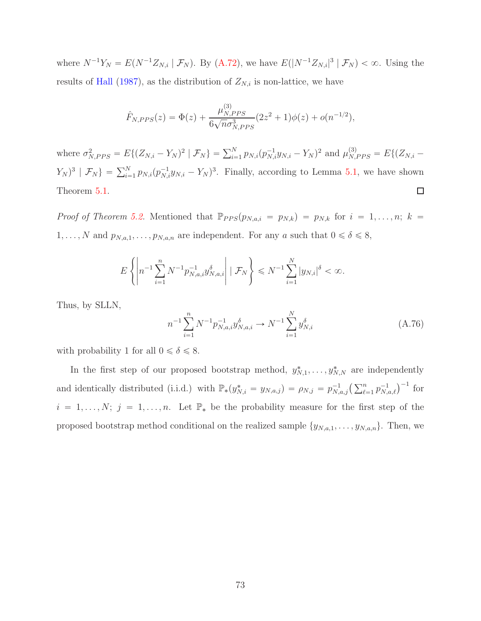where  $N^{-1}Y_N = E(N^{-1}Z_{N,i} | \mathcal{F}_N)$ . By [\(A.72\)](#page-70-0), we have  $E(|N^{-1}Z_{N,i}|^3 | \mathcal{F}_N) < \infty$ . Using the results of [Hall](#page-82-0) [\(1987\)](#page-82-0), as the distribution of  $Z_{N,i}$  is non-lattice, we have

$$
\hat{F}_{N,PPS}(z) = \Phi(z) + \frac{\mu_{N,PPS}^{(3)}}{6\sqrt{n}\sigma_{N,PPS}^3}(2z^2+1)\phi(z) + o(n^{-1/2}),
$$

where  $\sigma_{N,PPS}^2 = E\{(Z_{N,i} - Y_N)^2 | \mathcal{F}_N\} = \sum_{i=1}^N p_{N,i} (p_{N,i}^{-1} y_{N,i} - Y_N)^2$  and  $\mu_{N,PPS}^{(3)} = E\{(Z_{N,i} - Y_N)^2 | \mathcal{F}_N\}$  $(Y_N)^3 | \mathcal{F}_N$  =  $\sum_{i=1}^N p_{N,i} (p_{N,i}^{-1} y_{N,i} - Y_N)^3$ . Finally, according to Lemma [5.1,](#page-16-0) we have shown  $\Box$ Theorem [5.1.](#page-16-1)

*Proof of Theorem [5.2.](#page-17-0)* Mentioned that  $\mathbb{P}_{PPS}(p_{N,a,i} = p_{N,k}) = p_{N,k}$  for  $i = 1, \ldots, n; k =$  $1, \ldots, N$  and  $p_{N,a,1}, \ldots, p_{N,a,n}$  are independent. For any a such that  $0 \le \delta \le 8$ ,

$$
E\left\{ \left| n^{-1} \sum_{i=1}^n N^{-1} p_{N,a,i}^{-1} y_{N,a,i}^{\delta} \right| \mid \mathcal{F}_N \right\} \leq N^{-1} \sum_{i=1}^N |y_{N,i}|^{\delta} < \infty.
$$

Thus, by SLLN,

<span id="page-72-0"></span>
$$
n^{-1} \sum_{i=1}^{n} N^{-1} p_{N,a,i}^{-1} y_{N,a,i}^{\delta} \to N^{-1} \sum_{i=1}^{N} y_{N,i}^{\delta}
$$
 (A.76)

with probability 1 for all  $0\leqslant\delta\leqslant 8.$ 

In the first step of our proposed bootstrap method,  $y_{N,1}^*, \ldots, y_{N,N}^*$  are independently and identically distributed (i.i.d.) with  $\mathbb{P}_*(y_{N,i}^* = y_{N,a,j}) = \rho_{N,j} = p_{N,a,j}^{-1} \left( \sum_{\ell=1}^n p_{N,a,\ell}^{-1} \right)^{-1}$  for  $i = 1, \ldots, N; j = 1, \ldots, n$ . Let  $\mathbb{P}_*$  be the probability measure for the first step of the proposed bootstrap method conditional on the realized sample  $\{y_{N,a,1}, \ldots, y_{N,a,n}\}$ . Then, we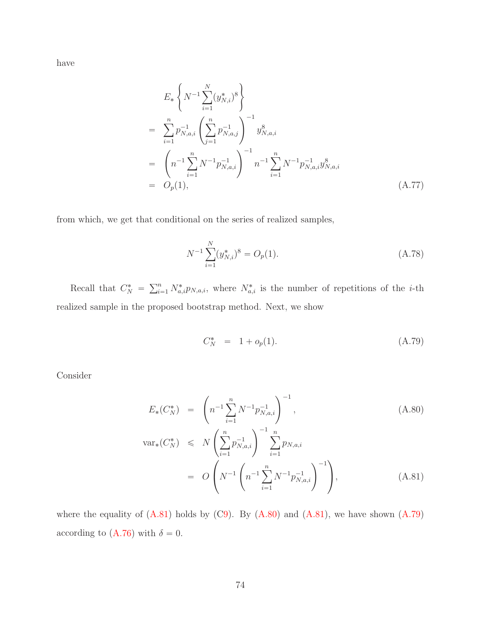have

<span id="page-73-2"></span>
$$
E_*\left\{N^{-1}\sum_{i=1}^N(y_{N,i}^*)^8\right\}
$$
  
= 
$$
\sum_{i=1}^n p_{N,a,i}^{-1} \left(\sum_{j=1}^n p_{N,a,j}^{-1}\right)^{-1} y_{N,a,i}^8
$$
  
= 
$$
\left(n^{-1}\sum_{i=1}^n N^{-1} p_{N,a,i}^{-1}\right)^{-1} n^{-1} \sum_{i=1}^n N^{-1} p_{N,a,i}^{-1} y_{N,a,i}^8
$$
  
= 
$$
O_p(1), \qquad (A.77)
$$

from which, we get that conditional on the series of realized samples,

$$
N^{-1} \sum_{i=1}^{N} (y_{N,i}^*)^8 = O_p(1). \tag{A.78}
$$

Recall that  $C_N^* = \sum_{i=1}^n N_{a,i}^* p_{N,a,i}$ , where  $N_{a,i}^*$  is the number of repetitions of the *i*-th realized sample in the proposed bootstrap method. Next, we show

<span id="page-73-1"></span>
$$
C_N^* = 1 + o_p(1). \tag{A.79}
$$

Consider

<span id="page-73-0"></span>
$$
E_*(C_N^*) = \left(n^{-1} \sum_{i=1}^n N^{-1} p_{N,a,i}^{-1}\right)^{-1}, \tag{A.80}
$$

$$
\operatorname{var}_*(C_N^*) \le N \left( \sum_{i=1}^n p_{N,a,i}^{-1} \right)^{-1} \sum_{i=1}^n p_{N,a,i} \n= O\left( N^{-1} \left( n^{-1} \sum_{i=1}^n N^{-1} p_{N,a,i}^{-1} \right)^{-1} \right),
$$
\n(A.81)

where the equality of  $(A.81)$  holds by  $(C9)$  $(C9)$ . By  $(A.80)$  and  $(A.81)$ , we have shown  $(A.79)$ according to [\(A.76\)](#page-72-0) with  $\delta = 0$ .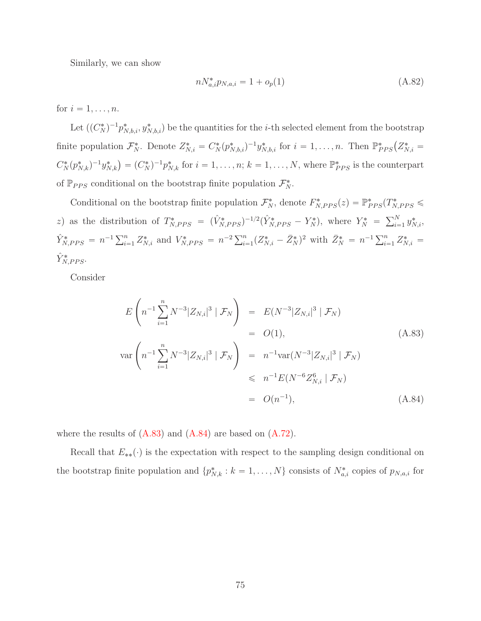Similarly, we can show

<span id="page-74-1"></span>
$$
n N_{a,i}^* p_{N,a,i} = 1 + o_p(1)
$$
\n(A.82)

for  $i = 1, \ldots, n$ .

Let  $((C_N^*)^{-1}p_{N,b,i}^*, y_{N,b,i}^*)$  be the quantities for the *i*-th selected element from the bootstrap finite population  $\mathcal{F}_{N}^*$ . Denote  $Z_{N,i}^* = C_N^*(p_{N,b,i}^*)^{-1}y_{N,b,i}^*$  for  $i = 1,\ldots,n$ . Then  $\mathbb{P}_{PPS}^*(Z_{N,i}^*)$  $C_N^*(p_{N,k}^*)^{-1}y_{N,k}^* = (C_N^*)^{-1}p_{N,k}^*$  for  $i = 1, ..., n$ ;  $k = 1, ..., N$ , where  $\mathbb{P}_{PPS}^*$  is the counterpart of  $\mathbb{P}_{PPS}$  conditional on the bootstrap finite population  $\mathcal{F}_{N}^{*}$ .

Conditional on the bootstrap finite population  $\mathcal{F}_N^*$ , denote  $F_{N,PPS}^*(z) = \mathbb{P}_{PPS}^*(T_{N,PPS}^* \leq$ z) as the distribution of  $T^*_{N,PPS} = (\hat{V}^*_{N,PPS})^{-1/2} (\hat{Y}^*_{N,PPS} - Y^*_{N}),$  where  $Y^*_{N} = \sum_{i=1}^{N} y^*_{N,i}$ ,  $\hat{Y}_{N,PPS}^* = n^{-1} \sum_{i=1}^n Z_{N,i}^*$  and  $V_{N,PPS}^* = n^{-2} \sum_{i=1}^n (Z_{N,i}^* - \bar{Z}_N^*)^2$  with  $\bar{Z}_N^* = n^{-1} \sum_{i=1}^n Z_{N,i}^* =$  $\hat{Y}_{N,PPS}^*$ .

Consider

<span id="page-74-0"></span>
$$
E\left(n^{-1}\sum_{i=1}^{n} N^{-3}|Z_{N,i}|^{3} | \mathcal{F}_{N}\right) = E(N^{-3}|Z_{N,i}|^{3} | \mathcal{F}_{N})
$$
  
\n
$$
= O(1), \qquad (A.83)
$$
  
\n
$$
var\left(n^{-1}\sum_{i=1}^{n} N^{-3}|Z_{N,i}|^{3} | \mathcal{F}_{N}\right) = n^{-1}var(N^{-3}|Z_{N,i}|^{3} | \mathcal{F}_{N})
$$
  
\n
$$
\leq n^{-1}E(N^{-6}Z_{N,i}^{6} | \mathcal{F}_{N})
$$
  
\n
$$
= O(n^{-1}), \qquad (A.84)
$$

where the results of  $(A.83)$  and  $(A.84)$  are based on  $(A.72)$ .

Recall that  $E_{**}(\cdot)$  is the expectation with respect to the sampling design conditional on the bootstrap finite population and  $\{p_{N,k}^*: k = 1, \ldots, N\}$  consists of  $N_{a,i}^*$  copies of  $p_{N,a,i}$  for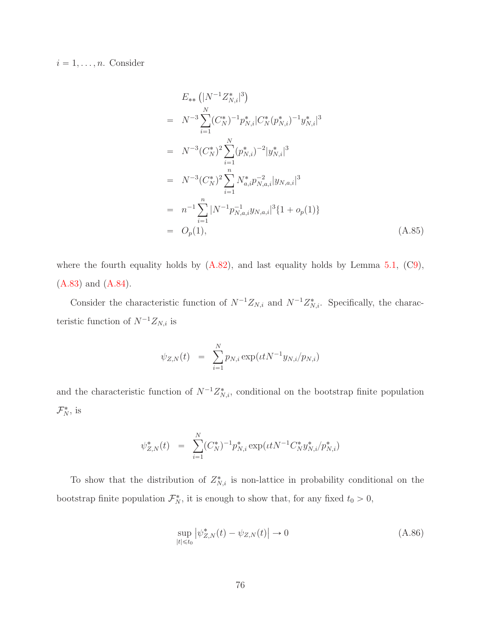$i = 1, \ldots, n$ . Consider

<span id="page-75-0"></span>
$$
E_{**}\left(|N^{-1}Z_{N,i}^*|^3\right)
$$
  
\n
$$
= N^{-3}\sum_{i=1}^N (C_N^*)^{-1}p_{N,i}^*|C_N^*(p_{N,i}^*)^{-1}y_{N,i}^*|^3
$$
  
\n
$$
= N^{-3}(C_N^*)^2\sum_{i=1}^N (p_{N,i}^*)^{-2}|y_{N,i}^*|^3
$$
  
\n
$$
= N^{-3}(C_N^*)^2\sum_{i=1}^n N_{a,i}^*p_{N,a,i}^{-2}|y_{N,a,i}|^3
$$
  
\n
$$
= n^{-1}\sum_{i=1}^n |N^{-1}p_{N,a,i}^{-1}y_{N,a,i}|^3 \{1+o_p(1)\}
$$
  
\n
$$
= O_p(1), \qquad (A.85)
$$

where the fourth equality holds by  $(A.82)$ , and last equality holds by Lemma [5.1,](#page-16-0)  $(C9)$  $(C9)$ , [\(A.83\)](#page-74-0) and [\(A.84\)](#page-74-0).

Consider the characteristic function of  $N^{-1}Z_{N,i}$  and  $N^{-1}Z_{N,i}^*$ . Specifically, the characteristic function of  $N^{-1}Z_{N,i}$  is

$$
\psi_{Z,N}(t) = \sum_{i=1}^N p_{N,i} \exp(\iota t N^{-1} y_{N,i}/p_{N,i})
$$

and the characteristic function of  $N^{-1}Z^*_{N,i}$ , conditional on the bootstrap finite population  $\mathcal{F}_N^*$ , is

$$
\psi_{Z,N}^*(t) = \sum_{i=1}^N (C_N^*)^{-1} p_{N,i}^* \exp(\iota t N^{-1} C_N^* y_{N,i}^* / p_{N,i}^*)
$$

To show that the distribution of  $Z_{N,i}^*$  is non-lattice in probability conditional on the bootstrap finite population  $\mathcal{F}_N^*$ , it is enough to show that, for any fixed  $t_0 > 0$ ,

$$
\sup_{|t| \leq t_0} |\psi_{Z,N}^*(t) - \psi_{Z,N}(t)| \to 0 \tag{A.86}
$$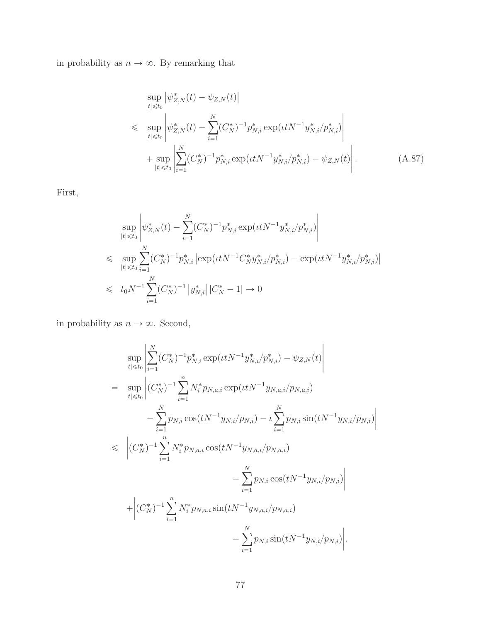in probability as  $n \to \infty.$  By remarking that

$$
\sup_{|t| \le t_0} |\psi_{Z,N}^*(t) - \psi_{Z,N}(t)|
$$
\n
$$
\le \sup_{|t| \le t_0} \left| \psi_{Z,N}^*(t) - \sum_{i=1}^N (C_N^*)^{-1} p_{N,i}^* \exp(\iota t N^{-1} y_{N,i}^* / p_{N,i}^*) \right|
$$
\n
$$
+ \sup_{|t| \le t_0} \left| \sum_{i=1}^N (C_N^*)^{-1} p_{N,i}^* \exp(\iota t N^{-1} y_{N,i}^* / p_{N,i}^*) - \psi_{Z,N}(t) \right|.
$$
\n(A.87)

First,

$$
\sup_{|t| \le t_0} \left| \psi_{Z,N}^*(t) - \sum_{i=1}^N (C_N^*)^{-1} p_{N,i}^* \exp(\iota t N^{-1} y_{N,i}^* / p_{N,i}^*) \right|
$$
  

$$
\le \sup_{|t| \le t_0} \sum_{i=1}^N (C_N^*)^{-1} p_{N,i}^* \left| \exp(\iota t N^{-1} C_N^* y_{N,i}^* / p_{N,i}^*) - \exp(\iota t N^{-1} y_{N,i}^* / p_{N,i}^*) \right|
$$
  

$$
\le t_0 N^{-1} \sum_{i=1}^N (C_N^*)^{-1} \left| y_{N,i}^* \right| |C_N^* - 1| \to 0
$$

in probability as  $n \to \infty.$  Second,

$$
\sup_{|t| \leq t_0} \left| \sum_{i=1}^N (C_N^*)^{-1} p_{N,i}^* \exp(\iota t N^{-1} y_{N,i}^* / p_{N,i}^*) - \psi_{Z,N}(t) \right|
$$
\n
$$
= \sup_{|t| \leq t_0} \left| (C_N^*)^{-1} \sum_{i=1}^n N_i^* p_{N,a,i} \exp(\iota t N^{-1} y_{N,a,i} / p_{N,a,i}) - \sum_{i=1}^N p_{N,i} \cos(t N^{-1} y_{N,i} / p_{N,i}) - \sum_{i=1}^N p_{N,i} \sin(t N^{-1} y_{N,i} / p_{N,i}) \right|
$$
\n
$$
\leq \left| (C_N^*)^{-1} \sum_{i=1}^n N_i^* p_{N,a,i} \cos(t N^{-1} y_{N,a,i} / p_{N,a,i}) - \sum_{i=1}^N p_{N,i} \cos(t N^{-1} y_{N,i} / p_{N,i}) \right|
$$
\n
$$
+ \left| (C_N^*)^{-1} \sum_{i=1}^n N_i^* p_{N,a,i} \sin(t N^{-1} y_{N,a,i} / p_{N,a,i}) - \sum_{i=1}^N p_{N,i} \sin(t N^{-1} y_{N,i} / p_{N,i}) \right|.
$$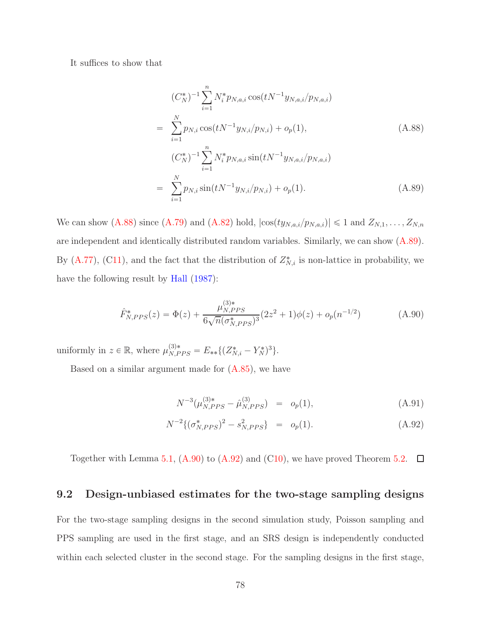It suffices to show that

<span id="page-77-0"></span>
$$
(C_N^*)^{-1} \sum_{i=1}^n N_i^* p_{N,a,i} \cos(tN^{-1}y_{N,a,i}/p_{N,a,i})
$$
  
\n
$$
= \sum_{i=1}^N p_{N,i} \cos(tN^{-1}y_{N,i}/p_{N,i}) + o_p(1),
$$
  
\n
$$
(C_N^*)^{-1} \sum_{i=1}^n N_i^* p_{N,a,i} \sin(tN^{-1}y_{N,a,i}/p_{N,a,i})
$$
  
\n
$$
= \sum_{i=1}^N p_{N,i} \sin(tN^{-1}y_{N,i}/p_{N,i}) + o_p(1).
$$
  
\n(A.89)

We can show [\(A.88\)](#page-77-0) since [\(A.79\)](#page-73-1) and [\(A.82\)](#page-74-1) hold,  $|\cos(ty_{N,a,i}/p_{N,a,i})| \le 1$  and  $Z_{N,1}, \ldots, Z_{N,n}$ are independent and identically distributed random variables. Similarly, we can show [\(A.89\)](#page-77-0). By [\(A.77\)](#page-73-2), ([C11\)](#page-15-1), and the fact that the distribution of  $Z_{N,i}^*$  is non-lattice in probability, we have the following result by [Hall](#page-82-0)  $(1987)$  $(1987)$ :

<span id="page-77-1"></span>
$$
\hat{F}_{N,PPS}^*(z) = \Phi(z) + \frac{\mu_{N,PPS}^{(3)*}}{6\sqrt{n}(\sigma_{N,PPS}^*)^3} (2z^2 + 1)\phi(z) + o_p(n^{-1/2})
$$
\n(A.90)

uniformly in  $z \in \mathbb{R}$ , where  $\mu_{N,PPS}^{(3)*} = E_{**}\{(Z_{N,i}^* - Y_N^*)^3\}.$ 

Based on a similar argument made for  $(A.85)$ , we have

<span id="page-77-2"></span>
$$
N^{-3}(\mu_{N,PPS}^{(3)*} - \hat{\mu}_{N,PPS}^{(3)}) = o_p(1), \qquad (A.91)
$$

$$
N^{-2}\{(\sigma_{N,PPS}^*)^2 - s_{N,PPS}^2\} = o_p(1). \tag{A.92}
$$

Together with Lemma [5.1,](#page-16-0) [\(A.90\)](#page-77-1) to [\(A.92\)](#page-77-2) and ([C10\)](#page-15-2), we have proved Theorem [5.2.](#page-17-0)  $\Box$ 

## 9.2 Design-unbiased estimates for the two-stage sampling designs

For the two-stage sampling designs in the second simulation study, Poisson sampling and PPS sampling are used in the first stage, and an SRS design is independently conducted within each selected cluster in the second stage. For the sampling designs in the first stage,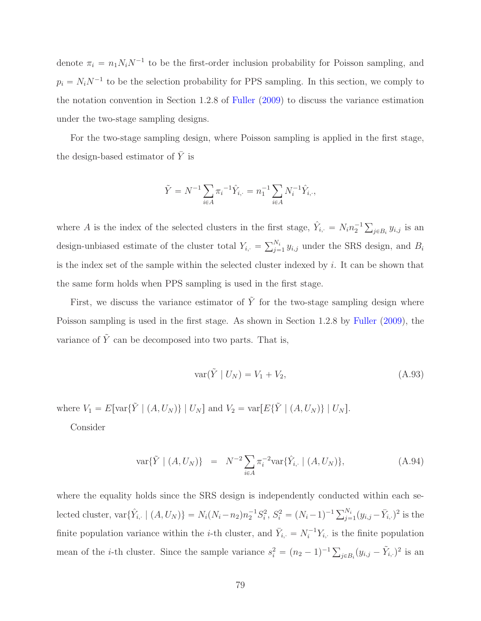denote  $\pi_i = n_1 N_i N^{-1}$  to be the first-order inclusion probability for Poisson sampling, and  $p_i = N_i N^{-1}$  to be the selection probability for PPS sampling. In this section, we comply to the notation convention in Section 1.2.8 of [Fuller](#page-82-1) [\(2009](#page-82-1)) to discuss the variance estimation under the two-stage sampling designs.

For the two-stage sampling design, where Poisson sampling is applied in the first stage, the design-based estimator of  $\bar{Y}$  is

$$
\tilde{Y} = N^{-1} \sum_{i \in A} \pi_i^{-1} \hat{Y}_{i, \cdot} = n_1^{-1} \sum_{i \in A} N_i^{-1} \hat{Y}_{i, \cdot},
$$

where A is the index of the selected clusters in the first stage,  $\hat{Y}_{i, \cdot} = N_i n_2^{-1} \sum_{j \in B_i} y_{i,j}$  is an design-unbiased estimate of the cluster total  $Y_{i, \cdot} = \sum_{j=1}^{N_i} y_{i,j}$  under the SRS design, and  $B_i$ is the index set of the sample within the selected cluster indexed by i. It can be shown that the same form holds when PPS sampling is used in the first stage.

First, we discuss the variance estimator of  $\tilde{Y}$  for the two-stage sampling design where Poisson sampling is used in the first stage. As shown in Section 1.2.8 by [Fuller](#page-82-1) [\(2009\)](#page-82-1), the variance of  $\tilde{Y}$  can be decomposed into two parts. That is,

<span id="page-78-0"></span>
$$
\text{var}(\tilde{Y} \mid U_N) = V_1 + V_2,\tag{A.93}
$$

where  $V_1 = E[\text{var}\{\tilde{Y} \mid (A, U_N)\} | U_N]$  and  $V_2 = \text{var}[E\{\tilde{Y} \mid (A, U_N)\} | U_N]$ .

Consider

<span id="page-78-1"></span>
$$
\text{var}\{\tilde{Y} \mid (A, U_N)\} = N^{-2} \sum_{i \in A} \pi_i^{-2} \text{var}\{\hat{Y}_{i, \cdot} \mid (A, U_N)\},\tag{A.94}
$$

where the equality holds since the SRS design is independently conducted within each selected cluster,  $\text{var}\{\hat{Y}_{i, \cdot} \mid (A, U_N)\} = N_i(N_i - n_2)n_2^{-1}S_i^2$ ,  $S_i^2 = (N_i - 1)^{-1} \sum_{j=1}^{N_i} (y_{i,j} - \bar{Y}_{i, \cdot})^2$  is the finite population variance within the *i*-th cluster, and  $\bar{Y}_{i, \cdot} = N_i^{-1} Y_{i, \cdot}$  is the finite population mean of the *i*-th cluster. Since the sample variance  $s_i^2 = (n_2 - 1)^{-1} \sum_{j \in B_i} (y_{i,j} - \tilde{Y}_{i,j})^2$  is an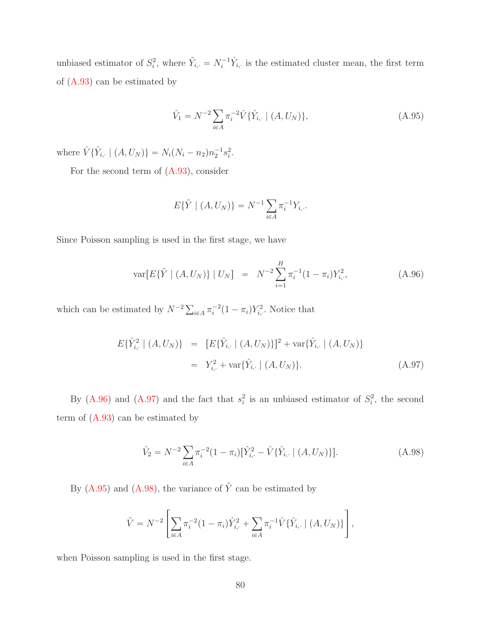unbiased estimator of  $S_i^2$ , where  $\tilde{Y}_{i, \cdot} = N_i^{-1} \hat{Y}_{i, \cdot}$  is the estimated cluster mean, the first term of [\(A.93\)](#page-78-0) can be estimated by

<span id="page-79-2"></span>
$$
\hat{V}_1 = N^{-2} \sum_{i \in A} \pi_i^{-2} \hat{V} \{ \hat{Y}_{i, \cdot} \mid (A, U_N) \},\tag{A.95}
$$

where  $\hat{V}\{\hat{Y}_{i, \cdot} \mid (A, U_N)\} = N_i(N_i - n_2)n_2^{-1}s_i^2$ .

For the second term of  $(A.93)$ , consider

$$
E\{\tilde{Y} \mid (A, U_N)\} = N^{-1} \sum_{i \in A} \pi_i^{-1} Y_{i,..}
$$

Since Poisson sampling is used in the first stage, we have

<span id="page-79-0"></span>
$$
\text{var}[E\{\tilde{Y} \mid (A, U_N)\} \mid U_N] = N^{-2} \sum_{i=1}^H \pi_i^{-1} (1 - \pi_i) Y_{i, \cdot}^2, \tag{A.96}
$$

which can be estimated by  $N^{-2} \sum_{i \in A} \pi_i^{-2} (1 - \pi_i) Y_{i, \cdot}^2$ . Notice that

<span id="page-79-1"></span>
$$
E\{\hat{Y}_{i,\cdot}^{2} \mid (A, U_{N})\} = [E\{\hat{Y}_{i,\cdot} \mid (A, U_{N})\}]^{2} + \text{var}\{\hat{Y}_{i,\cdot} \mid (A, U_{N})\}
$$
  

$$
= Y_{i,\cdot}^{2} + \text{var}\{\hat{Y}_{i,\cdot} \mid (A, U_{N})\}. \tag{A.97}
$$

By [\(A.96\)](#page-79-0) and [\(A.97\)](#page-79-1) and the fact that  $s_i^2$  is an unbiased estimator of  $S_i^2$ , the second term of  $(A.93)$  can be estimated by

<span id="page-79-3"></span>
$$
\hat{V}_2 = N^{-2} \sum_{i \in A} \pi_i^{-2} (1 - \pi_i) [\hat{Y}_{i, \cdot}^2 - \hat{V} {\{\hat{Y}_{i, \cdot} \mid (A, U_N)\} }].
$$
\n(A.98)

By [\(A.95\)](#page-79-2) and [\(A.98\)](#page-79-3), the variance of  $\tilde{Y}$  can be estimated by

$$
\tilde{V} = N^{-2} \left[ \sum_{i \in A} \pi_i^{-2} (1 - \pi_i) \hat{Y}_{i, \cdot}^2 + \sum_{i \in A} \pi_i^{-1} \hat{V} \{ \hat{Y}_{i, \cdot} \mid (A, U_N) \} \right],
$$

when Poisson sampling is used in the first stage.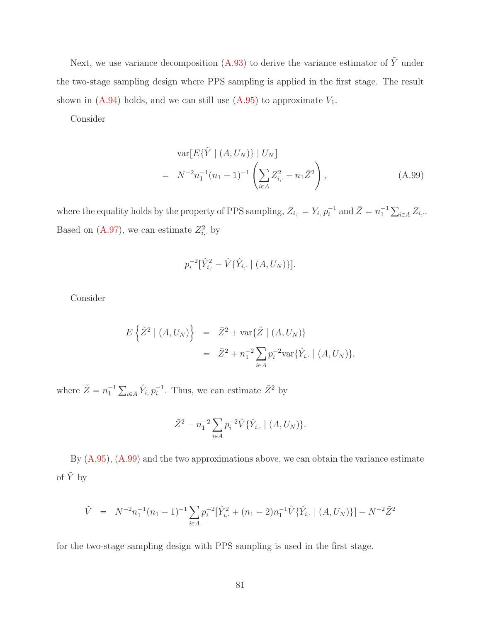Next, we use variance decomposition [\(A.93\)](#page-78-0) to derive the variance estimator of  $\tilde{Y}$  under the two-stage sampling design where PPS sampling is applied in the first stage. The result shown in  $(A.94)$  holds, and we can still use  $(A.95)$  to approximate  $V_1$ .

Consider

<span id="page-80-0"></span>
$$
\operatorname{var}[E\{\tilde{Y} \mid (A, U_N)\} \mid U_N] = N^{-2} n_1^{-1} (n_1 - 1)^{-1} \left( \sum_{i \in A} Z_{i, \cdot}^2 - n_1 \bar{Z}^2 \right),
$$
 (A.99)

where the equality holds by the property of PPS sampling,  $Z_{i, \cdot} = Y_{i, \cdot} p_i^{-1}$  and  $\bar{Z} = n_1^{-1} \sum_{i \in A} Z_{i, \cdot}$ . Based on  $(A.97)$ , we can estimate  $Z_{i}^2$ , by

$$
p_i^{-2}[\hat{Y}_{i,\cdot}^2 - \hat{V}\{\hat{Y}_{i,\cdot} \mid (A, U_N)\}].
$$

Consider

$$
E\left\{\tilde{Z}^{2} \mid (A, U_{N})\right\} = \bar{Z}^{2} + \text{var}\{\tilde{Z} \mid (A, U_{N})\}
$$
  

$$
= \bar{Z}^{2} + n_{1}^{-2} \sum_{i \in A} p_{i}^{-2} \text{var}\{\hat{Y}_{i, \cdot} \mid (A, U_{N})\},
$$

where  $\tilde{Z} = n_1^{-1} \sum_{i \in A} \hat{Y}_{i,} p_i^{-1}$ . Thus, we can estimate  $\bar{Z}^2$  by

$$
\tilde{Z}^{2} - n_{1}^{-2} \sum_{i \in A} p_{i}^{-2} \hat{V} \{ \hat{Y}_{i, \cdot} \mid (A, U_{N}) \}.
$$

By [\(A.95\)](#page-79-2), [\(A.99\)](#page-80-0) and the two approximations above, we can obtain the variance estimate of  $\tilde{Y}$  by

$$
\tilde{V} = N^{-2}n_1^{-1}(n_1 - 1)^{-1} \sum_{i \in A} p_i^{-2} [\hat{Y}_{i, \cdot}^2 + (n_1 - 2)n_1^{-1} \hat{V} {\{\hat{Y}_{i, \cdot} | (A, U_N)\} }] - N^{-2} \tilde{Z}^2
$$

for the two-stage sampling design with PPS sampling is used in the first stage.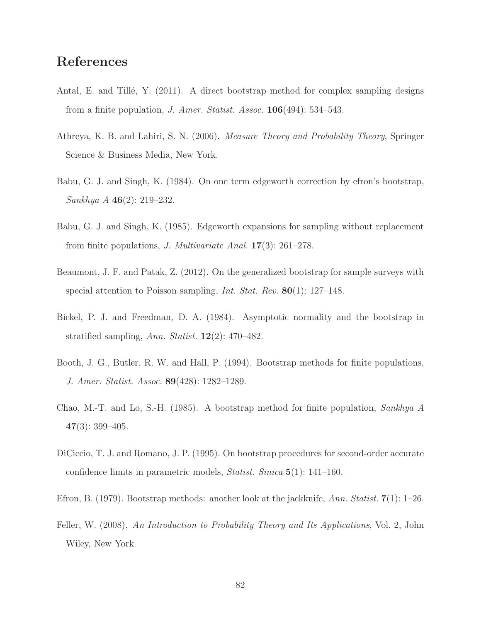## References

- Antal, E. and Tillé, Y.  $(2011)$ . A direct bootstrap method for complex sampling designs from a finite population, *J. Amer. Statist. Assoc.* 106(494): 534–543.
- Athreya, K. B. and Lahiri, S. N. (2006). *Measure Theory and Probability Theory*, Springer Science & Business Media, New York.
- Babu, G. J. and Singh, K. (1984). On one term edgeworth correction by efron's bootstrap, *Sankhya A* 46(2): 219–232.
- Babu, G. J. and Singh, K. (1985). Edgeworth expansions for sampling without replacement from finite populations, *J. Multivariate Anal.* 17(3): 261–278.
- Beaumont, J. F. and Patak, Z. (2012). On the generalized bootstrap for sample surveys with special attention to Poisson sampling, *Int. Stat. Rev.* 80(1): 127–148.
- Bickel, P. J. and Freedman, D. A. (1984). Asymptotic normality and the bootstrap in stratified sampling, *Ann. Statist.* 12(2): 470–482.
- Booth, J. G., Butler, R. W. and Hall, P. (1994). Bootstrap methods for finite populations, *J. Amer. Statist. Assoc.* 89(428): 1282–1289.
- Chao, M.-T. and Lo, S.-H. (1985). A bootstrap method for finite population, *Sankhya A*  $47(3): 399-405.$
- DiCiccio, T. J. and Romano, J. P. (1995). On bootstrap procedures for second-order accurate confidence limits in parametric models, *Statist. Sinica* 5(1): 141–160.
- Efron, B. (1979). Bootstrap methods: another look at the jackknife, *Ann. Statist.* 7(1): 1–26.
- Feller, W. (2008). *An Introduction to Probability Theory and Its Applications*, Vol. 2, John Wiley, New York.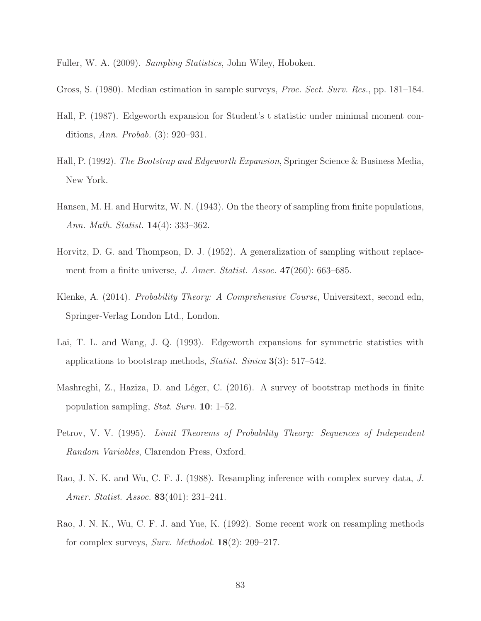<span id="page-82-1"></span>Fuller, W. A. (2009). *Sampling Statistics*, John Wiley, Hoboken.

- Gross, S. (1980). Median estimation in sample surveys, *Proc. Sect. Surv. Res.*, pp. 181–184.
- <span id="page-82-0"></span>Hall, P. (1987). Edgeworth expansion for Student's t statistic under minimal moment conditions, *Ann. Probab.* (3): 920–931.
- Hall, P. (1992). *The Bootstrap and Edgeworth Expansion*, Springer Science & Business Media, New York.
- Hansen, M. H. and Hurwitz, W. N. (1943). On the theory of sampling from finite populations, *Ann. Math. Statist.* 14(4): 333–362.
- Horvitz, D. G. and Thompson, D. J. (1952). A generalization of sampling without replacement from a finite universe, *J. Amer. Statist. Assoc.* 47(260): 663–685.
- Klenke, A. (2014). *Probability Theory: A Comprehensive Course*, Universitext, second edn, Springer-Verlag London Ltd., London.
- Lai, T. L. and Wang, J. Q. (1993). Edgeworth expansions for symmetric statistics with applications to bootstrap methods, *Statist. Sinica* 3(3): 517–542.
- Mashreghi, Z., Haziza, D. and Léger, C. (2016). A survey of bootstrap methods in finite population sampling, *Stat. Surv.* 10: 1–52.
- Petrov, V. V. (1995). *Limit Theorems of Probability Theory: Sequences of Independent Random Variables*, Clarendon Press, Oxford.
- Rao, J. N. K. and Wu, C. F. J. (1988). Resampling inference with complex survey data, *J. Amer. Statist. Assoc.* 83(401): 231–241.
- Rao, J. N. K., Wu, C. F. J. and Yue, K. (1992). Some recent work on resampling methods for complex surveys, *Surv. Methodol.* 18(2): 209–217.